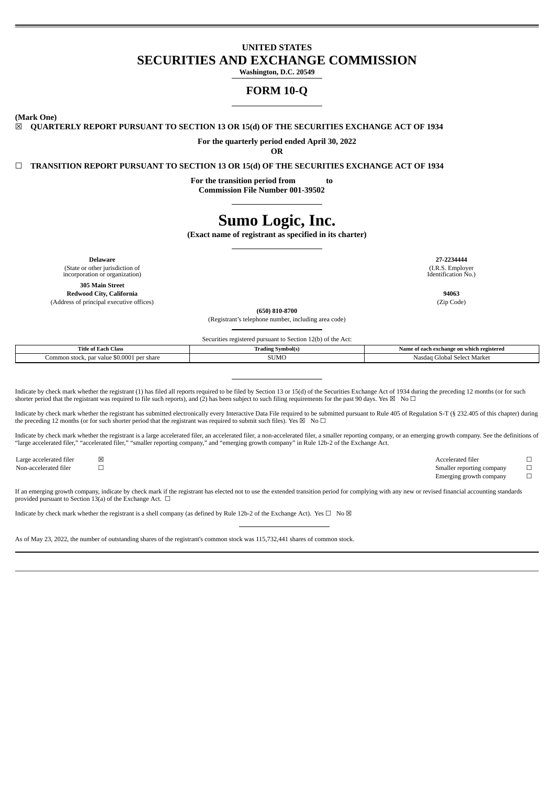# **UNITED STATES SECURITIES AND EXCHANGE COMMISSION**

**Washington, D.C. 20549**

# **FORM 10-Q**

**(Mark One)**

☒ **QUARTERLY REPORT PURSUANT TO SECTION 13 OR 15(d) OF THE SECURITIES EXCHANGE ACT OF 1934**

**For the quarterly period ended April 30, 2022**

**OR**

☐ **TRANSITION REPORT PURSUANT TO SECTION 13 OR 15(d) OF THE SECURITIES EXCHANGE ACT OF 1934**

**For the transition period from to Commission File Number 001-39502**

# **Sumo Logic, Inc.**

**(Exact name of registrant as specified in its charter)**

(State or other jurisdiction of incorporation or organization)

**305 Main Street Redwood City, California 94063**

(Address of principal executive offices) (Zip Code)

**Delaware 27-2234444** (I.R.S. Employer Identification No.)

Smaller reporting company  $\hfill \Box$ Emerging growth company  $\Box$ 

**(650) 810-8700**

(Registrant's telephone number, including area code)

Securities registered pursuant to Section 12(b) of the Act:

| Title<br><b>Class</b>                 | <b>Trading Symbol(s)</b> | Name of each exchange on which registered |
|---------------------------------------|--------------------------|-------------------------------------------|
| 000<br>share<br>.omr<br>zalur.<br>nar | SUMC<br>.                | Nasdar<br>Marke<br>-iloha<br>Seler        |

Indicate by check mark whether the registrant (1) has filed all reports required to be filed by Section 13 or 15(d) of the Securities Exchange Act of 1934 during the preceding 12 months (or for such shorter period that the registrant was required to file such reports), and (2) has been subject to such filing requirements for the past 90 days. Yes  $\boxtimes$  No  $\Box$ 

Indicate by check mark whether the registrant has submitted electronically every Interactive Data File required to be submitted pursuant to Rule 405 of Regulation S-T (§ 232.405 of this chapter) during the preceding 12 months (or for such shorter period that the registrant was required to submit such files). Yes  $\boxtimes$  No  $\Box$ 

Indicate by check mark whether the registrant is a large accelerated filer, an accelerated filer, a non-accelerated filer, a smaller reporting company, or an emerging growth company. See the definitions of "large accelerated filer," "accelerated filer," "smaller reporting company," and "emerging growth company" in Rule 12b-2 of the Exchange Act.

| $\sim$<br>arge accelerated filer_<br>. .            | IXI | . tile<br>leratec             | -<br>− |
|-----------------------------------------------------|-----|-------------------------------|--------|
| $-$<br>- -<br>. tiler<br>Non-.<br>elerate'<br>0.000 |     | Sma<br>ller reporting company | –      |
|                                                     |     |                               | _      |

If an emerging growth company, indicate by check mark if the registrant has elected not to use the extended transition period for complying with any new or revised financial accounting standards provided pursuant to Section 13(a) of the Exchange Act.  $\Box$ 

Indicate by check mark whether the registrant is a shell company (as defined by Rule 12b-2 of the Exchange Act). Yes  $\Box$  No  $\boxtimes$ 

<span id="page-0-0"></span>As of May 23, 2022, the number of outstanding shares of the registrant's common stock was 115,732,441 shares of common stock.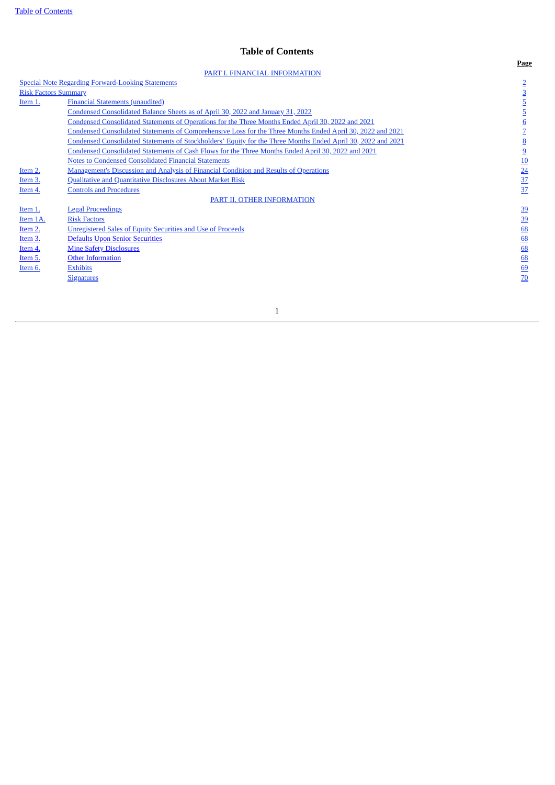# **Table of Contents**

# [PART I. FINANCIAL INFORMATION](#page-4-0)

<span id="page-1-0"></span>

|                             | <b>Special Note Regarding Forward-Looking Statements</b>                                                     |                 |
|-----------------------------|--------------------------------------------------------------------------------------------------------------|-----------------|
| <b>Risk Factors Summary</b> |                                                                                                              |                 |
| Item 1.                     | <b>Financial Statements (unaudited)</b>                                                                      |                 |
|                             | Condensed Consolidated Balance Sheets as of April 30, 2022 and January 31, 2022                              | <u>5</u>        |
|                             | Condensed Consolidated Statements of Operations for the Three Months Ended April 30, 2022 and 2021           | $\underline{6}$ |
|                             | Condensed Consolidated Statements of Comprehensive Loss for the Three Months Ended April 30, 2022 and 2021   |                 |
|                             | Condensed Consolidated Statements of Stockholders' Equity for the Three Months Ended April 30, 2022 and 2021 | 8               |
|                             | Condensed Consolidated Statements of Cash Flows for the Three Months Ended April 30, 2022 and 2021           | <u>و</u>        |
|                             | <b>Notes to Condensed Consolidated Financial Statements</b>                                                  | <u> 10</u>      |
| Item 2.                     | <b>Management's Discussion and Analysis of Financial Condition and Results of Operations</b>                 | 24              |
| Item 3.                     | Qualitative and Quantitative Disclosures About Market Risk                                                   | 37              |
| Item 4.                     | <b>Controls and Procedures</b>                                                                               | 37              |
|                             | PART II. OTHER INFORMATION                                                                                   |                 |
| Item 1.                     | <b>Legal Proceedings</b>                                                                                     | 39              |
| Item 1A.                    | <b>Risk Factors</b>                                                                                          | 39              |
| <u>Item 2.</u>              | <b>Unregistered Sales of Equity Securities and Use of Proceeds</b>                                           | 68              |
| Item 3.                     | <b>Defaults Upon Senior Securities</b>                                                                       | 68              |
| Item 4.                     | <b>Mine Safety Disclosures</b>                                                                               | 68              |
| Item 5.                     | <b>Other Information</b>                                                                                     | 68              |
| Item 6.                     | <b>Exhibits</b>                                                                                              | 69              |

**Page**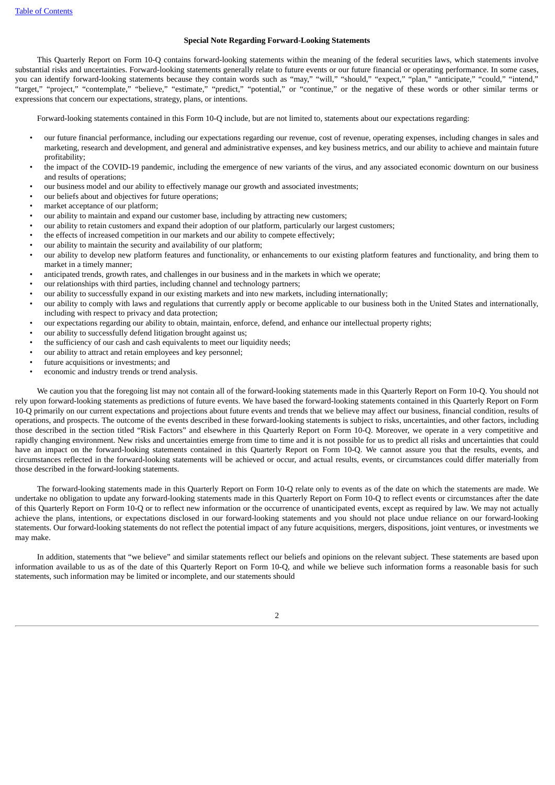#### **Special Note Regarding Forward-Looking Statements**

This Quarterly Report on Form 10-Q contains forward-looking statements within the meaning of the federal securities laws, which statements involve substantial risks and uncertainties. Forward-looking statements generally relate to future events or our future financial or operating performance. In some cases, you can identify forward-looking statements because they contain words such as "may," "will," "should," "expect," "plan," "anticipate," "could," "intend," "target," "project," "contemplate," "believe," "estimate," "predict," "potential," or "continue," or the negative of these words or other similar terms or expressions that concern our expectations, strategy, plans, or intentions.

Forward-looking statements contained in this Form 10-Q include, but are not limited to, statements about our expectations regarding:

- our future financial performance, including our expectations regarding our revenue, cost of revenue, operating expenses, including changes in sales and marketing, research and development, and general and administrative expenses, and key business metrics, and our ability to achieve and maintain future profitability;
- the impact of the COVID-19 pandemic, including the emergence of new variants of the virus, and any associated economic downturn on our business and results of operations;
- our business model and our ability to effectively manage our growth and associated investments;
- our beliefs about and objectives for future operations;
- market acceptance of our platform;
- our ability to maintain and expand our customer base, including by attracting new customers;
- our ability to retain customers and expand their adoption of our platform, particularly our largest customers;
- the effects of increased competition in our markets and our ability to compete effectively;
- our ability to maintain the security and availability of our platform;
- our ability to develop new platform features and functionality, or enhancements to our existing platform features and functionality, and bring them to market in a timely manner;
- anticipated trends, growth rates, and challenges in our business and in the markets in which we operate;
- our relationships with third parties, including channel and technology partners;
- our ability to successfully expand in our existing markets and into new markets, including internationally;
- our ability to comply with laws and regulations that currently apply or become applicable to our business both in the United States and internationally, including with respect to privacy and data protection;
- our expectations regarding our ability to obtain, maintain, enforce, defend, and enhance our intellectual property rights;
- our ability to successfully defend litigation brought against us;
- the sufficiency of our cash and cash equivalents to meet our liquidity needs;
- our ability to attract and retain employees and key personnel;
- future acquisitions or investments; and
- economic and industry trends or trend analysis.

We caution you that the foregoing list may not contain all of the forward-looking statements made in this Quarterly Report on Form 10-Q. You should not rely upon forward-looking statements as predictions of future events. We have based the forward-looking statements contained in this Quarterly Report on Form 10-Q primarily on our current expectations and projections about future events and trends that we believe may affect our business, financial condition, results of operations, and prospects. The outcome of the events described in these forward-looking statements is subject to risks, uncertainties, and other factors, including those described in the section titled "Risk Factors" and elsewhere in this Quarterly Report on Form 10-Q. Moreover, we operate in a very competitive and rapidly changing environment. New risks and uncertainties emerge from time to time and it is not possible for us to predict all risks and uncertainties that could have an impact on the forward-looking statements contained in this Quarterly Report on Form 10-Q. We cannot assure you that the results, events, and circumstances reflected in the forward-looking statements will be achieved or occur, and actual results, events, or circumstances could differ materially from those described in the forward-looking statements.

The forward-looking statements made in this Quarterly Report on Form 10-Q relate only to events as of the date on which the statements are made. We undertake no obligation to update any forward-looking statements made in this Quarterly Report on Form 10-Q to reflect events or circumstances after the date of this Quarterly Report on Form 10-Q or to reflect new information or the occurrence of unanticipated events, except as required by law. We may not actually achieve the plans, intentions, or expectations disclosed in our forward-looking statements and you should not place undue reliance on our forward-looking statements. Our forward-looking statements do not reflect the potential impact of any future acquisitions, mergers, dispositions, joint ventures, or investments we may make.

In addition, statements that "we believe" and similar statements reflect our beliefs and opinions on the relevant subject. These statements are based upon information available to us as of the date of this Quarterly Report on Form 10-Q, and while we believe such information forms a reasonable basis for such statements, such information may be limited or incomplete, and our statements should

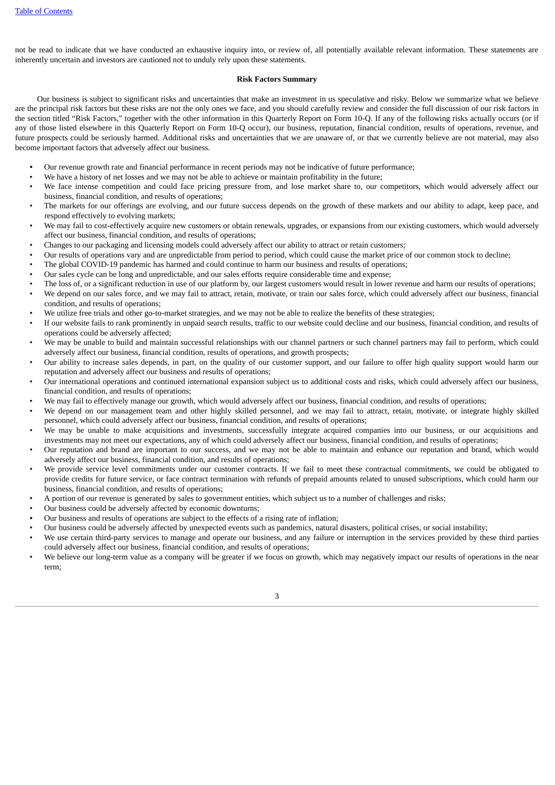not be read to indicate that we have conducted an exhaustive inquiry into, or review of, all potentially available relevant information. These statements are inherently uncertain and investors are cautioned not to unduly rely upon these statements.

### **Risk Factors Summary**

<span id="page-3-0"></span>Our business is subject to significant risks and uncertainties that make an investment in us speculative and risky. Below we summarize what we believe are the principal risk factors but these risks are not the only ones we face, and you should carefully review and consider the full discussion of our risk factors in the section titled "Risk Factors," together with the other information in this Quarterly Report on Form 10-Q. If any of the following risks actually occurs (or if any of those listed elsewhere in this Quarterly Report on Form 10-Q occur), our business, reputation, financial condition, results of operations, revenue, and future prospects could be seriously harmed. Additional risks and uncertainties that we are unaware of, or that we currently believe are not material, may also become important factors that adversely affect our business.

- *•* Our revenue growth rate and financial performance in recent periods may not be indicative of future performance;
- We have a history of net losses and we may not be able to achieve or maintain profitability in the future;
- We face intense competition and could face pricing pressure from, and lose market share to, our competitors, which would adversely affect our business, financial condition, and results of operations;
- The markets for our offerings are evolving, and our future success depends on the growth of these markets and our ability to adapt, keep pace, and respond effectively to evolving markets;
- We may fail to cost-effectively acquire new customers or obtain renewals, upgrades, or expansions from our existing customers, which would adversely affect our business, financial condition, and results of operations;
- Changes to our packaging and licensing models could adversely affect our ability to attract or retain customers;
- Our results of operations vary and are unpredictable from period to period, which could cause the market price of our common stock to decline;
- The global COVID-19 pandemic has harmed and could continue to harm our business and results of operations;
- Our sales cycle can be long and unpredictable, and our sales efforts require considerable time and expense;
- The loss of, or a significant reduction in use of our platform by, our largest customers would result in lower revenue and harm our results of operations;
- We depend on our sales force, and we may fail to attract, retain, motivate, or train our sales force, which could adversely affect our business, financial condition, and results of operations;
- We utilize free trials and other go-to-market strategies, and we may not be able to realize the benefits of these strategies;
- If our website fails to rank prominently in unpaid search results, traffic to our website could decline and our business, financial condition, and results of operations could be adversely affected;
- We may be unable to build and maintain successful relationships with our channel partners or such channel partners may fail to perform, which could adversely affect our business, financial condition, results of operations, and growth prospects;
- Our ability to increase sales depends, in part, on the quality of our customer support, and our failure to offer high quality support would harm our reputation and adversely affect our business and results of operations;
- Our international operations and continued international expansion subject us to additional costs and risks, which could adversely affect our business, financial condition, and results of operations;
- We may fail to effectively manage our growth, which would adversely affect our business, financial condition, and results of operations;
- We depend on our management team and other highly skilled personnel, and we may fail to attract, retain, motivate, or integrate highly skilled personnel, which could adversely affect our business, financial condition, and results of operations;
- We may be unable to make acquisitions and investments, successfully integrate acquired companies into our business, or our acquisitions and investments may not meet our expectations, any of which could adversely affect our business, financial condition, and results of operations;
- Our reputation and brand are important to our success, and we may not be able to maintain and enhance our reputation and brand, which would adversely affect our business, financial condition, and results of operations;
- We provide service level commitments under our customer contracts. If we fail to meet these contractual commitments, we could be obligated to provide credits for future service, or face contract termination with refunds of prepaid amounts related to unused subscriptions, which could harm our business, financial condition, and results of operations;
- A portion of our revenue is generated by sales to government entities, which subject us to a number of challenges and risks;
- Our business could be adversely affected by economic downturns;
- *•* Our business and results of operations are subject to the effects of a rising rate of inflation;
- Our business could be adversely affected by unexpected events such as pandemics, natural disasters, political crises, or social instability;
- We use certain third-party services to manage and operate our business, and any failure or interruption in the services provided by these third parties could adversely affect our business, financial condition, and results of operations;
- We believe our long-term value as a company will be greater if we focus on growth, which may negatively impact our results of operations in the near term;

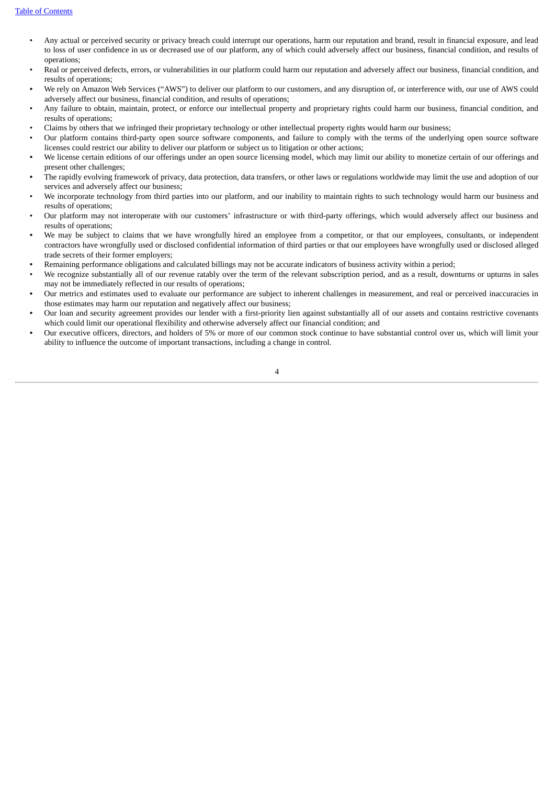- Any actual or perceived security or privacy breach could interrupt our operations, harm our reputation and brand, result in financial exposure, and lead to loss of user confidence in us or decreased use of our platform, any of which could adversely affect our business, financial condition, and results of operations;
- Real or perceived defects, errors, or vulnerabilities in our platform could harm our reputation and adversely affect our business, financial condition, and results of operations;
- *•* We rely on Amazon Web Services ("AWS") to deliver our platform to our customers, and any disruption of, or interference with, our use of AWS could adversely affect our business, financial condition, and results of operations;
- Any failure to obtain, maintain, protect, or enforce our intellectual property and proprietary rights could harm our business, financial condition, and results of operations;
- Claims by others that we infringed their proprietary technology or other intellectual property rights would harm our business;
- Our platform contains third-party open source software components, and failure to comply with the terms of the underlying open source software licenses could restrict our ability to deliver our platform or subject us to litigation or other actions;
- *•* We license certain editions of our offerings under an open source licensing model, which may limit our ability to monetize certain of our offerings and present other challenges;
- *•* The rapidly evolving framework of privacy, data protection, data transfers, or other laws or regulations worldwide may limit the use and adoption of our services and adversely affect our business;
- We incorporate technology from third parties into our platform, and our inability to maintain rights to such technology would harm our business and results of operations;
- Our platform may not interoperate with our customers' infrastructure or with third-party offerings, which would adversely affect our business and results of operations;
- We may be subject to claims that we have wrongfully hired an employee from a competitor, or that our employees, consultants, or independent contractors have wrongfully used or disclosed confidential information of third parties or that our employees have wrongfully used or disclosed alleged trade secrets of their former employers;
- **•** Remaining performance obligations and calculated billings may not be accurate indicators of business activity within a period;
- We recognize substantially all of our revenue ratably over the term of the relevant subscription period, and as a result, downturns or upturns in sales may not be immediately reflected in our results of operations;
- **•** Our metrics and estimates used to evaluate our performance are subject to inherent challenges in measurement, and real or perceived inaccuracies in those estimates may harm our reputation and negatively affect our business;
- *•* Our loan and security agreement provides our lender with a first-priority lien against substantially all of our assets and contains restrictive covenants which could limit our operational flexibility and otherwise adversely affect our financial condition; and
- <span id="page-4-0"></span>*•* Our executive officers, directors, and holders of 5% or more of our common stock continue to have substantial control over us, which will limit your ability to influence the outcome of important transactions, including a change in control.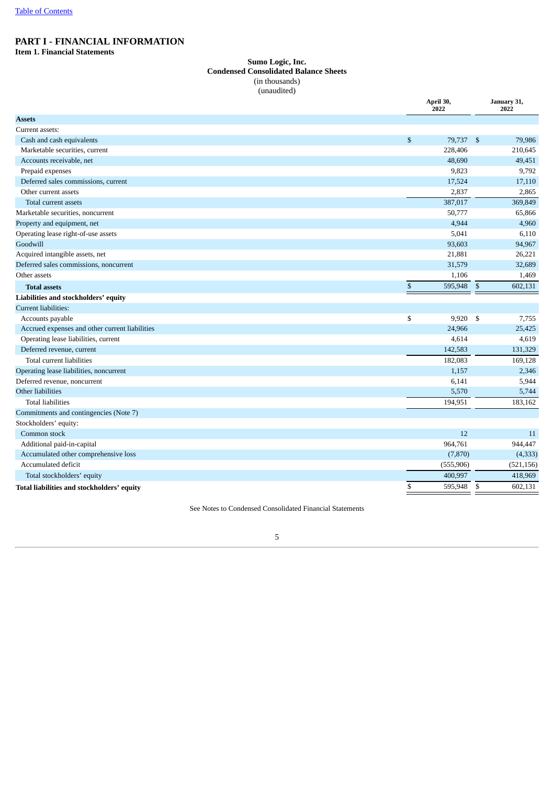# **PART I - FINANCIAL INFORMATION**

<span id="page-5-1"></span><span id="page-5-0"></span>**Item 1. Financial Statements**

# **Sumo Logic, Inc. Condensed Consolidated Balance Sheets** (in thousands) (unaudited)

|                                                |              | April 30,<br>2022 |                | January 31,<br>2022 |
|------------------------------------------------|--------------|-------------------|----------------|---------------------|
| <b>Assets</b>                                  |              |                   |                |                     |
| Current assets:                                |              |                   |                |                     |
| Cash and cash equivalents                      | $\mathbb{S}$ | 79,737 \$         |                | 79,986              |
| Marketable securities, current                 |              | 228,406           |                | 210,645             |
| Accounts receivable, net                       |              | 48,690            |                | 49,451              |
| Prepaid expenses                               |              | 9,823             |                | 9,792               |
| Deferred sales commissions, current            |              | 17,524            |                | 17,110              |
| Other current assets                           |              | 2,837             |                | 2,865               |
| Total current assets                           |              | 387,017           |                | 369,849             |
| Marketable securities, noncurrent              |              | 50,777            |                | 65,866              |
| Property and equipment, net                    |              | 4,944             |                | 4,960               |
| Operating lease right-of-use assets            |              | 5,041             |                | 6,110               |
| Goodwill                                       |              | 93,603            |                | 94,967              |
| Acquired intangible assets, net                |              | 21,881            |                | 26,221              |
| Deferred sales commissions, noncurrent         |              | 31,579            |                | 32,689              |
| Other assets                                   |              | 1,106             |                | 1,469               |
| <b>Total assets</b>                            | $\$\,$       | 595,948           | $\mathfrak{s}$ | 602,131             |
| Liabilities and stockholders' equity           |              |                   |                |                     |
| Current liabilities:                           |              |                   |                |                     |
| Accounts payable                               | \$           | 9,920             | - \$           | 7,755               |
| Accrued expenses and other current liabilities |              | 24,966            |                | 25,425              |
| Operating lease liabilities, current           |              | 4,614             |                | 4,619               |
| Deferred revenue, current                      |              | 142,583           |                | 131,329             |
| Total current liabilities                      |              | 182,083           |                | 169,128             |
| Operating lease liabilities, noncurrent        |              | 1,157             |                | 2,346               |
| Deferred revenue, noncurrent                   |              | 6,141             |                | 5,944               |
| Other liabilities                              |              | 5,570             |                | 5,744               |
| <b>Total liabilities</b>                       |              | 194,951           |                | 183,162             |
| Commitments and contingencies (Note 7)         |              |                   |                |                     |
| Stockholders' equity:                          |              |                   |                |                     |
| Common stock                                   |              | 12                |                | 11                  |
| Additional paid-in-capital                     |              | 964,761           |                | 944,447             |
| Accumulated other comprehensive loss           |              | (7, 870)          |                | (4, 333)            |
| Accumulated deficit                            |              | (555, 906)        |                | (521, 156)          |
| Total stockholders' equity                     |              | 400,997           |                | 418,969             |
| Total liabilities and stockholders' equity     | \$           | 595,948           | $\mathbb{S}$   | 602,131             |

<span id="page-5-2"></span>See Notes to Condensed Consolidated Financial Statements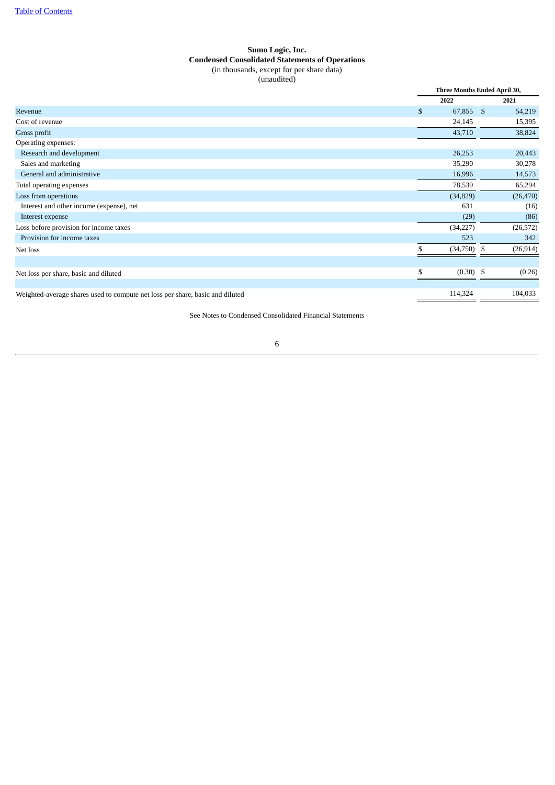# **Sumo Logic, Inc. Condensed Consolidated Statements of Operations** (in thousands, except for per share data) (unaudited)

|                                                                               |               | Three Months Ended April 30, |           |  |  |  |
|-------------------------------------------------------------------------------|---------------|------------------------------|-----------|--|--|--|
|                                                                               | 2022          |                              | 2021      |  |  |  |
| Revenue                                                                       | $\mathbb{S}$  | 67,855 \$                    | 54,219    |  |  |  |
| Cost of revenue                                                               | 24,145        |                              | 15,395    |  |  |  |
| Gross profit                                                                  | 43,710        |                              | 38,824    |  |  |  |
| Operating expenses:                                                           |               |                              |           |  |  |  |
| Research and development                                                      | 26,253        |                              | 20,443    |  |  |  |
| Sales and marketing                                                           | 35,290        |                              | 30,278    |  |  |  |
| General and administrative                                                    | 16,996        |                              | 14,573    |  |  |  |
| Total operating expenses                                                      | 78,539        |                              | 65,294    |  |  |  |
| Loss from operations                                                          | (34, 829)     |                              | (26, 470) |  |  |  |
| Interest and other income (expense), net                                      | 631           |                              | (16)      |  |  |  |
| Interest expense                                                              |               | (29)                         | (86)      |  |  |  |
| Loss before provision for income taxes                                        | (34, 227)     |                              | (26, 572) |  |  |  |
| Provision for income taxes                                                    | 523           |                              | 342       |  |  |  |
| Net loss                                                                      | $(34,750)$ \$ |                              | (26, 914) |  |  |  |
|                                                                               |               |                              |           |  |  |  |
| Net loss per share, basic and diluted                                         | \$            | $(0.30)$ \$                  | (0.26)    |  |  |  |
|                                                                               |               |                              |           |  |  |  |
| Weighted-average shares used to compute net loss per share, basic and diluted | 114,324       |                              | 104,033   |  |  |  |

<span id="page-6-0"></span>See Notes to Condensed Consolidated Financial Statements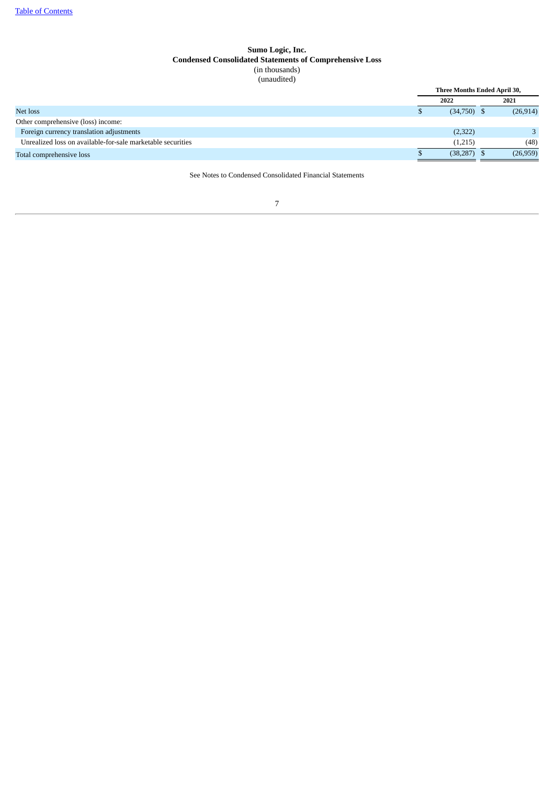# **Sumo Logic, Inc. Condensed Consolidated Statements of Comprehensive Loss** (in thousands) (unaudited)

<span id="page-7-0"></span>

|                                                             |  | Three Months Ended April 30, |           |
|-------------------------------------------------------------|--|------------------------------|-----------|
|                                                             |  | 2022                         | 2021      |
| Net loss                                                    |  | $(34,750)$ \$                | (26, 914) |
| Other comprehensive (loss) income:                          |  |                              |           |
| Foreign currency translation adjustments                    |  | (2,322)                      |           |
| Unrealized loss on available-for-sale marketable securities |  | (1,215)                      | (48)      |
| Total comprehensive loss                                    |  | $(38, 287)$ \$               | (26,959)  |

See Notes to Condensed Consolidated Financial Statements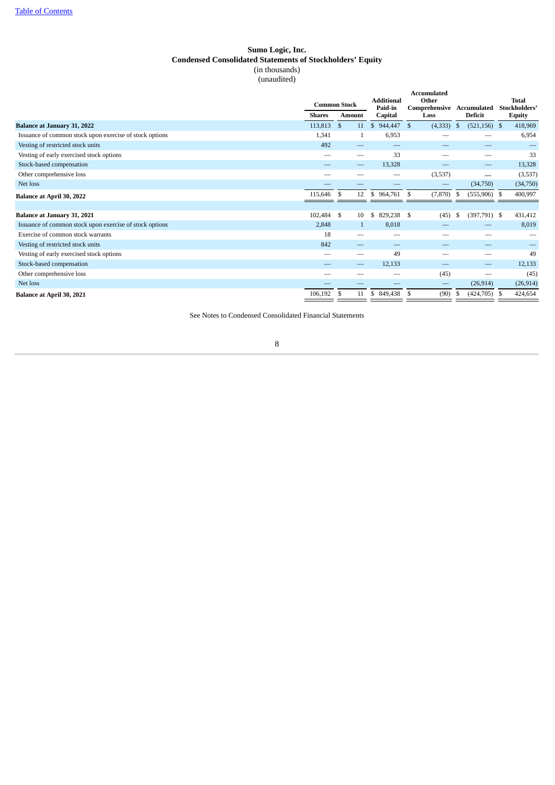# **Sumo Logic, Inc. Condensed Consolidated Statements of Stockholders' Equity** (in thousands) (unaudited)

|                                                         |                          | <b>Additional</b><br><b>Common Stock</b> |                    | <b>Accumulated</b><br>Other     |                               | <b>Total</b>                   |
|---------------------------------------------------------|--------------------------|------------------------------------------|--------------------|---------------------------------|-------------------------------|--------------------------------|
|                                                         | <b>Shares</b>            | Amount                                   | Paid-in<br>Capital | Comprehensive<br>Loss           | Accumulated<br><b>Deficit</b> | Stockholders'<br><b>Equity</b> |
| <b>Balance at January 31, 2022</b>                      | 113,813                  | \$<br>11                                 | 944,447<br>\$      | Ŝ.<br>(4,333)                   | $(521, 156)$ \$<br>\$         | 418,969                        |
| Issuance of common stock upon exercise of stock options | 1,341                    | $\mathbf{1}$                             | 6,953              |                                 |                               | 6,954                          |
| Vesting of restricted stock units                       | 492                      |                                          |                    |                                 | $\hspace{0.05cm} =$           |                                |
| Vesting of early exercised stock options                |                          | $\overline{\phantom{0}}$                 | 33                 |                                 | --                            | 33                             |
| Stock-based compensation                                |                          | $\qquad \qquad \longleftarrow$           | 13,328             |                                 | $\overline{\phantom{0}}$      | 13,328                         |
| Other comprehensive loss                                |                          |                                          | --                 | (3,537)                         |                               | (3,537)                        |
| Net loss                                                |                          |                                          |                    |                                 | (34,750)                      | (34,750)                       |
| <b>Balance at April 30, 2022</b>                        | 115,646                  | 12<br>S                                  | \$964,761          | (7, 870)<br>\$                  | \$<br>$(555,906)$ \$          | 400,997                        |
|                                                         |                          |                                          |                    |                                 |                               |                                |
| Balance at January 31, 2021                             | 102,484 \$               | 10                                       | \$<br>829,238      | (45)<br>\$                      | \$<br>$(397,791)$ \$          | 431,412                        |
| Issuance of common stock upon exercise of stock options | 2,848                    | $\mathbf{1}$                             | 8,018              |                                 |                               | 8,019                          |
| Exercise of common stock warrants                       | 18                       | —                                        |                    |                                 |                               |                                |
| Vesting of restricted stock units                       | 842                      |                                          | --                 | _                               | —                             |                                |
| Vesting of early exercised stock options                | $\overline{\phantom{a}}$ |                                          | 49                 | --                              | —                             | 49                             |
| Stock-based compensation                                |                          |                                          | 12,133             |                                 | $\overline{\phantom{0}}$      | 12,133                         |
| Other comprehensive loss                                | --                       |                                          | —                  | (45)                            | —                             | (45)                           |
| Net loss                                                |                          |                                          |                    | $\hspace{0.1mm}-\hspace{0.1mm}$ | (26, 914)                     | (26, 914)                      |
| <b>Balance at April 30, 2021</b>                        | 106,192                  | - \$<br>11                               | \$849,438          | (90)<br>\$                      | <sup>\$</sup><br>(424, 705)   | 424,654<br>-\$                 |

<span id="page-8-0"></span>See Notes to Condensed Consolidated Financial Statements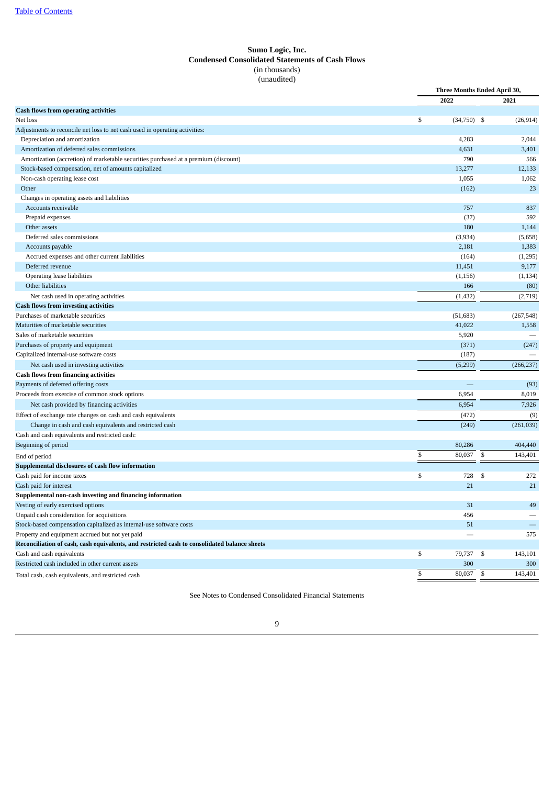# **Sumo Logic, Inc. Condensed Consolidated Statements of Cash Flows** (in thousands) (unaudited)

|                                                                                              | <b>Three Months Ended April 30,</b> |               |
|----------------------------------------------------------------------------------------------|-------------------------------------|---------------|
|                                                                                              | 2022                                | 2021          |
| Cash flows from operating activities                                                         |                                     |               |
| Net loss                                                                                     | \$<br>$(34,750)$ \$                 | (26, 914)     |
| Adjustments to reconcile net loss to net cash used in operating activities:                  |                                     |               |
| Depreciation and amortization                                                                | 4,283                               | 2,044         |
| Amortization of deferred sales commissions                                                   | 4,631                               | 3,401         |
| Amortization (accretion) of marketable securities purchased at a premium (discount)          | 790                                 | 566           |
| Stock-based compensation, net of amounts capitalized                                         | 13,277                              | 12,133        |
| Non-cash operating lease cost                                                                | 1,055                               | 1,062         |
| Other                                                                                        | (162)                               | 23            |
| Changes in operating assets and liabilities                                                  |                                     |               |
| Accounts receivable                                                                          | 757                                 | 837           |
| Prepaid expenses                                                                             | (37)                                | 592           |
| Other assets                                                                                 | 180                                 | 1,144         |
| Deferred sales commissions                                                                   | (3,934)                             | (5,658)       |
| Accounts payable                                                                             | 2,181                               | 1,383         |
| Accrued expenses and other current liabilities                                               | (164)                               | (1,295)       |
| Deferred revenue                                                                             | 11,451                              | 9,177         |
| Operating lease liabilities                                                                  | (1, 156)                            | (1, 134)      |
| Other liabilities                                                                            | 166                                 | (80)          |
| Net cash used in operating activities                                                        | (1, 432)                            | (2,719)       |
| <b>Cash flows from investing activities</b>                                                  |                                     |               |
| Purchases of marketable securities                                                           | (51, 683)                           | (267, 548)    |
| Maturities of marketable securities                                                          | 41,022                              | 1,558         |
| Sales of marketable securities                                                               | 5,920                               |               |
| Purchases of property and equipment                                                          | (371)                               | (247)         |
| Capitalized internal-use software costs                                                      | (187)                               |               |
| Net cash used in investing activities                                                        | (5,299)                             | (266, 237)    |
| <b>Cash flows from financing activities</b>                                                  |                                     |               |
| Payments of deferred offering costs                                                          |                                     | (93)          |
| Proceeds from exercise of common stock options                                               | 6,954                               | 8,019         |
| Net cash provided by financing activities                                                    | 6,954                               | 7,926         |
| Effect of exchange rate changes on cash and cash equivalents                                 | (472)                               | (9)           |
| Change in cash and cash equivalents and restricted cash                                      | (249)                               | (261,039)     |
| Cash and cash equivalents and restricted cash:                                               |                                     |               |
| Beginning of period                                                                          | 80,286                              | 404,440       |
| End of period                                                                                | \$<br>80,037                        | \$<br>143,401 |
| Supplemental disclosures of cash flow information                                            |                                     |               |
| Cash paid for income taxes                                                                   | \$<br>728                           | 272<br>-\$    |
| Cash paid for interest                                                                       | 21                                  | 21            |
| Supplemental non-cash investing and financing information                                    |                                     |               |
| Vesting of early exercised options                                                           | 31                                  | 49            |
| Unpaid cash consideration for acquisitions                                                   | 456                                 |               |
| Stock-based compensation capitalized as internal-use software costs                          | 51                                  |               |
| Property and equipment accrued but not yet paid                                              |                                     | 575           |
| Reconciliation of cash, cash equivalents, and restricted cash to consolidated balance sheets |                                     |               |
| Cash and cash equivalents                                                                    | \$<br>79,737 \$                     | 143,101       |
| Restricted cash included in other current assets                                             | 300                                 | 300           |
|                                                                                              | \$<br>80,037                        | \$<br>143,401 |
| Total cash, cash equivalents, and restricted cash                                            |                                     |               |

<span id="page-9-0"></span>See Notes to Condensed Consolidated Financial Statements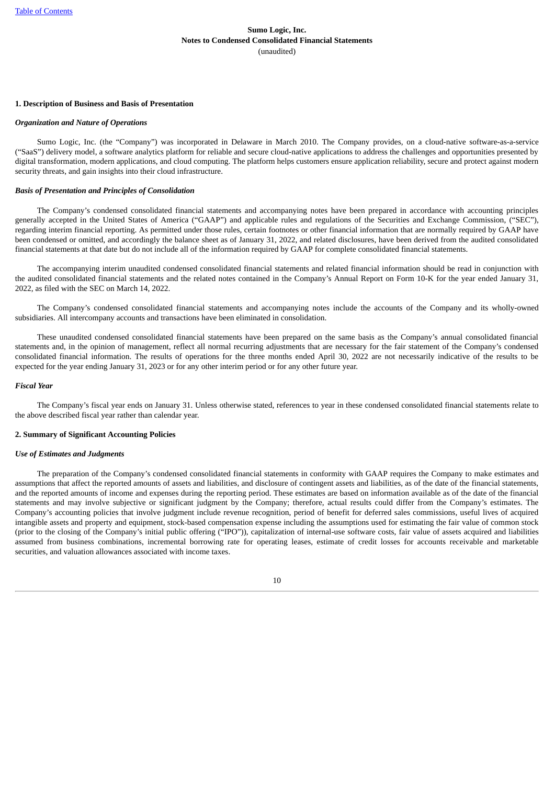# **Sumo Logic, Inc. Notes to Condensed Consolidated Financial Statements** (unaudited)

# **1. Description of Business and Basis of Presentation**

#### *Organization and Nature of Operations*

Sumo Logic, Inc. (the "Company") was incorporated in Delaware in March 2010. The Company provides, on a cloud-native software-as-a-service ("SaaS") delivery model, a software analytics platform for reliable and secure cloud-native applications to address the challenges and opportunities presented by digital transformation, modern applications, and cloud computing. The platform helps customers ensure application reliability, secure and protect against modern security threats, and gain insights into their cloud infrastructure.

# *Basis of Presentation and Principles of Consolidation*

The Company's condensed consolidated financial statements and accompanying notes have been prepared in accordance with accounting principles generally accepted in the United States of America ("GAAP") and applicable rules and regulations of the Securities and Exchange Commission, ("SEC"), regarding interim financial reporting. As permitted under those rules, certain footnotes or other financial information that are normally required by GAAP have been condensed or omitted, and accordingly the balance sheet as of January 31, 2022, and related disclosures, have been derived from the audited consolidated financial statements at that date but do not include all of the information required by GAAP for complete consolidated financial statements.

The accompanying interim unaudited condensed consolidated financial statements and related financial information should be read in conjunction with the audited consolidated financial statements and the related notes contained in the Company's Annual Report on Form 10-K for the year ended January 31, 2022, as filed with the SEC on March 14, 2022.

The Company's condensed consolidated financial statements and accompanying notes include the accounts of the Company and its wholly-owned subsidiaries. All intercompany accounts and transactions have been eliminated in consolidation.

These unaudited condensed consolidated financial statements have been prepared on the same basis as the Company's annual consolidated financial statements and, in the opinion of management, reflect all normal recurring adjustments that are necessary for the fair statement of the Company's condensed consolidated financial information. The results of operations for the three months ended April 30, 2022 are not necessarily indicative of the results to be expected for the year ending January 31, 2023 or for any other interim period or for any other future year.

### *Fiscal Year*

The Company's fiscal year ends on January 31. Unless otherwise stated, references to year in these condensed consolidated financial statements relate to the above described fiscal year rather than calendar year.

# **2. Summary of Significant Accounting Policies**

#### *Use of Estimates and Judgments*

The preparation of the Company's condensed consolidated financial statements in conformity with GAAP requires the Company to make estimates and assumptions that affect the reported amounts of assets and liabilities, and disclosure of contingent assets and liabilities, as of the date of the financial statements, and the reported amounts of income and expenses during the reporting period. These estimates are based on information available as of the date of the financial statements and may involve subjective or significant judgment by the Company; therefore, actual results could differ from the Company's estimates. The Company's accounting policies that involve judgment include revenue recognition, period of benefit for deferred sales commissions, useful lives of acquired intangible assets and property and equipment, stock-based compensation expense including the assumptions used for estimating the fair value of common stock (prior to the closing of the Company's initial public offering ("IPO")), capitalization of internal-use software costs, fair value of assets acquired and liabilities assumed from business combinations, incremental borrowing rate for operating leases, estimate of credit losses for accounts receivable and marketable securities, and valuation allowances associated with income taxes.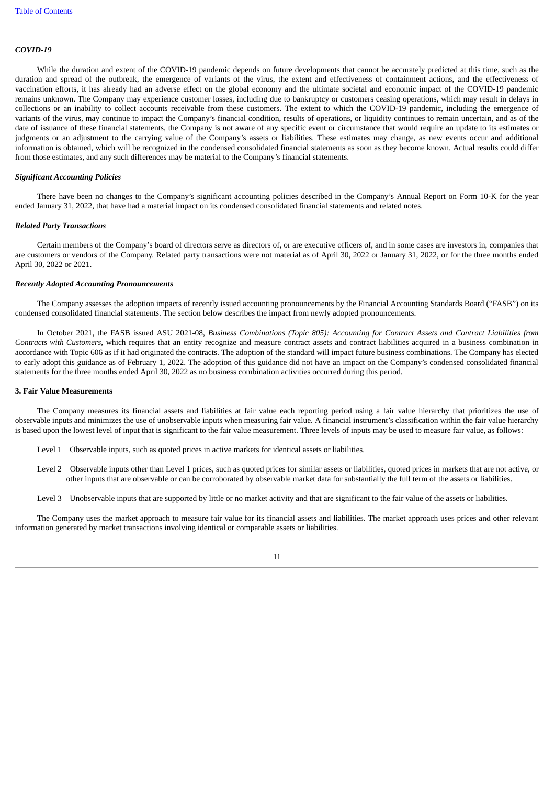## *COVID-19*

While the duration and extent of the COVID-19 pandemic depends on future developments that cannot be accurately predicted at this time, such as the duration and spread of the outbreak, the emergence of variants of the virus, the extent and effectiveness of containment actions, and the effectiveness of vaccination efforts, it has already had an adverse effect on the global economy and the ultimate societal and economic impact of the COVID-19 pandemic remains unknown. The Company may experience customer losses, including due to bankruptcy or customers ceasing operations, which may result in delays in collections or an inability to collect accounts receivable from these customers. The extent to which the COVID-19 pandemic, including the emergence of variants of the virus, may continue to impact the Company's financial condition, results of operations, or liquidity continues to remain uncertain, and as of the date of issuance of these financial statements, the Company is not aware of any specific event or circumstance that would require an update to its estimates or judgments or an adjustment to the carrying value of the Company's assets or liabilities. These estimates may change, as new events occur and additional information is obtained, which will be recognized in the condensed consolidated financial statements as soon as they become known. Actual results could differ from those estimates, and any such differences may be material to the Company's financial statements.

#### *Significant Accounting Policies*

There have been no changes to the Company's significant accounting policies described in the Company's Annual Report on Form 10-K for the year ended January 31, 2022, that have had a material impact on its condensed consolidated financial statements and related notes.

### *Related Party Transactions*

Certain members of the Company's board of directors serve as directors of, or are executive officers of, and in some cases are investors in, companies that are customers or vendors of the Company. Related party transactions were not material as of April 30, 2022 or January 31, 2022, or for the three months ended April 30, 2022 or 2021.

#### *Recently Adopted Accounting Pronouncements*

The Company assesses the adoption impacts of recently issued accounting pronouncements by the Financial Accounting Standards Board ("FASB") on its condensed consolidated financial statements. The section below describes the impact from newly adopted pronouncements.

In October 2021, the FASB issued ASU 2021-08, Business Combinations (Topic 805): Accounting for Contract Assets and Contract Liabilities from *Contracts with Customers*, which requires that an entity recognize and measure contract assets and contract liabilities acquired in a business combination in accordance with Topic 606 as if it had originated the contracts. The adoption of the standard will impact future business combinations. The Company has elected to early adopt this guidance as of February 1, 2022. The adoption of this guidance did not have an impact on the Company's condensed consolidated financial statements for the three months ended April 30, 2022 as no business combination activities occurred during this period.

#### **3. Fair Value Measurements**

The Company measures its financial assets and liabilities at fair value each reporting period using a fair value hierarchy that prioritizes the use of observable inputs and minimizes the use of unobservable inputs when measuring fair value. A financial instrument's classification within the fair value hierarchy is based upon the lowest level of input that is significant to the fair value measurement. Three levels of inputs may be used to measure fair value, as follows:

- Level 1 Observable inputs, such as quoted prices in active markets for identical assets or liabilities.
- Level 2 Observable inputs other than Level 1 prices, such as quoted prices for similar assets or liabilities, quoted prices in markets that are not active, or other inputs that are observable or can be corroborated by observable market data for substantially the full term of the assets or liabilities.
- Level 3 Unobservable inputs that are supported by little or no market activity and that are significant to the fair value of the assets or liabilities.

The Company uses the market approach to measure fair value for its financial assets and liabilities. The market approach uses prices and other relevant information generated by market transactions involving identical or comparable assets or liabilities.

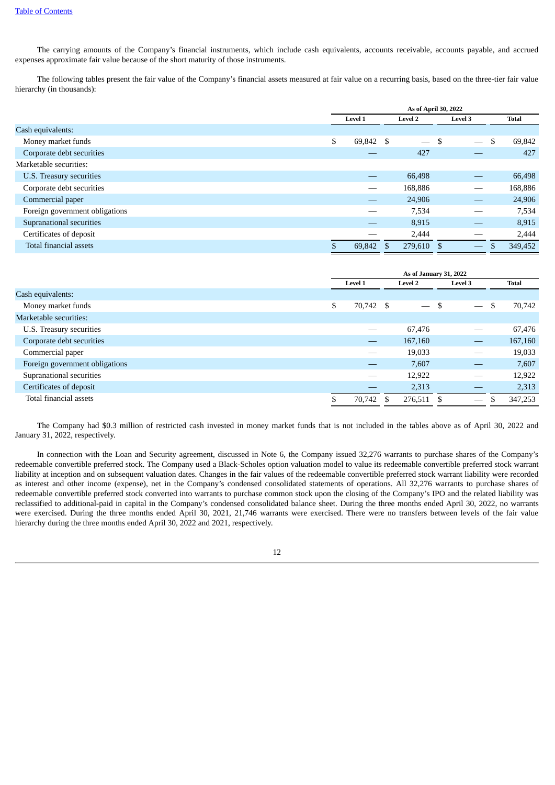The carrying amounts of the Company's financial instruments, which include cash equivalents, accounts receivable, accounts payable, and accrued expenses approximate fair value because of the short maturity of those instruments.

The following tables present the fair value of the Company's financial assets measured at fair value on a recurring basis, based on the three-tier fair value hierarchy (in thousands):

|                                | As of April 30, 2022 |                |     |                          |    |                          |    |         |
|--------------------------------|----------------------|----------------|-----|--------------------------|----|--------------------------|----|---------|
|                                |                      | <b>Level 1</b> |     | <b>Level 2</b>           |    | <b>Level 3</b>           |    | Total   |
| Cash equivalents:              |                      |                |     |                          |    |                          |    |         |
| Money market funds             | \$                   | 69,842         | \$  | $\overline{\phantom{m}}$ | \$ | $\qquad \qquad$          | \$ | 69,842  |
| Corporate debt securities      |                      |                |     | 427                      |    |                          |    | 427     |
| Marketable securities:         |                      |                |     |                          |    |                          |    |         |
| U.S. Treasury securities       |                      |                |     | 66,498                   |    |                          |    | 66,498  |
| Corporate debt securities      |                      |                |     | 168,886                  |    |                          |    | 168,886 |
| Commercial paper               |                      |                |     | 24,906                   |    |                          |    | 24,906  |
| Foreign government obligations |                      |                |     | 7,534                    |    |                          |    | 7,534   |
| Supranational securities       |                      |                |     | 8,915                    |    | __                       |    | 8,915   |
| Certificates of deposit        |                      |                |     | 2,444                    |    |                          |    | 2,444   |
| Total financial assets         |                      | 69,842         | \$. | 279,610 \$               |    | $\overline{\phantom{0}}$ |    | 349,452 |

|                                | As of January 31, 2022 |           |    |                          |         |                          |    |         |
|--------------------------------|------------------------|-----------|----|--------------------------|---------|--------------------------|----|---------|
|                                |                        | Level 1   |    | Level 2                  | Level 3 |                          |    | Total   |
| Cash equivalents:              |                        |           |    |                          |         |                          |    |         |
| Money market funds             | \$                     | 70,742 \$ |    | $\overline{\phantom{0}}$ | - \$    |                          | \$ | 70,742  |
| Marketable securities:         |                        |           |    |                          |         |                          |    |         |
| U.S. Treasury securities       |                        |           |    | 67,476                   |         |                          |    | 67,476  |
| Corporate debt securities      |                        |           |    | 167,160                  |         | $\hspace{0.1cm}$         |    | 167,160 |
| Commercial paper               |                        |           |    | 19,033                   |         |                          |    | 19,033  |
| Foreign government obligations |                        |           |    | 7,607                    |         |                          |    | 7,607   |
| Supranational securities       |                        |           |    | 12,922                   |         |                          |    | 12,922  |
| Certificates of deposit        |                        |           |    | 2,313                    |         |                          |    | 2,313   |
| Total financial assets         | C                      | 70,742    | £. | 276,511 \$               |         | $\overline{\phantom{0}}$ |    | 347,253 |

The Company had \$0.3 million of restricted cash invested in money market funds that is not included in the tables above as of April 30, 2022 and January 31, 2022, respectively.

In connection with the Loan and Security agreement, discussed in Note 6, the Company issued 32,276 warrants to purchase shares of the Company's redeemable convertible preferred stock. The Company used a Black-Scholes option valuation model to value its redeemable convertible preferred stock warrant liability at inception and on subsequent valuation dates. Changes in the fair values of the redeemable convertible preferred stock warrant liability were recorded as interest and other income (expense), net in the Company's condensed consolidated statements of operations. All 32,276 warrants to purchase shares of redeemable convertible preferred stock converted into warrants to purchase common stock upon the closing of the Company's IPO and the related liability was reclassified to additional-paid in capital in the Company's condensed consolidated balance sheet. During the three months ended April 30, 2022, no warrants were exercised. During the three months ended April 30, 2021, 21,746 warrants were exercised. There were no transfers between levels of the fair value hierarchy during the three months ended April 30, 2022 and 2021, respectively.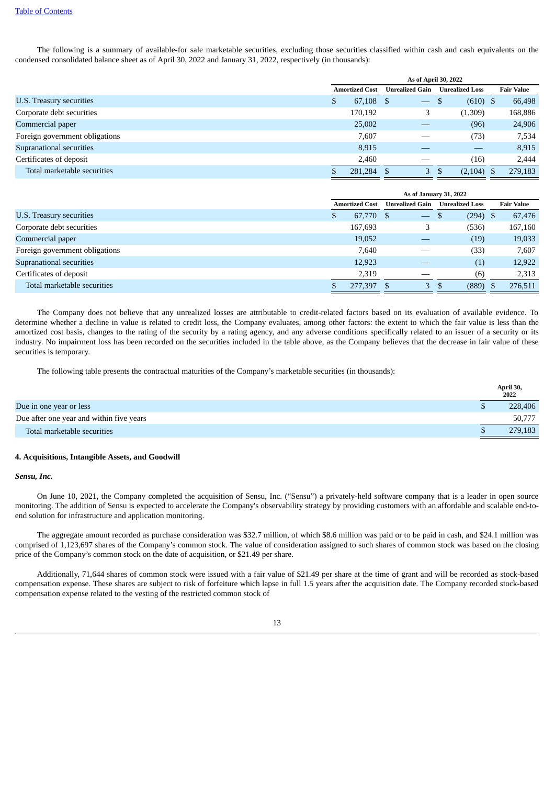The following is a summary of available-for sale marketable securities, excluding those securities classified within cash and cash equivalents on the condensed consolidated balance sheet as of April 30, 2022 and January 31, 2022, respectively (in thousands):

|                                | As of April 30, 2022 |                       |    |                        |                        |    |                   |
|--------------------------------|----------------------|-----------------------|----|------------------------|------------------------|----|-------------------|
|                                |                      | <b>Amortized Cost</b> |    | <b>Unrealized Gain</b> | <b>Unrealized Loss</b> |    | <b>Fair Value</b> |
| U.S. Treasury securities       |                      | 67,108                | -S | $\hspace{0.05cm}$      | $(610)$ \$<br>- \$     |    | 66,498            |
| Corporate debt securities      |                      | 170,192               |    | 3                      | (1,309)                |    | 168,886           |
| Commercial paper               |                      | 25,002                |    |                        | (96)                   |    | 24,906            |
| Foreign government obligations |                      | 7,607                 |    |                        | (73)                   |    | 7,534             |
| Supranational securities       |                      | 8,915                 |    |                        |                        |    | 8,915             |
| Certificates of deposit        |                      | 2,460                 |    |                        | (16)                   |    | 2,444             |
| Total marketable securities    |                      | 281,284               |    | 3S                     | (2,104)                | -S | 279,183           |

|                                | As of January 31, 2022 |                       |      |                   |   |                        |                   |
|--------------------------------|------------------------|-----------------------|------|-------------------|---|------------------------|-------------------|
|                                |                        | <b>Amortized Cost</b> |      | Unrealized Gain   |   | <b>Unrealized Loss</b> | <b>Fair Value</b> |
| U.S. Treasury securities       | D                      | 67,770                | - \$ | $\hspace{0.05cm}$ |   | (294)                  | 67,476<br>- \$    |
| Corporate debt securities      |                        | 167,693               |      | 3                 |   | (536)                  | 167,160           |
| Commercial paper               |                        | 19,052                |      |                   |   | (19)                   | 19,033            |
| Foreign government obligations |                        | 7,640                 |      |                   |   | (33)                   | 7,607             |
| Supranational securities       |                        | 12,923                |      |                   |   | (1)                    | 12,922            |
| Certificates of deposit        |                        | 2,319                 |      |                   |   | (6)                    | 2,313             |
| Total marketable securities    |                        | 277,397               | -S   | 3                 | 5 | (889)                  | 276,511<br>- 85   |

The Company does not believe that any unrealized losses are attributable to credit-related factors based on its evaluation of available evidence. To determine whether a decline in value is related to credit loss, the Company evaluates, among other factors: the extent to which the fair value is less than the amortized cost basis, changes to the rating of the security by a rating agency, and any adverse conditions specifically related to an issuer of a security or its industry. No impairment loss has been recorded on the securities included in the table above, as the Company believes that the decrease in fair value of these securities is temporary.

The following table presents the contractual maturities of the Company's marketable securities (in thousands):

|                                          | April 30,<br>2022 |
|------------------------------------------|-------------------|
| Due in one year or less                  | 228,406           |
| Due after one year and within five years | 50,777            |
| Total marketable securities              | 279,183           |

#### **4. Acquisitions, Intangible Assets, and Goodwill**

### *Sensu, Inc.*

On June 10, 2021, the Company completed the acquisition of Sensu, Inc. ("Sensu") a privately-held software company that is a leader in open source monitoring. The addition of Sensu is expected to accelerate the Company's observability strategy by providing customers with an affordable and scalable end-toend solution for infrastructure and application monitoring.

The aggregate amount recorded as purchase consideration was \$32.7 million, of which \$8.6 million was paid or to be paid in cash, and \$24.1 million was comprised of 1,123,697 shares of the Company's common stock. The value of consideration assigned to such shares of common stock was based on the closing price of the Company's common stock on the date of acquisition, or \$21.49 per share.

Additionally, 71,644 shares of common stock were issued with a fair value of \$21.49 per share at the time of grant and will be recorded as stock-based compensation expense. These shares are subject to risk of forfeiture which lapse in full 1.5 years after the acquisition date. The Company recorded stock-based compensation expense related to the vesting of the restricted common stock of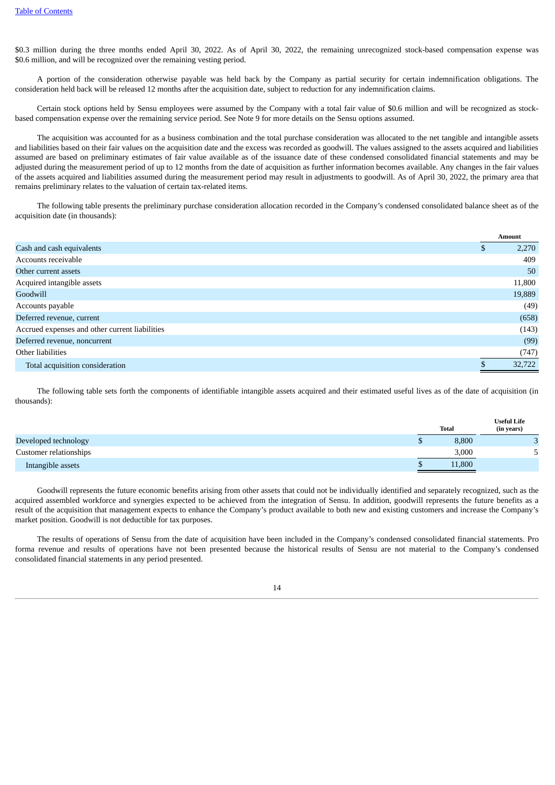\$0.3 million during the three months ended April 30, 2022. As of April 30, 2022, the remaining unrecognized stock-based compensation expense was \$0.6 million, and will be recognized over the remaining vesting period.

A portion of the consideration otherwise payable was held back by the Company as partial security for certain indemnification obligations. The consideration held back will be released 12 months after the acquisition date, subject to reduction for any indemnification claims.

Certain stock options held by Sensu employees were assumed by the Company with a total fair value of \$0.6 million and will be recognized as stockbased compensation expense over the remaining service period. See Note 9 for more details on the Sensu options assumed.

The acquisition was accounted for as a business combination and the total purchase consideration was allocated to the net tangible and intangible assets and liabilities based on their fair values on the acquisition date and the excess was recorded as goodwill. The values assigned to the assets acquired and liabilities assumed are based on preliminary estimates of fair value available as of the issuance date of these condensed consolidated financial statements and may be adjusted during the measurement period of up to 12 months from the date of acquisition as further information becomes available. Any changes in the fair values of the assets acquired and liabilities assumed during the measurement period may result in adjustments to goodwill. As of April 30, 2022, the primary area that remains preliminary relates to the valuation of certain tax-related items.

The following table presents the preliminary purchase consideration allocation recorded in the Company's condensed consolidated balance sheet as of the acquisition date (in thousands):

|                                                |          | <b>Amount</b> |
|------------------------------------------------|----------|---------------|
| Cash and cash equivalents                      | <b>D</b> | 2,270         |
| Accounts receivable                            |          | 409           |
| Other current assets                           |          | 50            |
| Acquired intangible assets                     |          | 11,800        |
| Goodwill                                       |          | 19,889        |
| Accounts payable                               |          | (49)          |
| Deferred revenue, current                      |          | (658)         |
| Accrued expenses and other current liabilities |          | (143)         |
| Deferred revenue, noncurrent                   |          | (99)          |
| Other liabilities                              |          | (747)         |
| Total acquisition consideration                |          | 32,722        |

The following table sets forth the components of identifiable intangible assets acquired and their estimated useful lives as of the date of acquisition (in thousands):

|                        |    | <b>Total</b> | <b>Useful Life</b><br>(in years) |  |
|------------------------|----|--------------|----------------------------------|--|
| Developed technology   | \$ | 8,800        | $\sqrt{2}$                       |  |
| Customer relationships |    | 3,000        |                                  |  |
| Intangible assets      | ъ  | 11,800       |                                  |  |

Goodwill represents the future economic benefits arising from other assets that could not be individually identified and separately recognized, such as the acquired assembled workforce and synergies expected to be achieved from the integration of Sensu. In addition, goodwill represents the future benefits as a result of the acquisition that management expects to enhance the Company's product available to both new and existing customers and increase the Company's market position. Goodwill is not deductible for tax purposes.

The results of operations of Sensu from the date of acquisition have been included in the Company's condensed consolidated financial statements. Pro forma revenue and results of operations have not been presented because the historical results of Sensu are not material to the Company's condensed consolidated financial statements in any period presented.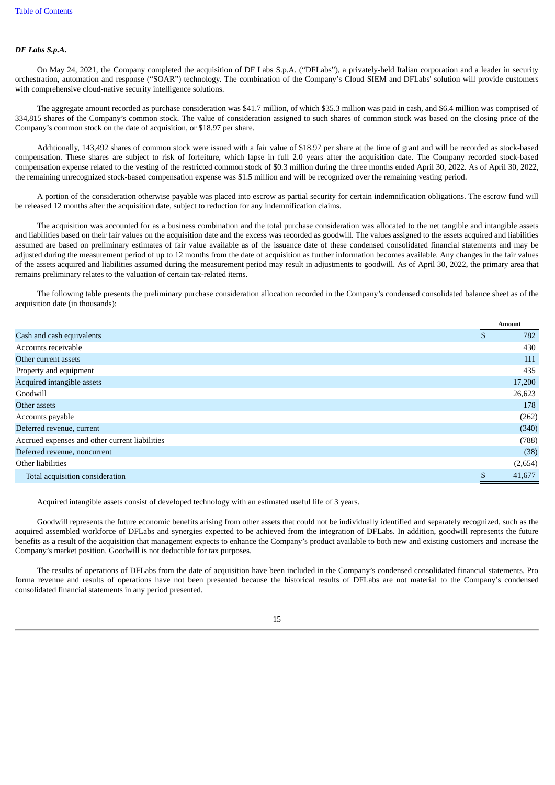# *DF Labs S.p.A.*

On May 24, 2021, the Company completed the acquisition of DF Labs S.p.A. ("DFLabs"), a privately-held Italian corporation and a leader in security orchestration, automation and response ("SOAR") technology. The combination of the Company's Cloud SIEM and DFLabs' solution will provide customers with comprehensive cloud-native security intelligence solutions.

The aggregate amount recorded as purchase consideration was \$41.7 million, of which \$35.3 million was paid in cash, and \$6.4 million was comprised of 334,815 shares of the Company's common stock. The value of consideration assigned to such shares of common stock was based on the closing price of the Company's common stock on the date of acquisition, or \$18.97 per share.

Additionally, 143,492 shares of common stock were issued with a fair value of \$18.97 per share at the time of grant and will be recorded as stock-based compensation. These shares are subject to risk of forfeiture, which lapse in full 2.0 years after the acquisition date. The Company recorded stock-based compensation expense related to the vesting of the restricted common stock of \$0.3 million during the three months ended April 30, 2022. As of April 30, 2022, the remaining unrecognized stock-based compensation expense was \$1.5 million and will be recognized over the remaining vesting period.

A portion of the consideration otherwise payable was placed into escrow as partial security for certain indemnification obligations. The escrow fund will be released 12 months after the acquisition date, subject to reduction for any indemnification claims.

The acquisition was accounted for as a business combination and the total purchase consideration was allocated to the net tangible and intangible assets and liabilities based on their fair values on the acquisition date and the excess was recorded as goodwill. The values assigned to the assets acquired and liabilities assumed are based on preliminary estimates of fair value available as of the issuance date of these condensed consolidated financial statements and may be adjusted during the measurement period of up to 12 months from the date of acquisition as further information becomes available. Any changes in the fair values of the assets acquired and liabilities assumed during the measurement period may result in adjustments to goodwill. As of April 30, 2022, the primary area that remains preliminary relates to the valuation of certain tax-related items.

The following table presents the preliminary purchase consideration allocation recorded in the Company's condensed consolidated balance sheet as of the acquisition date (in thousands):

|                                                | <b>Amount</b> |
|------------------------------------------------|---------------|
| Cash and cash equivalents                      | \$<br>782     |
| Accounts receivable                            | 430           |
| Other current assets                           | 111           |
| Property and equipment                         | 435           |
| Acquired intangible assets                     | 17,200        |
| Goodwill                                       | 26,623        |
| Other assets                                   | 178           |
| Accounts payable                               | (262)         |
| Deferred revenue, current                      | (340)         |
| Accrued expenses and other current liabilities | (788)         |
| Deferred revenue, noncurrent                   | (38)          |
| Other liabilities                              | (2,654)       |
| Total acquisition consideration                | 41,677        |

Acquired intangible assets consist of developed technology with an estimated useful life of 3 years.

Goodwill represents the future economic benefits arising from other assets that could not be individually identified and separately recognized, such as the acquired assembled workforce of DFLabs and synergies expected to be achieved from the integration of DFLabs. In addition, goodwill represents the future benefits as a result of the acquisition that management expects to enhance the Company's product available to both new and existing customers and increase the Company's market position. Goodwill is not deductible for tax purposes.

The results of operations of DFLabs from the date of acquisition have been included in the Company's condensed consolidated financial statements. Pro forma revenue and results of operations have not been presented because the historical results of DFLabs are not material to the Company's condensed consolidated financial statements in any period presented.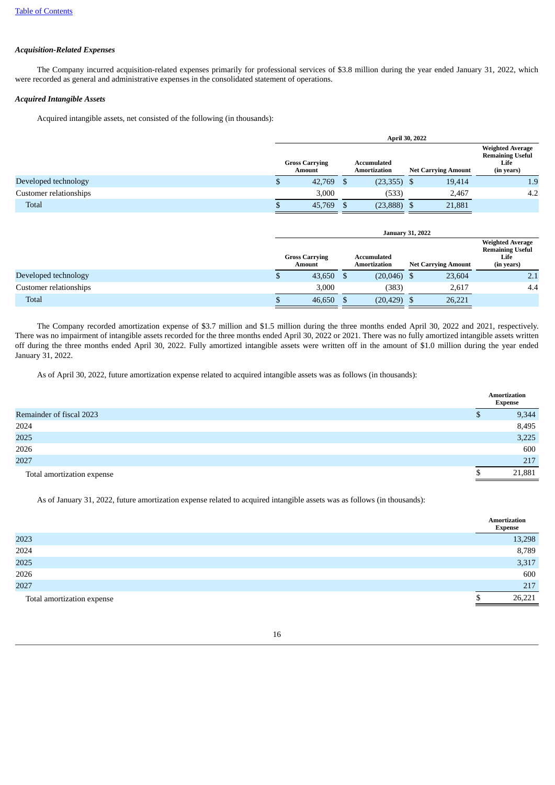# *Acquisition-Related Expenses*

The Company incurred acquisition-related expenses primarily for professional services of \$3.8 million during the year ended January 31, 2022, which were recorded as general and administrative expenses in the consolidated statement of operations.

# *Acquired Intangible Assets*

Acquired intangible assets, net consisted of the following (in thousands):

|                        | April 30, 2022 |                                 |              |                                           |  |                            |                                                                          |
|------------------------|----------------|---------------------------------|--------------|-------------------------------------------|--|----------------------------|--------------------------------------------------------------------------|
|                        |                | <b>Gross Carrying</b><br>Amount |              | Accumulated<br><b>Amortization</b>        |  | <b>Net Carrying Amount</b> | <b>Weighted Average</b><br><b>Remaining Useful</b><br>Life<br>(in years) |
| Developed technology   | \$.            | 42,769 \$                       |              | $(23,355)$ \$                             |  | 19,414                     | 1.9                                                                      |
| Customer relationships |                | 3,000                           |              | (533)                                     |  | 2,467                      | 4.2                                                                      |
| <b>Total</b>           |                | 45,769                          | -S           | $(23,888)$ \$                             |  | 21,881                     |                                                                          |
|                        |                |                                 |              | <b>January 31, 2022</b>                   |  |                            |                                                                          |
|                        |                | <b>Gross Carrying</b><br>Amount |              | <b>Accumulated</b><br><b>Amortization</b> |  | <b>Net Carrying Amount</b> | <b>Weighted Average</b><br><b>Remaining Useful</b><br>Life<br>(in years) |
| Developed technology   | \$             | 43,650                          | \$           | $(20,046)$ \$                             |  | 23,604                     | 2.1                                                                      |
| Customer relationships |                | 3,000                           |              | (383)                                     |  | 2,617                      | 4.4                                                                      |
| <b>Total</b>           |                | 46,650                          | <sup>S</sup> | $(20, 429)$ \$                            |  | 26,221                     |                                                                          |

The Company recorded amortization expense of \$3.7 million and \$1.5 million during the three months ended April 30, 2022 and 2021, respectively. There was no impairment of intangible assets recorded for the three months ended April 30, 2022 or 2021. There was no fully amortized intangible assets written off during the three months ended April 30, 2022. Fully amortized intangible assets were written off in the amount of \$1.0 million during the year ended January 31, 2022.

As of April 30, 2022, future amortization expense related to acquired intangible assets was as follows (in thousands):

|                            |   | Amortization<br><b>Expense</b> |
|----------------------------|---|--------------------------------|
| Remainder of fiscal 2023   | Φ | 9,344                          |
| 2024                       |   | 8,495                          |
| 2025                       |   | 3,225                          |
| 2026                       |   | 600                            |
| 2027                       |   | 217                            |
| Total amortization expense |   | 21,881                         |

As of January 31, 2022, future amortization expense related to acquired intangible assets was as follows (in thousands):

|                            | Amortization<br><b>Expense</b> |
|----------------------------|--------------------------------|
| 2023                       | 13,298                         |
| 2024                       | 8,789                          |
| 2025                       | 3,317                          |
| 2026                       | 600                            |
| 2027                       | 217                            |
| Total amortization expense | 26,221                         |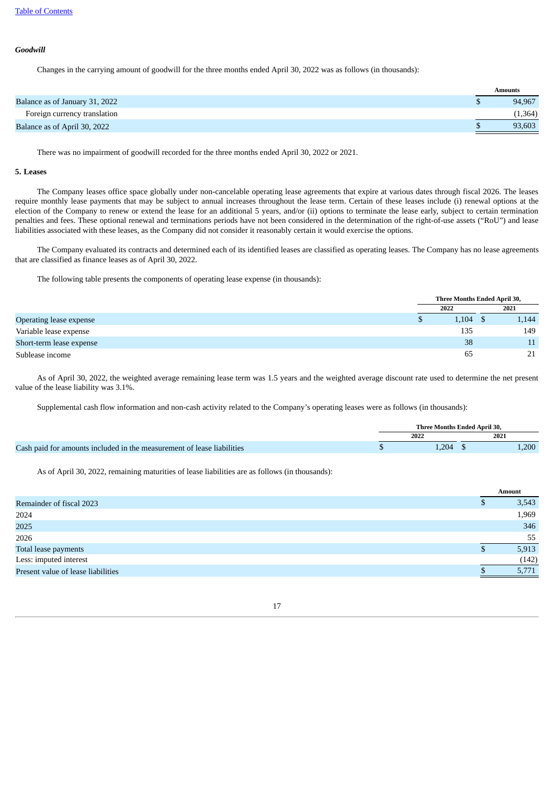# *Goodwill*

Changes in the carrying amount of goodwill for the three months ended April 30, 2022 was as follows (in thousands):

|                                | <b>Amounts</b> |  |
|--------------------------------|----------------|--|
| Balance as of January 31, 2022 | 94.967         |  |
| Foreign currency translation   | (1,364)        |  |
| Balance as of April 30, 2022   | 93,603         |  |

There was no impairment of goodwill recorded for the three months ended April 30, 2022 or 2021.

# **5. Leases**

The Company leases office space globally under non-cancelable operating lease agreements that expire at various dates through fiscal 2026. The leases require monthly lease payments that may be subject to annual increases throughout the lease term. Certain of these leases include (i) renewal options at the election of the Company to renew or extend the lease for an additional 5 years, and/or (ii) options to terminate the lease early, subject to certain termination penalties and fees. These optional renewal and terminations periods have not been considered in the determination of the right-of-use assets ("RoU") and lease liabilities associated with these leases, as the Company did not consider it reasonably certain it would exercise the options.

The Company evaluated its contracts and determined each of its identified leases are classified as operating leases. The Company has no lease agreements that are classified as finance leases as of April 30, 2022.

The following table presents the components of operating lease expense (in thousands):

|                          |    | Three Months Ended April 30, |  |       |  |
|--------------------------|----|------------------------------|--|-------|--|
|                          |    | 2022                         |  | 2021  |  |
| Operating lease expense  | J. | 1,104                        |  | 1,144 |  |
| Variable lease expense   |    | 135                          |  | 149   |  |
| Short-term lease expense |    | 38                           |  | 11    |  |
| Sublease income          |    | 65                           |  | 21    |  |

As of April 30, 2022, the weighted average remaining lease term was 1.5 years and the weighted average discount rate used to determine the net present value of the lease liability was 3.1%.

Supplemental cash flow information and non-cash activity related to the Company's operating leases were as follows (in thousands):

|                                                                        | Three Months Ended April 30. |  |      |  |  |
|------------------------------------------------------------------------|------------------------------|--|------|--|--|
|                                                                        | 2022                         |  | 2021 |  |  |
| Cash paid for amounts included in the measurement of lease liabilities | 204                          |  | ,200 |  |  |

As of April 30, 2022, remaining maturities of lease liabilities are as follows (in thousands):

| Remainder of fiscal 2023           | 3,543 |
|------------------------------------|-------|
| 2024                               | 1,969 |
| 2025                               | 346   |
| 2026                               | 55    |
| Total lease payments               | 5,913 |
| Less: imputed interest             | (142) |
| Present value of lease liabilities | 5,771 |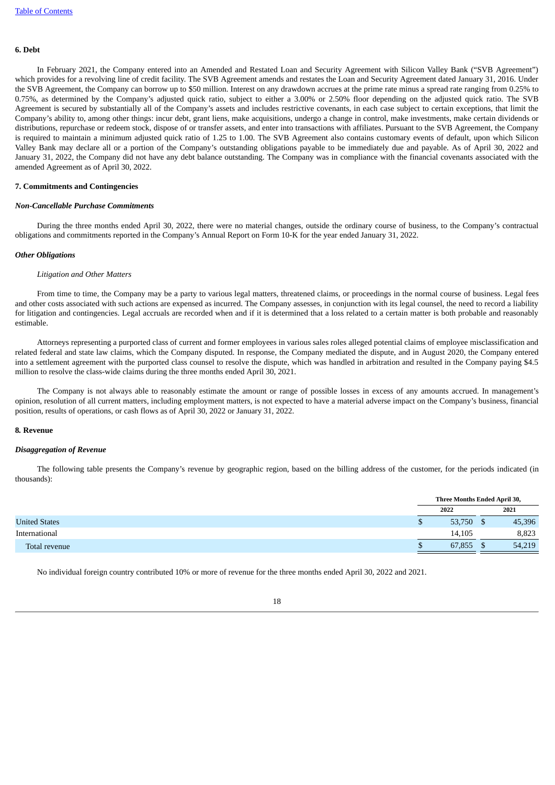# **6. Debt**

In February 2021, the Company entered into an Amended and Restated Loan and Security Agreement with Silicon Valley Bank ("SVB Agreement") which provides for a revolving line of credit facility. The SVB Agreement amends and restates the Loan and Security Agreement dated January 31, 2016. Under the SVB Agreement, the Company can borrow up to \$50 million. Interest on any drawdown accrues at the prime rate minus a spread rate ranging from 0.25% to 0.75%, as determined by the Company's adjusted quick ratio, subject to either a 3.00% or 2.50% floor depending on the adjusted quick ratio. The SVB Agreement is secured by substantially all of the Company's assets and includes restrictive covenants, in each case subject to certain exceptions, that limit the Company's ability to, among other things: incur debt, grant liens, make acquisitions, undergo a change in control, make investments, make certain dividends or distributions, repurchase or redeem stock, dispose of or transfer assets, and enter into transactions with affiliates. Pursuant to the SVB Agreement, the Company is required to maintain a minimum adjusted quick ratio of 1.25 to 1.00. The SVB Agreement also contains customary events of default, upon which Silicon Valley Bank may declare all or a portion of the Company's outstanding obligations payable to be immediately due and payable. As of April 30, 2022 and January 31, 2022, the Company did not have any debt balance outstanding. The Company was in compliance with the financial covenants associated with the amended Agreement as of April 30, 2022.

### **7. Commitments and Contingencies**

#### *Non-Cancellable Purchase Commitments*

During the three months ended April 30, 2022, there were no material changes, outside the ordinary course of business, to the Company's contractual obligations and commitments reported in the Company's Annual Report on Form 10-K for the year ended January 31, 2022.

#### *Other Obligations*

#### *Litigation and Other Matters*

From time to time, the Company may be a party to various legal matters, threatened claims, or proceedings in the normal course of business. Legal fees and other costs associated with such actions are expensed as incurred. The Company assesses, in conjunction with its legal counsel, the need to record a liability for litigation and contingencies. Legal accruals are recorded when and if it is determined that a loss related to a certain matter is both probable and reasonably estimable.

Attorneys representing a purported class of current and former employees in various sales roles alleged potential claims of employee misclassification and related federal and state law claims, which the Company disputed. In response, the Company mediated the dispute, and in August 2020, the Company entered into a settlement agreement with the purported class counsel to resolve the dispute, which was handled in arbitration and resulted in the Company paying \$4.5 million to resolve the class-wide claims during the three months ended April 30, 2021.

The Company is not always able to reasonably estimate the amount or range of possible losses in excess of any amounts accrued. In management's opinion, resolution of all current matters, including employment matters, is not expected to have a material adverse impact on the Company's business, financial position, results of operations, or cash flows as of April 30, 2022 or January 31, 2022.

### **8***.* **Revenue**

### *Disaggregation of Revenue*

The following table presents the Company's revenue by geographic region, based on the billing address of the customer, for the periods indicated (in thousands):

|                      | Three Months Ended April 30, |  |        |  |
|----------------------|------------------------------|--|--------|--|
|                      | 2022<br>2021                 |  |        |  |
| <b>United States</b> | 53,750                       |  | 45,396 |  |
| International        | 14,105                       |  | 8,823  |  |
| Total revenue        | 67,855                       |  | 54,219 |  |

No individual foreign country contributed 10% or more of revenue for the three months ended April 30, 2022 and 2021.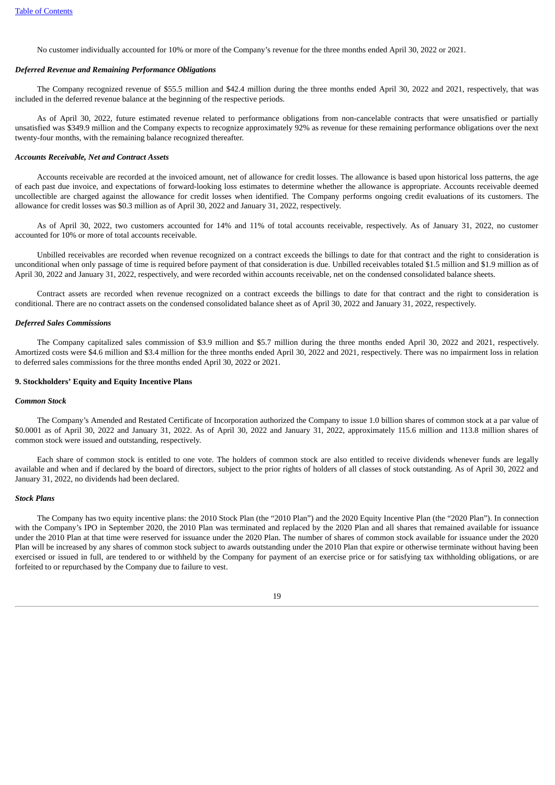No customer individually accounted for 10% or more of the Company's revenue for the three months ended April 30, 2022 or 2021.

### *Deferred Revenue and Remaining Performance Obligations*

The Company recognized revenue of \$55.5 million and \$42.4 million during the three months ended April 30, 2022 and 2021, respectively, that was included in the deferred revenue balance at the beginning of the respective periods.

As of April 30, 2022, future estimated revenue related to performance obligations from non-cancelable contracts that were unsatisfied or partially unsatisfied was \$349.9 million and the Company expects to recognize approximately 92% as revenue for these remaining performance obligations over the next twenty-four months, with the remaining balance recognized thereafter.

# *Accounts Receivable, Net and Contract Assets*

Accounts receivable are recorded at the invoiced amount, net of allowance for credit losses. The allowance is based upon historical loss patterns, the age of each past due invoice, and expectations of forward-looking loss estimates to determine whether the allowance is appropriate. Accounts receivable deemed uncollectible are charged against the allowance for credit losses when identified. The Company performs ongoing credit evaluations of its customers. The allowance for credit losses was \$0.3 million as of April 30, 2022 and January 31, 2022, respectively.

As of April 30, 2022, two customers accounted for 14% and 11% of total accounts receivable, respectively. As of January 31, 2022, no customer accounted for 10% or more of total accounts receivable.

Unbilled receivables are recorded when revenue recognized on a contract exceeds the billings to date for that contract and the right to consideration is unconditional when only passage of time is required before payment of that consideration is due. Unbilled receivables totaled \$1.5 million and \$1.9 million as of April 30, 2022 and January 31, 2022, respectively, and were recorded within accounts receivable, net on the condensed consolidated balance sheets.

Contract assets are recorded when revenue recognized on a contract exceeds the billings to date for that contract and the right to consideration is conditional. There are no contract assets on the condensed consolidated balance sheet as of April 30, 2022 and January 31, 2022, respectively.

#### *Deferred Sales Commissions*

The Company capitalized sales commission of \$3.9 million and \$5.7 million during the three months ended April 30, 2022 and 2021, respectively. Amortized costs were \$4.6 million and \$3.4 million for the three months ended April 30, 2022 and 2021, respectively. There was no impairment loss in relation to deferred sales commissions for the three months ended April 30, 2022 or 2021.

# **9. Stockholders' Equity and Equity Incentive Plans**

#### *Common Stock*

The Company's Amended and Restated Certificate of Incorporation authorized the Company to issue 1.0 billion shares of common stock at a par value of \$0.0001 as of April 30, 2022 and January 31, 2022. As of April 30, 2022 and January 31, 2022, approximately 115.6 million and 113.8 million shares of common stock were issued and outstanding, respectively.

Each share of common stock is entitled to one vote. The holders of common stock are also entitled to receive dividends whenever funds are legally available and when and if declared by the board of directors, subject to the prior rights of holders of all classes of stock outstanding. As of April 30, 2022 and January 31, 2022, no dividends had been declared.

#### *Stock Plans*

The Company has two equity incentive plans: the 2010 Stock Plan (the "2010 Plan") and the 2020 Equity Incentive Plan (the "2020 Plan"). In connection with the Company's IPO in September 2020, the 2010 Plan was terminated and replaced by the 2020 Plan and all shares that remained available for issuance under the 2010 Plan at that time were reserved for issuance under the 2020 Plan. The number of shares of common stock available for issuance under the 2020 Plan will be increased by any shares of common stock subject to awards outstanding under the 2010 Plan that expire or otherwise terminate without having been exercised or issued in full, are tendered to or withheld by the Company for payment of an exercise price or for satisfying tax withholding obligations, or are forfeited to or repurchased by the Company due to failure to vest.

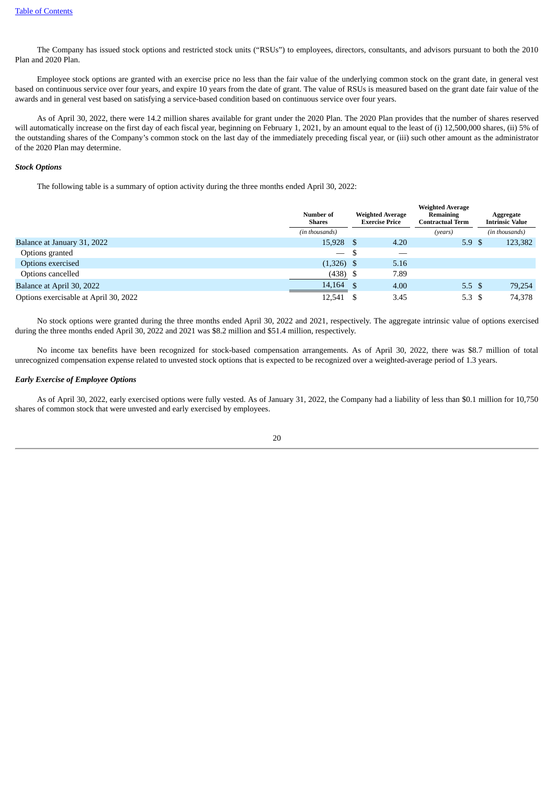The Company has issued stock options and restricted stock units ("RSUs") to employees, directors, consultants, and advisors pursuant to both the 2010 Plan and 2020 Plan.

Employee stock options are granted with an exercise price no less than the fair value of the underlying common stock on the grant date, in general vest based on continuous service over four years, and expire 10 years from the date of grant. The value of RSUs is measured based on the grant date fair value of the awards and in general vest based on satisfying a service-based condition based on continuous service over four years.

As of April 30, 2022, there were 14.2 million shares available for grant under the 2020 Plan. The 2020 Plan provides that the number of shares reserved will automatically increase on the first day of each fiscal year, beginning on February 1, 2021, by an amount equal to the least of (i) 12,500,000 shares, (ii) 5% of the outstanding shares of the Company's common stock on the last day of the immediately preceding fiscal year, or (iii) such other amount as the administrator of the 2020 Plan may determine.

# *Stock Options*

The following table is a summary of option activity during the three months ended April 30, 2022:

|                                       | Number of<br><b>Weighted Average</b><br><b>Exercise Price</b><br><b>Shares</b> |      | <b>Weighted Average</b><br><b>Remaining</b><br><b>Contractual Term</b> |                  | Aggregate<br><b>Intrinsic Value</b> |  |
|---------------------------------------|--------------------------------------------------------------------------------|------|------------------------------------------------------------------------|------------------|-------------------------------------|--|
|                                       | (in thousands)                                                                 |      |                                                                        | (years)          | (in thousands)                      |  |
| Balance at January 31, 2022           | 15,928 \$                                                                      |      | 4.20                                                                   | 5.9 <sup>5</sup> | 123,382                             |  |
| Options granted                       | $\overline{\phantom{m}}$                                                       | - \$ |                                                                        |                  |                                     |  |
| Options exercised                     | $(1,326)$ \$                                                                   |      | 5.16                                                                   |                  |                                     |  |
| Options cancelled                     | $(438)$ \$                                                                     |      | 7.89                                                                   |                  |                                     |  |
| Balance at April 30, 2022             | $14,164$ \$                                                                    |      | 4.00                                                                   | 5.5 <sup>5</sup> | 79,254                              |  |
| Options exercisable at April 30, 2022 | 12,541                                                                         |      | 3.45                                                                   | 5.3 $\sqrt{5}$   | 74.378                              |  |

No stock options were granted during the three months ended April 30, 2022 and 2021, respectively. The aggregate intrinsic value of options exercised during the three months ended April 30, 2022 and 2021 was \$8.2 million and \$51.4 million, respectively.

No income tax benefits have been recognized for stock-based compensation arrangements. As of April 30, 2022, there was \$8.7 million of total unrecognized compensation expense related to unvested stock options that is expected to be recognized over a weighted-average period of 1.3 years.

# *Early Exercise of Employee Options*

As of April 30, 2022, early exercised options were fully vested. As of January 31, 2022, the Company had a liability of less than \$0.1 million for 10,750 shares of common stock that were unvested and early exercised by employees.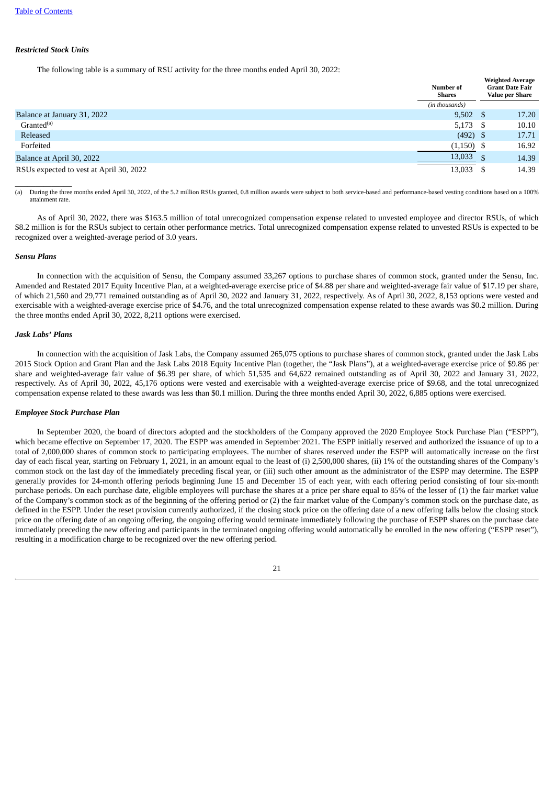# *Restricted Stock Units*

The following table is a summary of RSU activity for the three months ended April 30, 2022:

|                                         | <b>Number of</b><br>Shares |              | <b>Weighted Average</b><br><b>Grant Date Fair</b><br>Value per Share |
|-----------------------------------------|----------------------------|--------------|----------------------------------------------------------------------|
|                                         | (in thousands)             |              |                                                                      |
| Balance at January 31, 2022             | 9,502                      | <sup>S</sup> | 17.20                                                                |
| $Granded^{\text{(a)}}$                  | $5,173$ \$                 |              | 10.10                                                                |
| Released                                | $(492)$ \$                 |              | 17.71                                                                |
| Forfeited                               | $(1,150)$ \$               |              | 16.92                                                                |
| Balance at April 30, 2022               | 13,033                     |              | 14.39                                                                |
| RSUs expected to vest at April 30, 2022 | 13,033                     |              | 14.39                                                                |

 $\overline{\phantom{a}}$  , where  $\overline{\phantom{a}}$ (a) During the three months ended April 30, 2022, of the 5.2 million RSUs granted, 0.8 million awards were subject to both service-based and performance-based vesting conditions based on a 100% attainment rate.

As of April 30, 2022, there was \$163.5 million of total unrecognized compensation expense related to unvested employee and director RSUs, of which \$8.2 million is for the RSUs subject to certain other performance metrics. Total unrecognized compensation expense related to unvested RSUs is expected to be recognized over a weighted-average period of 3.0 years.

#### *Sensu Plans*

In connection with the acquisition of Sensu, the Company assumed 33,267 options to purchase shares of common stock, granted under the Sensu, Inc. Amended and Restated 2017 Equity Incentive Plan, at a weighted-average exercise price of \$4.88 per share and weighted-average fair value of \$17.19 per share, of which 21,560 and 29,771 remained outstanding as of April 30, 2022 and January 31, 2022, respectively. As of April 30, 2022, 8,153 options were vested and exercisable with a weighted-average exercise price of \$4.76, and the total unrecognized compensation expense related to these awards was \$0.2 million. During the three months ended April 30, 2022, 8,211 options were exercised.

#### *Jask Labs' Plans*

In connection with the acquisition of Jask Labs, the Company assumed 265,075 options to purchase shares of common stock, granted under the Jask Labs 2015 Stock Option and Grant Plan and the Jask Labs 2018 Equity Incentive Plan (together, the "Jask Plans"), at a weighted-average exercise price of \$9.86 per share and weighted-average fair value of \$6.39 per share, of which 51,535 and 64,622 remained outstanding as of April 30, 2022 and January 31, 2022, respectively. As of April 30, 2022, 45,176 options were vested and exercisable with a weighted-average exercise price of \$9.68, and the total unrecognized compensation expense related to these awards was less than \$0.1 million. During the three months ended April 30, 2022, 6,885 options were exercised.

# *Employee Stock Purchase Plan*

In September 2020, the board of directors adopted and the stockholders of the Company approved the 2020 Employee Stock Purchase Plan ("ESPP"), which became effective on September 17, 2020. The ESPP was amended in September 2021. The ESPP initially reserved and authorized the issuance of up to a total of 2,000,000 shares of common stock to participating employees. The number of shares reserved under the ESPP will automatically increase on the first day of each fiscal year, starting on February 1, 2021, in an amount equal to the least of (i) 2,500,000 shares, (ii) 1% of the outstanding shares of the Company's common stock on the last day of the immediately preceding fiscal year, or (iii) such other amount as the administrator of the ESPP may determine. The ESPP generally provides for 24-month offering periods beginning June 15 and December 15 of each year, with each offering period consisting of four six-month purchase periods. On each purchase date, eligible employees will purchase the shares at a price per share equal to 85% of the lesser of (1) the fair market value of the Company's common stock as of the beginning of the offering period or (2) the fair market value of the Company's common stock on the purchase date, as defined in the ESPP. Under the reset provision currently authorized, if the closing stock price on the offering date of a new offering falls below the closing stock price on the offering date of an ongoing offering, the ongoing offering would terminate immediately following the purchase of ESPP shares on the purchase date immediately preceding the new offering and participants in the terminated ongoing offering would automatically be enrolled in the new offering ("ESPP reset"), resulting in a modification charge to be recognized over the new offering period.

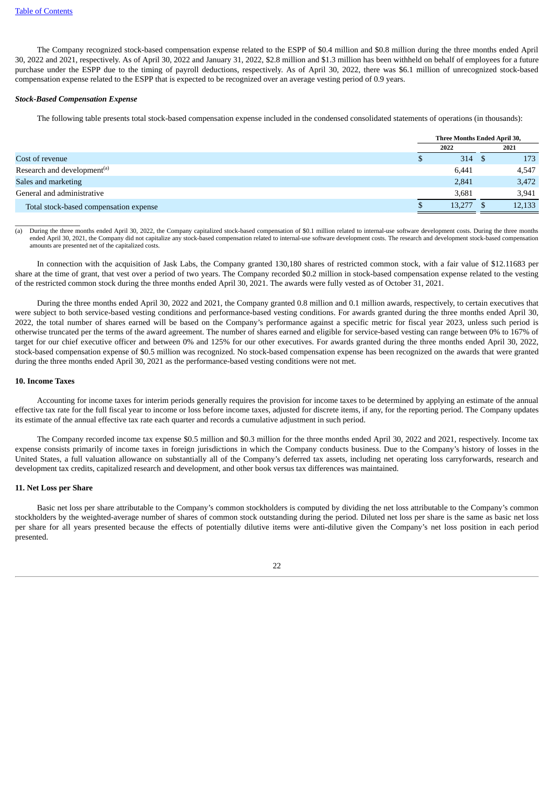The Company recognized stock-based compensation expense related to the ESPP of \$0.4 million and \$0.8 million during the three months ended April 30, 2022 and 2021, respectively. As of April 30, 2022 and January 31, 2022, \$2.8 million and \$1.3 million has been withheld on behalf of employees for a future purchase under the ESPP due to the timing of payroll deductions, respectively. As of April 30, 2022, there was \$6.1 million of unrecognized stock-based compensation expense related to the ESPP that is expected to be recognized over an average vesting period of 0.9 years.

### *Stock-Based Compensation Expense*

The following table presents total stock-based compensation expense included in the condensed consolidated statements of operations (in thousands):

|                                         | Three Months Ended April 30, |        |  |        |
|-----------------------------------------|------------------------------|--------|--|--------|
|                                         | 2022                         |        |  | 2021   |
| Cost of revenue                         | S                            | 314    |  | 173    |
| Research and development <sup>(a)</sup> |                              | 6,441  |  | 4,547  |
| Sales and marketing                     |                              | 2,841  |  | 3,472  |
| General and administrative              |                              | 3,681  |  | 3,941  |
| Total stock-based compensation expense  |                              | 13.277 |  | 12,133 |

(a) During the three months ended April 30, 2022, the Company capitalized stock-based compensation of \$0.1 million related to internal-use software development costs. During the three months ended April 30, 2021, the Company did not capitalize any stock-based compensation related to internal-use software development costs. The research and development stock-based compensation amounts are presented net of the capitalized costs.

In connection with the acquisition of Jask Labs, the Company granted 130,180 shares of restricted common stock, with a fair value of \$12.11683 per share at the time of grant, that vest over a period of two years. The Company recorded \$0.2 million in stock-based compensation expense related to the vesting of the restricted common stock during the three months ended April 30, 2021. The awards were fully vested as of October 31, 2021.

During the three months ended April 30, 2022 and 2021, the Company granted 0.8 million and 0.1 million awards, respectively, to certain executives that were subject to both service-based vesting conditions and performance-based vesting conditions. For awards granted during the three months ended April 30, 2022, the total number of shares earned will be based on the Company's performance against a specific metric for fiscal year 2023, unless such period is otherwise truncated per the terms of the award agreement. The number of shares earned and eligible for service-based vesting can range between 0% to 167% of target for our chief executive officer and between 0% and 125% for our other executives. For awards granted during the three months ended April 30, 2022, stock-based compensation expense of \$0.5 million was recognized. No stock-based compensation expense has been recognized on the awards that were granted during the three months ended April 30, 2021 as the performance-based vesting conditions were not met.

### **10. Income Taxes**

 $\frac{1}{2}$ 

Accounting for income taxes for interim periods generally requires the provision for income taxes to be determined by applying an estimate of the annual effective tax rate for the full fiscal year to income or loss before income taxes, adjusted for discrete items, if any, for the reporting period. The Company updates its estimate of the annual effective tax rate each quarter and records a cumulative adjustment in such period.

The Company recorded income tax expense \$0.5 million and \$0.3 million for the three months ended April 30, 2022 and 2021, respectively. Income tax expense consists primarily of income taxes in foreign jurisdictions in which the Company conducts business. Due to the Company's history of losses in the United States, a full valuation allowance on substantially all of the Company's deferred tax assets, including net operating loss carryforwards, research and development tax credits, capitalized research and development, and other book versus tax differences was maintained.

# **11. Net Loss per Share**

Basic net loss per share attributable to the Company's common stockholders is computed by dividing the net loss attributable to the Company's common stockholders by the weighted-average number of shares of common stock outstanding during the period. Diluted net loss per share is the same as basic net loss per share for all years presented because the effects of potentially dilutive items were anti-dilutive given the Company's net loss position in each period presented.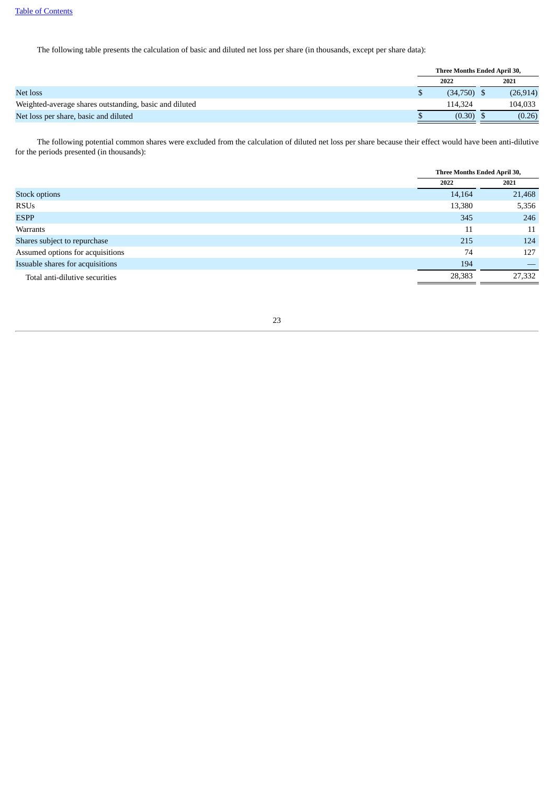The following table presents the calculation of basic and diluted net loss per share (in thousands, except per share data):

|                                                        | Three Months Ended April 30, |               |  |           |
|--------------------------------------------------------|------------------------------|---------------|--|-----------|
|                                                        | 2022                         |               |  | 2021      |
| Net loss                                               |                              | $(34,750)$ \$ |  | (26, 914) |
| Weighted-average shares outstanding, basic and diluted |                              | 114,324       |  | 104,033   |
| Net loss per share, basic and diluted                  |                              | $(0.30)$ \$   |  | (0.26)    |

The following potential common shares were excluded from the calculation of diluted net loss per share because their effect would have been anti-dilutive for the periods presented (in thousands):

<span id="page-23-0"></span>

| Three Months Ended April 30, |        |  |
|------------------------------|--------|--|
| 2022                         | 2021   |  |
| 14,164                       | 21,468 |  |
| 13,380                       | 5,356  |  |
| 345                          | 246    |  |
| 11                           | 11     |  |
| 215                          | 124    |  |
| 74                           | 127    |  |
| 194                          |        |  |
| 28,383                       | 27,332 |  |
|                              |        |  |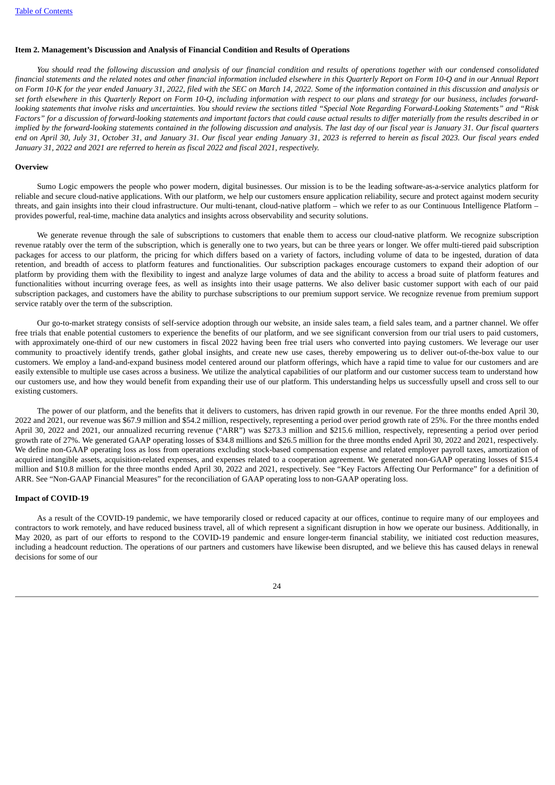### **Item 2. Management's Discussion and Analysis of Financial Condition and Results of Operations**

You should read the following discussion and analysis of our financial condition and results of operations together with our condensed consolidated financial statements and the related notes and other financial information included elsewhere in this Quarterly Report on Form 10-Q and in our Annual Report on Form 10-K for the year ended January 31, 2022, filed with the SEC on March 14, 2022. Some of the information contained in this discussion and analysis or set forth elsewhere in this Quarterly Report on Form 10-O, including information with respect to our plans and strategy for our business, includes forwardlooking statements that involve risks and uncertainties. You should review the sections titled "Special Note Regarding Forward-Looking Statements" and "Risk Factors" for a discussion of forward-looking statements and important factors that could cause actual results to differ materially from the results described in or implied by the forward-looking statements contained in the following discussion and analysis. The last day of our fiscal year is January 31. Our fiscal quarters end on April 30, July 31, October 31, and January 31. Our fiscal year ending January 31, 2023 is referred to herein as fiscal 2023. Our fiscal years ended *January 31, 2022 and 2021 are referred to herein as fiscal 2022 and fiscal 2021, respectively.*

#### **Overview**

Sumo Logic empowers the people who power modern, digital businesses. Our mission is to be the leading software-as-a-service analytics platform for reliable and secure cloud-native applications. With our platform, we help our customers ensure application reliability, secure and protect against modern security threats, and gain insights into their cloud infrastructure. Our multi-tenant, cloud-native platform – which we refer to as our Continuous Intelligence Platform – provides powerful, real-time, machine data analytics and insights across observability and security solutions.

We generate revenue through the sale of subscriptions to customers that enable them to access our cloud-native platform. We recognize subscription revenue ratably over the term of the subscription, which is generally one to two years, but can be three years or longer. We offer multi-tiered paid subscription packages for access to our platform, the pricing for which differs based on a variety of factors, including volume of data to be ingested, duration of data retention, and breadth of access to platform features and functionalities. Our subscription packages encourage customers to expand their adoption of our platform by providing them with the flexibility to ingest and analyze large volumes of data and the ability to access a broad suite of platform features and functionalities without incurring overage fees, as well as insights into their usage patterns. We also deliver basic customer support with each of our paid subscription packages, and customers have the ability to purchase subscriptions to our premium support service. We recognize revenue from premium support service ratably over the term of the subscription.

Our go-to-market strategy consists of self-service adoption through our website, an inside sales team, a field sales team, and a partner channel. We offer free trials that enable potential customers to experience the benefits of our platform, and we see significant conversion from our trial users to paid customers, with approximately one-third of our new customers in fiscal 2022 having been free trial users who converted into paying customers. We leverage our user community to proactively identify trends, gather global insights, and create new use cases, thereby empowering us to deliver out-of-the-box value to our customers. We employ a land-and-expand business model centered around our platform offerings, which have a rapid time to value for our customers and are easily extensible to multiple use cases across a business. We utilize the analytical capabilities of our platform and our customer success team to understand how our customers use, and how they would benefit from expanding their use of our platform. This understanding helps us successfully upsell and cross sell to our existing customers.

The power of our platform, and the benefits that it delivers to customers, has driven rapid growth in our revenue. For the three months ended April 30, 2022 and 2021, our revenue was \$67.9 million and \$54.2 million, respectively, representing a period over period growth rate of 25%. For the three months ended April 30, 2022 and 2021, our annualized recurring revenue ("ARR") was \$273.3 million and \$215.6 million, respectively, representing a period over period growth rate of 27%. We generated GAAP operating losses of \$34.8 millions and \$26.5 million for the three months ended April 30, 2022 and 2021, respectively. We define non-GAAP operating loss as loss from operations excluding stock-based compensation expense and related employer payroll taxes, amortization of acquired intangible assets, acquisition-related expenses, and expenses related to a cooperation agreement. We generated non-GAAP operating losses of \$15.4 million and \$10.8 million for the three months ended April 30, 2022 and 2021, respectively. See "Key Factors Affecting Our Performance" for a definition of ARR. See "Non-GAAP Financial Measures" for the reconciliation of GAAP operating loss to non-GAAP operating loss.

#### **Impact of COVID-19**

As a result of the COVID-19 pandemic, we have temporarily closed or reduced capacity at our offices, continue to require many of our employees and contractors to work remotely, and have reduced business travel, all of which represent a significant disruption in how we operate our business. Additionally, in May 2020, as part of our efforts to respond to the COVID-19 pandemic and ensure longer-term financial stability, we initiated cost reduction measures, including a headcount reduction. The operations of our partners and customers have likewise been disrupted, and we believe this has caused delays in renewal decisions for some of our

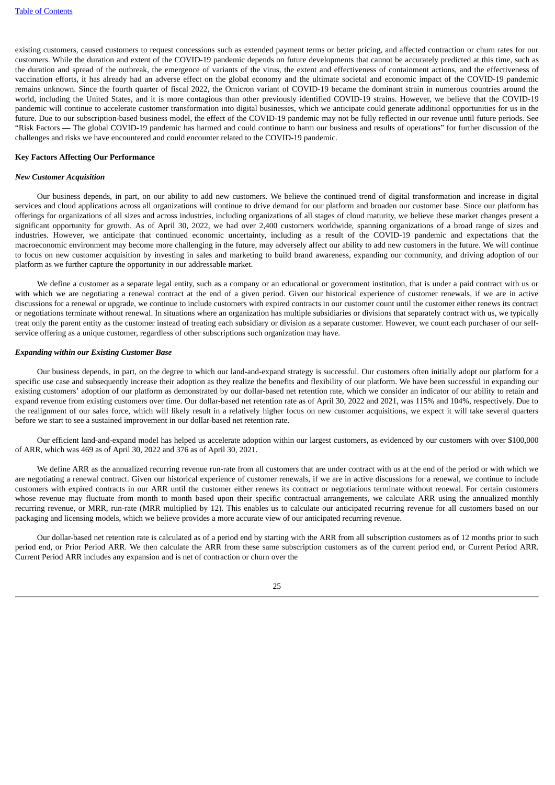existing customers, caused customers to request concessions such as extended payment terms or better pricing, and affected contraction or churn rates for our customers. While the duration and extent of the COVID-19 pandemic depends on future developments that cannot be accurately predicted at this time, such as the duration and spread of the outbreak, the emergence of variants of the virus, the extent and effectiveness of containment actions, and the effectiveness of vaccination efforts, it has already had an adverse effect on the global economy and the ultimate societal and economic impact of the COVID-19 pandemic remains unknown. Since the fourth quarter of fiscal 2022, the Omicron variant of COVID-19 became the dominant strain in numerous countries around the world, including the United States, and it is more contagious than other previously identified COVID-19 strains. However, we believe that the COVID-19 pandemic will continue to accelerate customer transformation into digital businesses, which we anticipate could generate additional opportunities for us in the future. Due to our subscription-based business model, the effect of the COVID-19 pandemic may not be fully reflected in our revenue until future periods. See "Risk Factors — The global COVID-19 pandemic has harmed and could continue to harm our business and results of operations" for further discussion of the challenges and risks we have encountered and could encounter related to the COVID-19 pandemic.

# **Key Factors Affecting Our Performance**

#### *New Customer Acquisition*

Our business depends, in part, on our ability to add new customers. We believe the continued trend of digital transformation and increase in digital services and cloud applications across all organizations will continue to drive demand for our platform and broaden our customer base. Since our platform has offerings for organizations of all sizes and across industries, including organizations of all stages of cloud maturity, we believe these market changes present a significant opportunity for growth. As of April 30, 2022, we had over 2,400 customers worldwide, spanning organizations of a broad range of sizes and industries. However, we anticipate that continued economic uncertainty, including as a result of the COVID-19 pandemic and expectations that the macroeconomic environment may become more challenging in the future, may adversely affect our ability to add new customers in the future. We will continue to focus on new customer acquisition by investing in sales and marketing to build brand awareness, expanding our community, and driving adoption of our platform as we further capture the opportunity in our addressable market.

We define a customer as a separate legal entity, such as a company or an educational or government institution, that is under a paid contract with us or with which we are negotiating a renewal contract at the end of a given period. Given our historical experience of customer renewals, if we are in active discussions for a renewal or upgrade, we continue to include customers with expired contracts in our customer count until the customer either renews its contract or negotiations terminate without renewal. In situations where an organization has multiple subsidiaries or divisions that separately contract with us, we typically treat only the parent entity as the customer instead of treating each subsidiary or division as a separate customer. However, we count each purchaser of our selfservice offering as a unique customer, regardless of other subscriptions such organization may have.

#### *Expanding within our Existing Customer Base*

Our business depends, in part, on the degree to which our land-and-expand strategy is successful. Our customers often initially adopt our platform for a specific use case and subsequently increase their adoption as they realize the benefits and flexibility of our platform. We have been successful in expanding our existing customers' adoption of our platform as demonstrated by our dollar-based net retention rate, which we consider an indicator of our ability to retain and expand revenue from existing customers over time. Our dollar-based net retention rate as of April 30, 2022 and 2021, was 115% and 104%, respectively. Due to the realignment of our sales force, which will likely result in a relatively higher focus on new customer acquisitions, we expect it will take several quarters before we start to see a sustained improvement in our dollar-based net retention rate.

Our efficient land-and-expand model has helped us accelerate adoption within our largest customers, as evidenced by our customers with over \$100,000 of ARR, which was 469 as of April 30, 2022 and 376 as of April 30, 2021.

We define ARR as the annualized recurring revenue run-rate from all customers that are under contract with us at the end of the period or with which we are negotiating a renewal contract. Given our historical experience of customer renewals, if we are in active discussions for a renewal, we continue to include customers with expired contracts in our ARR until the customer either renews its contract or negotiations terminate without renewal. For certain customers whose revenue may fluctuate from month to month based upon their specific contractual arrangements, we calculate ARR using the annualized monthly recurring revenue, or MRR, run-rate (MRR multiplied by 12). This enables us to calculate our anticipated recurring revenue for all customers based on our packaging and licensing models, which we believe provides a more accurate view of our anticipated recurring revenue.

Our dollar-based net retention rate is calculated as of a period end by starting with the ARR from all subscription customers as of 12 months prior to such period end, or Prior Period ARR. We then calculate the ARR from these same subscription customers as of the current period end, or Current Period ARR. Current Period ARR includes any expansion and is net of contraction or churn over the

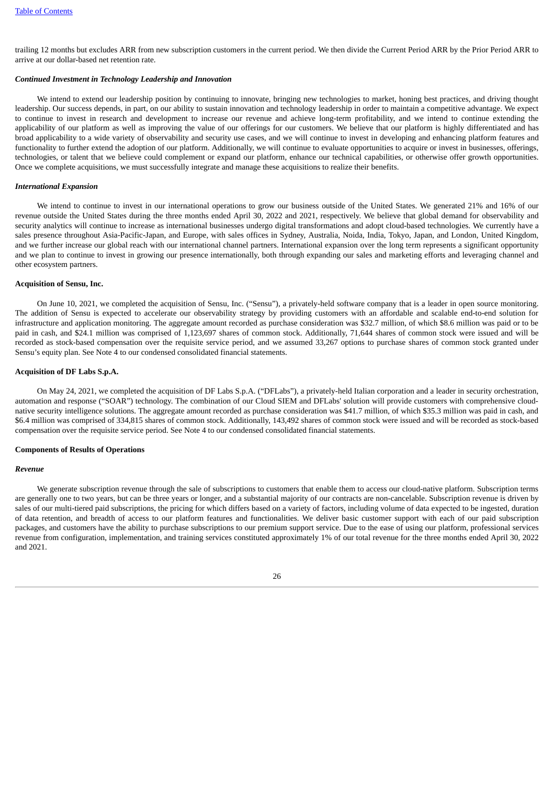trailing 12 months but excludes ARR from new subscription customers in the current period. We then divide the Current Period ARR by the Prior Period ARR to arrive at our dollar-based net retention rate.

# *Continued Investment in Technology Leadership and Innovation*

We intend to extend our leadership position by continuing to innovate, bringing new technologies to market, honing best practices, and driving thought leadership. Our success depends, in part, on our ability to sustain innovation and technology leadership in order to maintain a competitive advantage. We expect to continue to invest in research and development to increase our revenue and achieve long-term profitability, and we intend to continue extending the applicability of our platform as well as improving the value of our offerings for our customers. We believe that our platform is highly differentiated and has broad applicability to a wide variety of observability and security use cases, and we will continue to invest in developing and enhancing platform features and functionality to further extend the adoption of our platform. Additionally, we will continue to evaluate opportunities to acquire or invest in businesses, offerings, technologies, or talent that we believe could complement or expand our platform, enhance our technical capabilities, or otherwise offer growth opportunities. Once we complete acquisitions, we must successfully integrate and manage these acquisitions to realize their benefits.

#### *International Expansion*

We intend to continue to invest in our international operations to grow our business outside of the United States. We generated 21% and 16% of our revenue outside the United States during the three months ended April 30, 2022 and 2021, respectively. We believe that global demand for observability and security analytics will continue to increase as international businesses undergo digital transformations and adopt cloud-based technologies. We currently have a sales presence throughout Asia-Pacific-Japan, and Europe, with sales offices in Sydney, Australia, Noida, India, Tokyo, Japan, and London, United Kingdom, and we further increase our global reach with our international channel partners. International expansion over the long term represents a significant opportunity and we plan to continue to invest in growing our presence internationally, both through expanding our sales and marketing efforts and leveraging channel and other ecosystem partners.

### **Acquisition of Sensu, Inc.**

On June 10, 2021, we completed the acquisition of Sensu, Inc. ("Sensu"), a privately-held software company that is a leader in open source monitoring. The addition of Sensu is expected to accelerate our observability strategy by providing customers with an affordable and scalable end-to-end solution for infrastructure and application monitoring. The aggregate amount recorded as purchase consideration was \$32.7 million, of which \$8.6 million was paid or to be paid in cash, and \$24.1 million was comprised of 1,123,697 shares of common stock. Additionally, 71,644 shares of common stock were issued and will be recorded as stock-based compensation over the requisite service period, and we assumed 33,267 options to purchase shares of common stock granted under Sensu's equity plan. See Note 4 to our condensed consolidated financial statements.

# **Acquisition of DF Labs S.p.A.**

On May 24, 2021, we completed the acquisition of DF Labs S.p.A. ("DFLabs"), a privately-held Italian corporation and a leader in security orchestration, automation and response ("SOAR") technology. The combination of our Cloud SIEM and DFLabs' solution will provide customers with comprehensive cloudnative security intelligence solutions. The aggregate amount recorded as purchase consideration was \$41.7 million, of which \$35.3 million was paid in cash, and \$6.4 million was comprised of 334,815 shares of common stock. Additionally, 143,492 shares of common stock were issued and will be recorded as stock-based compensation over the requisite service period. See Note 4 to our condensed consolidated financial statements.

### **Components of Results of Operations**

#### *Revenue*

We generate subscription revenue through the sale of subscriptions to customers that enable them to access our cloud-native platform. Subscription terms are generally one to two years, but can be three years or longer, and a substantial majority of our contracts are non-cancelable. Subscription revenue is driven by sales of our multi-tiered paid subscriptions, the pricing for which differs based on a variety of factors, including volume of data expected to be ingested, duration of data retention, and breadth of access to our platform features and functionalities. We deliver basic customer support with each of our paid subscription packages, and customers have the ability to purchase subscriptions to our premium support service. Due to the ease of using our platform, professional services revenue from configuration, implementation, and training services constituted approximately 1% of our total revenue for the three months ended April 30, 2022 and 2021.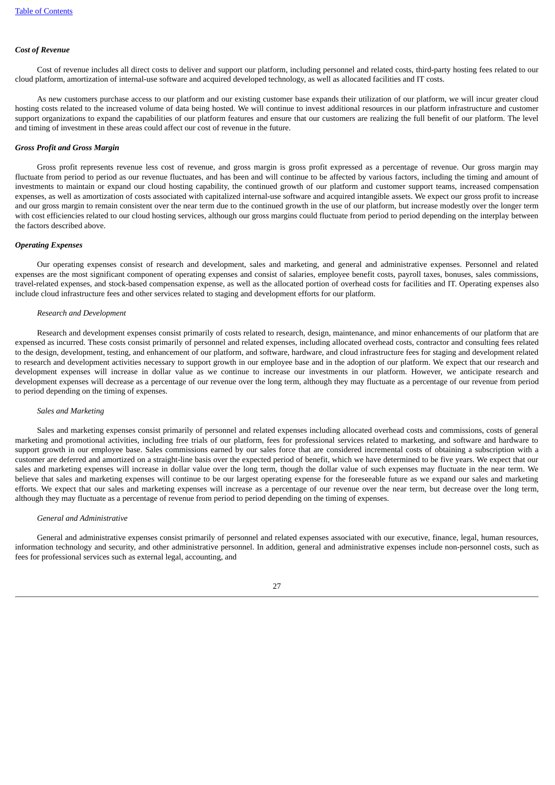#### *Cost of Revenue*

Cost of revenue includes all direct costs to deliver and support our platform, including personnel and related costs, third-party hosting fees related to our cloud platform, amortization of internal-use software and acquired developed technology, as well as allocated facilities and IT costs.

As new customers purchase access to our platform and our existing customer base expands their utilization of our platform, we will incur greater cloud hosting costs related to the increased volume of data being hosted. We will continue to invest additional resources in our platform infrastructure and customer support organizations to expand the capabilities of our platform features and ensure that our customers are realizing the full benefit of our platform. The level and timing of investment in these areas could affect our cost of revenue in the future.

### *Gross Profit and Gross Margin*

Gross profit represents revenue less cost of revenue, and gross margin is gross profit expressed as a percentage of revenue. Our gross margin may fluctuate from period to period as our revenue fluctuates, and has been and will continue to be affected by various factors, including the timing and amount of investments to maintain or expand our cloud hosting capability, the continued growth of our platform and customer support teams, increased compensation expenses, as well as amortization of costs associated with capitalized internal-use software and acquired intangible assets. We expect our gross profit to increase and our gross margin to remain consistent over the near term due to the continued growth in the use of our platform, but increase modestly over the longer term with cost efficiencies related to our cloud hosting services, although our gross margins could fluctuate from period to period depending on the interplay between the factors described above.

#### *Operating Expenses*

Our operating expenses consist of research and development, sales and marketing, and general and administrative expenses. Personnel and related expenses are the most significant component of operating expenses and consist of salaries, employee benefit costs, payroll taxes, bonuses, sales commissions, travel-related expenses, and stock-based compensation expense, as well as the allocated portion of overhead costs for facilities and IT. Operating expenses also include cloud infrastructure fees and other services related to staging and development efforts for our platform.

#### *Research and Development*

Research and development expenses consist primarily of costs related to research, design, maintenance, and minor enhancements of our platform that are expensed as incurred. These costs consist primarily of personnel and related expenses, including allocated overhead costs, contractor and consulting fees related to the design, development, testing, and enhancement of our platform, and software, hardware, and cloud infrastructure fees for staging and development related to research and development activities necessary to support growth in our employee base and in the adoption of our platform. We expect that our research and development expenses will increase in dollar value as we continue to increase our investments in our platform. However, we anticipate research and development expenses will decrease as a percentage of our revenue over the long term, although they may fluctuate as a percentage of our revenue from period to period depending on the timing of expenses.

#### *Sales and Marketing*

Sales and marketing expenses consist primarily of personnel and related expenses including allocated overhead costs and commissions, costs of general marketing and promotional activities, including free trials of our platform, fees for professional services related to marketing, and software and hardware to support growth in our employee base. Sales commissions earned by our sales force that are considered incremental costs of obtaining a subscription with a customer are deferred and amortized on a straight-line basis over the expected period of benefit, which we have determined to be five years. We expect that our sales and marketing expenses will increase in dollar value over the long term, though the dollar value of such expenses may fluctuate in the near term. We believe that sales and marketing expenses will continue to be our largest operating expense for the foreseeable future as we expand our sales and marketing efforts. We expect that our sales and marketing expenses will increase as a percentage of our revenue over the near term, but decrease over the long term, although they may fluctuate as a percentage of revenue from period to period depending on the timing of expenses.

# *General and Administrative*

General and administrative expenses consist primarily of personnel and related expenses associated with our executive, finance, legal, human resources, information technology and security, and other administrative personnel. In addition, general and administrative expenses include non-personnel costs, such as fees for professional services such as external legal, accounting, and

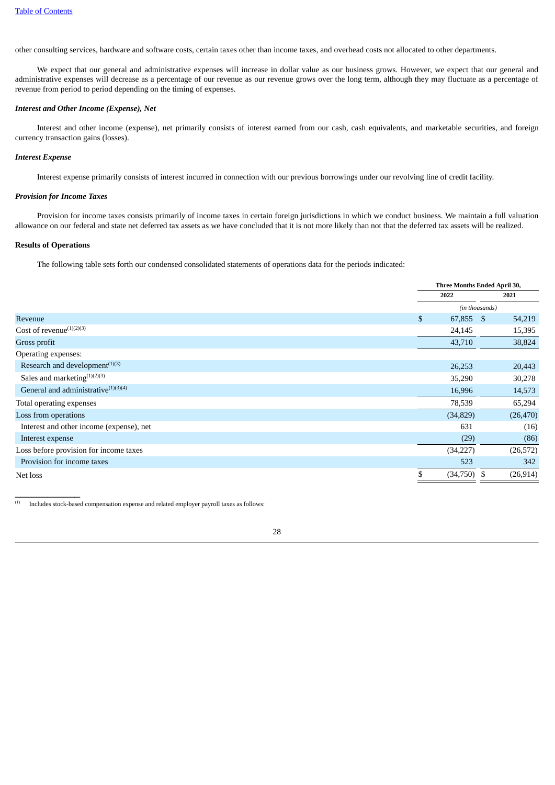other consulting services, hardware and software costs, certain taxes other than income taxes, and overhead costs not allocated to other departments.

We expect that our general and administrative expenses will increase in dollar value as our business grows. However, we expect that our general and administrative expenses will decrease as a percentage of our revenue as our revenue grows over the long term, although they may fluctuate as a percentage of revenue from period to period depending on the timing of expenses.

# *Interest and Other Income (Expense), Net*

Interest and other income (expense), net primarily consists of interest earned from our cash, cash equivalents, and marketable securities, and foreign currency transaction gains (losses).

# *Interest Expense*

Interest expense primarily consists of interest incurred in connection with our previous borrowings under our revolving line of credit facility.

### *Provision for Income Taxes*

Provision for income taxes consists primarily of income taxes in certain foreign jurisdictions in which we conduct business. We maintain a full valuation allowance on our federal and state net deferred tax assets as we have concluded that it is not more likely than not that the deferred tax assets will be realized.

### **Results of Operations**

 $\overline{\phantom{a}}$ 

The following table sets forth our condensed consolidated statements of operations data for the periods indicated:

|                                                              |                 | Three Months Ended April 30, |
|--------------------------------------------------------------|-----------------|------------------------------|
|                                                              | 2022            | 2021                         |
|                                                              |                 | (in thousands)               |
| Revenue                                                      | \$<br>67,855 \$ | 54,219                       |
| Cost of revenue <sup><math>(1)(2)(3)</math></sup>            | 24,145          | 15,395                       |
| Gross profit                                                 | 43,710          | 38,824                       |
| Operating expenses:                                          |                 |                              |
| Research and development <sup><math>(1)(3)</math></sup>      | 26,253          | 20,443                       |
| Sales and marketing $(1)(2)(3)$                              | 35,290          | 30,278                       |
| General and administrative <sup><math>(1)(3)(4)</math></sup> | 16,996          | 14,573                       |
| Total operating expenses                                     | 78,539          | 65,294                       |
| Loss from operations                                         | (34, 829)       | (26, 470)                    |
| Interest and other income (expense), net                     | 631             | (16)                         |
| Interest expense                                             | (29)            | (86)                         |
| Loss before provision for income taxes                       | (34,227)        | (26, 572)                    |
| Provision for income taxes                                   | 523             | 342                          |
| Net loss                                                     | $(34,750)$ \$   | (26, 914)                    |
|                                                              |                 |                              |

Includes stock-based compensation expense and related employer payroll taxes as follows: (1)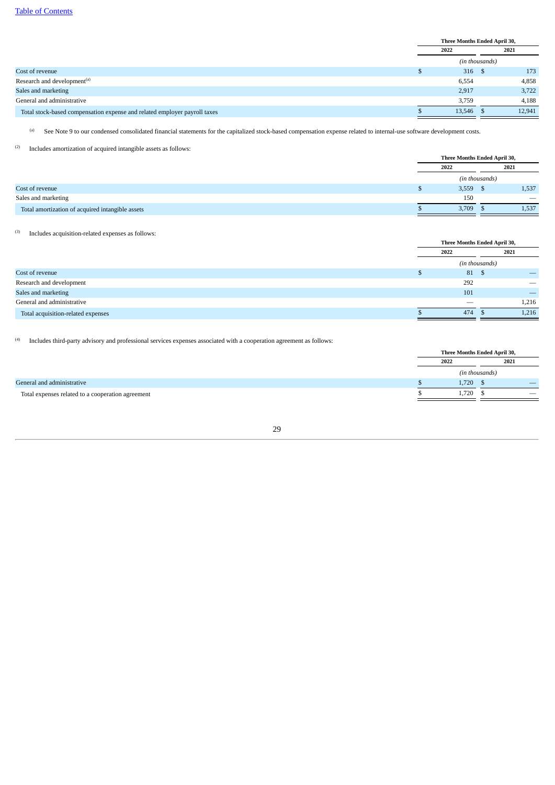# Table of [Contents](#page-0-0)

|                                                                           | Three Months Ended April 30, |                |        |  |
|---------------------------------------------------------------------------|------------------------------|----------------|--------|--|
|                                                                           | 2022                         |                | 2021   |  |
|                                                                           |                              | (in thousands) |        |  |
| Cost of revenue                                                           | $316 \quad $$                |                | 173    |  |
| Research and development <sup>(a)</sup>                                   | 6,554                        |                | 4,858  |  |
| Sales and marketing                                                       | 2,917                        |                | 3,722  |  |
| General and administrative                                                | 3,759                        |                | 4,188  |  |
| Total stock-based compensation expense and related employer payroll taxes | 13,546 \$                    |                | 12,941 |  |

See Note 9 to our condensed consolidated financial statements for the capitalized stock-based compensation expense related to internal-use software development costs. (a)

 $\mu$  Includes amortization of acquired intangible assets as follows:

|                                                  | Three Months Ended April 30, |                                 |  |  |
|--------------------------------------------------|------------------------------|---------------------------------|--|--|
|                                                  | 2022                         | 2021                            |  |  |
|                                                  |                              | (in thousands)                  |  |  |
| Cost of revenue                                  | $3,559$ \$                   | 1,537                           |  |  |
| Sales and marketing                              | 150                          | $\hspace{0.1mm}-\hspace{0.1mm}$ |  |  |
| Total amortization of acquired intangible assets | 3,709                        | 1,537                           |  |  |

Includes acquisition-related expenses as follows: (3)

| Three Months Ended April 30, |      |  |                          |  |
|------------------------------|------|--|--------------------------|--|
|                              | 2022 |  | 2021                     |  |
|                              |      |  |                          |  |
|                              |      |  |                          |  |
|                              | 292  |  | $\overline{\phantom{a}}$ |  |
|                              | 101  |  | $\frac{1}{2}$            |  |
|                              |      |  | 1,216                    |  |
|                              | 474  |  | 1,216                    |  |
|                              |      |  | (in thousands)<br>81 \$  |  |

Includes third-party advisory and professional services expenses associated with a cooperation agreement as follows: (4)

|                                                   | Three Months Ended April 30, |      |  |  |
|---------------------------------------------------|------------------------------|------|--|--|
|                                                   | 2022                         | 2021 |  |  |
|                                                   | (in thousands)               |      |  |  |
| General and administrative                        | 1,720                        |      |  |  |
| Total expenses related to a cooperation agreement | 1,720                        |      |  |  |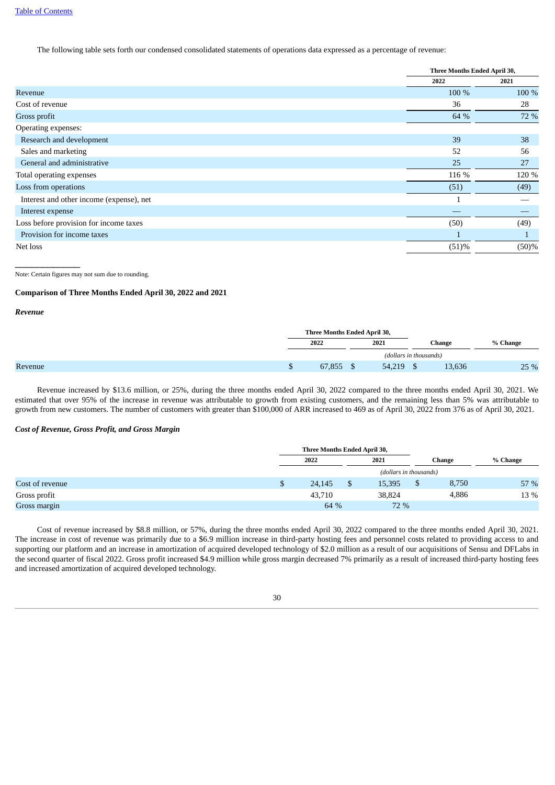The following table sets forth our condensed consolidated statements of operations data expressed as a percentage of revenue:

|                                          | Three Months Ended April 30, |              |
|------------------------------------------|------------------------------|--------------|
|                                          | 2022                         | 2021         |
| Revenue                                  | 100 %                        | 100 %        |
| Cost of revenue                          | 36                           | 28           |
| Gross profit                             | 64 %                         | 72 %         |
| Operating expenses:                      |                              |              |
| Research and development                 | 39                           | 38           |
| Sales and marketing                      | 52                           | 56           |
| General and administrative               | 25                           | 27           |
| Total operating expenses                 | 116 %                        | 120 %        |
| Loss from operations                     | (51)                         | (49)         |
| Interest and other income (expense), net |                              |              |
| Interest expense                         |                              |              |
| Loss before provision for income taxes   | (50)                         | (49)         |
| Provision for income taxes               |                              | $\mathbf{1}$ |
| Net loss                                 | (51)%                        | (50)%        |

Note: Certain figures may not sum due to rounding.

# **Comparison of Three Months Ended April 30, 2022 and 2021**

*Revenue*

| Three Months Ended April 30, |        |  |        |  |          |      |
|------------------------------|--------|--|--------|--|----------|------|
| 2021<br>2022<br>Change       |        |  |        |  | % Change |      |
| (dollars in thousands)       |        |  |        |  |          |      |
|                              | 67,855 |  | 54,219 |  | 13,636   | 25 % |
|                              |        |  |        |  |          |      |

Revenue increased by \$13.6 million, or 25%, during the three months ended April 30, 2022 compared to the three months ended April 30, 2021. We estimated that over 95% of the increase in revenue was attributable to growth from existing customers, and the remaining less than 5% was attributable to growth from new customers. The number of customers with greater than \$100,000 of ARR increased to 469 as of April 30, 2022 from 376 as of April 30, 2021.

# *Cost of Revenue, Gross Profit, and Gross Margin*

|                 | Three Months Ended April 30, |   |                        |    |          |      |
|-----------------|------------------------------|---|------------------------|----|----------|------|
|                 | 2021<br>2022                 |   | Change                 |    | % Change |      |
|                 |                              |   | (dollars in thousands) |    |          |      |
| Cost of revenue | \$<br>24,145                 | S | 15,395                 | J. | 8,750    | 57 % |
| Gross profit    | 43,710                       |   | 38.824                 |    | 4,886    | 13 % |
| Gross margin    | 64 %                         |   | 72 %                   |    |          |      |

Cost of revenue increased by \$8.8 million, or 57%, during the three months ended April 30, 2022 compared to the three months ended April 30, 2021. The increase in cost of revenue was primarily due to a \$6.9 million increase in third-party hosting fees and personnel costs related to providing access to and supporting our platform and an increase in amortization of acquired developed technology of \$2.0 million as a result of our acquisitions of Sensu and DFLabs in the second quarter of fiscal 2022. Gross profit increased \$4.9 million while gross margin decreased 7% primarily as a result of increased third-party hosting fees and increased amortization of acquired developed technology.

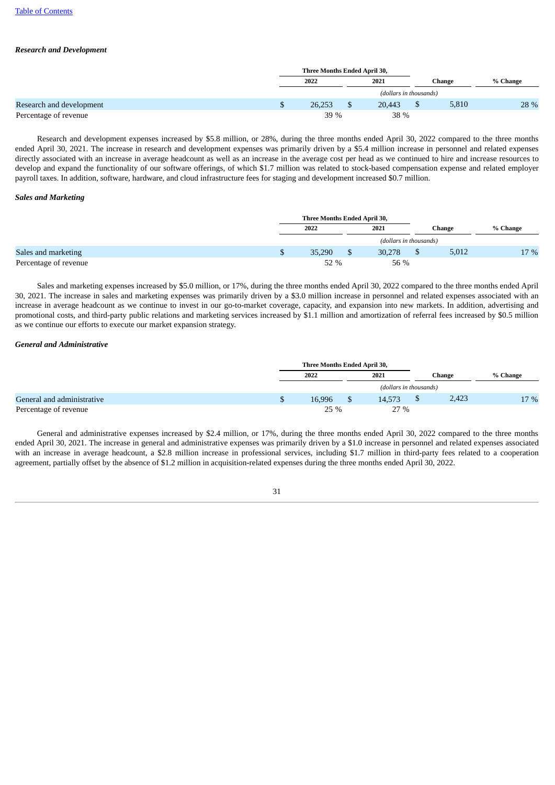# *Research and Development*

|                          |              | Three Months Ended April 30, |  |        |        |       |          |
|--------------------------|--------------|------------------------------|--|--------|--------|-------|----------|
|                          | 2021<br>2022 |                              |  |        | Change |       | % Change |
|                          |              | (dollars in thousands)       |  |        |        |       |          |
| Research and development |              | 26,253                       |  | 20,443 |        | 5,810 | 28 %     |
| Percentage of revenue    |              | 39 %                         |  | 38 %   |        |       |          |

Research and development expenses increased by \$5.8 million, or 28%, during the three months ended April 30, 2022 compared to the three months ended April 30, 2021. The increase in research and development expenses was primarily driven by a \$5.4 million increase in personnel and related expenses directly associated with an increase in average headcount as well as an increase in the average cost per head as we continued to hire and increase resources to develop and expand the functionality of our software offerings, of which \$1.7 million was related to stock-based compensation expense and related employer payroll taxes. In addition, software, hardware, and cloud infrastructure fees for staging and development increased \$0.7 million.

#### *Sales and Marketing*

|                       | Three Months Ended April 30, |                        |        |  |        |          |
|-----------------------|------------------------------|------------------------|--------|--|--------|----------|
|                       | 2022                         |                        | 2021   |  | Change | % Change |
|                       |                              | (dollars in thousands) |        |  |        |          |
| Sales and marketing   | 35,290                       |                        | 30,278 |  | 5,012  | 17 %     |
| Percentage of revenue | 52 %                         |                        | 56 %   |  |        |          |

Sales and marketing expenses increased by \$5.0 million, or 17%, during the three months ended April 30, 2022 compared to the three months ended April 30, 2021. The increase in sales and marketing expenses was primarily driven by a \$3.0 million increase in personnel and related expenses associated with an increase in average headcount as we continue to invest in our go-to-market coverage, capacity, and expansion into new markets. In addition, advertising and promotional costs, and third-party public relations and marketing services increased by \$1.1 million and amortization of referral fees increased by \$0.5 million as we continue our efforts to execute our market expansion strategy.

# *General and Administrative*

|                            | Three Months Ended April 30, |  |        |  |       |      |  |  |  |  |        |          |
|----------------------------|------------------------------|--|--------|--|-------|------|--|--|--|--|--------|----------|
|                            | 2022<br>2021                 |  |        |  |       |      |  |  |  |  | Change | % Change |
|                            | (dollars in thousands)       |  |        |  |       |      |  |  |  |  |        |          |
| General and administrative | 16,996                       |  | 14.573 |  | 2,423 | 17 % |  |  |  |  |        |          |
| Percentage of revenue      | 25 %                         |  | 27 %   |  |       |      |  |  |  |  |        |          |

General and administrative expenses increased by \$2.4 million, or 17%, during the three months ended April 30, 2022 compared to the three months ended April 30, 2021. The increase in general and administrative expenses was primarily driven by a \$1.0 increase in personnel and related expenses associated with an increase in average headcount, a \$2.8 million increase in professional services, including \$1.7 million in third-party fees related to a cooperation agreement, partially offset by the absence of \$1.2 million in acquisition-related expenses during the three months ended April 30, 2022.

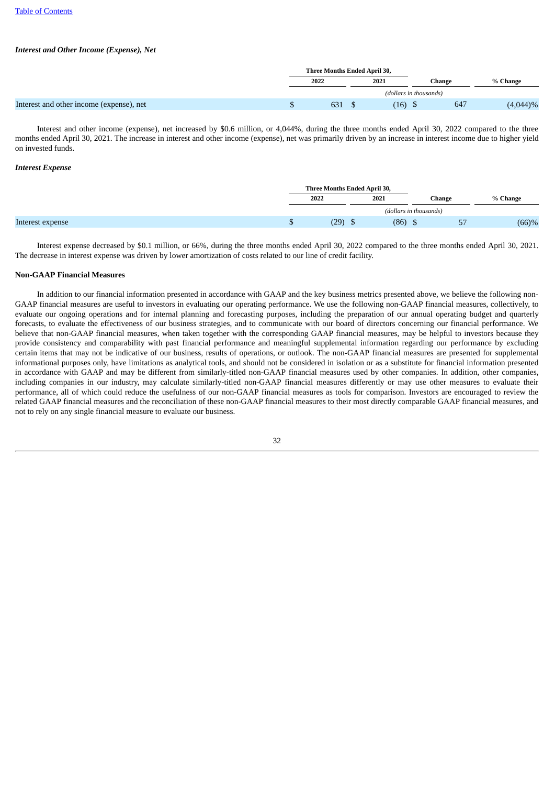# *Interest and Other Income (Expense), Net*

|                                          | Three Months Ended April 30, |     |      |                        |        |     |             |  |
|------------------------------------------|------------------------------|-----|------|------------------------|--------|-----|-------------|--|
|                                          | 2022                         |     | 2021 |                        | Change |     | % Change    |  |
|                                          |                              |     |      | (dollars in thousands) |        |     |             |  |
| Interest and other income (expense), net |                              | 631 |      | (16)                   |        | 647 | $(4,044)\%$ |  |

Interest and other income (expense), net increased by \$0.6 million, or 4,044%, during the three months ended April 30, 2022 compared to the three months ended April 30, 2021. The increase in interest and other income (expense), net was primarily driven by an increase in interest income due to higher yield on invested funds.

# *Interest Expense*

|                  | Three Months Ended April 30, |                        |        |          |  |
|------------------|------------------------------|------------------------|--------|----------|--|
|                  | 2022<br>2021                 |                        | Change | % Change |  |
|                  |                              | (dollars in thousands) |        |          |  |
| Interest expense | (29)                         | (86)                   | 57     | (66)%    |  |

Interest expense decreased by \$0.1 million, or 66%, during the three months ended April 30, 2022 compared to the three months ended April 30, 2021. The decrease in interest expense was driven by lower amortization of costs related to our line of credit facility.

# **Non-GAAP Financial Measures**

In addition to our financial information presented in accordance with GAAP and the key business metrics presented above, we believe the following non-GAAP financial measures are useful to investors in evaluating our operating performance. We use the following non-GAAP financial measures, collectively, to evaluate our ongoing operations and for internal planning and forecasting purposes, including the preparation of our annual operating budget and quarterly forecasts, to evaluate the effectiveness of our business strategies, and to communicate with our board of directors concerning our financial performance. We believe that non-GAAP financial measures, when taken together with the corresponding GAAP financial measures, may be helpful to investors because they provide consistency and comparability with past financial performance and meaningful supplemental information regarding our performance by excluding certain items that may not be indicative of our business, results of operations, or outlook. The non-GAAP financial measures are presented for supplemental informational purposes only, have limitations as analytical tools, and should not be considered in isolation or as a substitute for financial information presented in accordance with GAAP and may be different from similarly-titled non-GAAP financial measures used by other companies. In addition, other companies, including companies in our industry, may calculate similarly-titled non-GAAP financial measures differently or may use other measures to evaluate their performance, all of which could reduce the usefulness of our non-GAAP financial measures as tools for comparison. Investors are encouraged to review the related GAAP financial measures and the reconciliation of these non-GAAP financial measures to their most directly comparable GAAP financial measures, and not to rely on any single financial measure to evaluate our business.

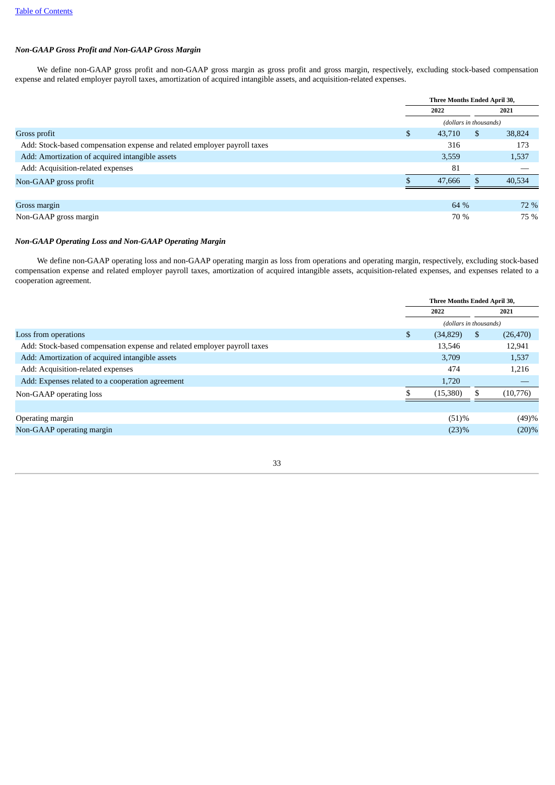# *Non-GAAP Gross Profit and Non-GAAP Gross Margin*

We define non-GAAP gross profit and non-GAAP gross margin as gross profit and gross margin, respectively, excluding stock-based compensation expense and related employer payroll taxes, amortization of acquired intangible assets, and acquisition-related expenses.

|                                                                          | Three Months Ended April 30, |              |
|--------------------------------------------------------------------------|------------------------------|--------------|
|                                                                          | 2022                         | 2021         |
|                                                                          | (dollars in thousands)       |              |
| Gross profit                                                             | \$<br>43,710                 | \$<br>38,824 |
| Add: Stock-based compensation expense and related employer payroll taxes | 316                          | 173          |
| Add: Amortization of acquired intangible assets                          | 3,559                        | 1,537        |
| Add: Acquisition-related expenses                                        | 81                           |              |
| Non-GAAP gross profit                                                    | 47,666                       | 40,534       |
|                                                                          |                              |              |
| Gross margin                                                             | 64 %                         | 72 %         |
| Non-GAAP gross margin                                                    | 70 %                         | 75 %         |

# *Non-GAAP Operating Loss and Non-GAAP Operating Margin*

We define non-GAAP operating loss and non-GAAP operating margin as loss from operations and operating margin, respectively, excluding stock-based compensation expense and related employer payroll taxes, amortization of acquired intangible assets, acquisition-related expenses, and expenses related to a cooperation agreement.

|                                                                          | Three Months Ended April 30, |    |           |
|--------------------------------------------------------------------------|------------------------------|----|-----------|
|                                                                          | 2022                         |    | 2021      |
|                                                                          | (dollars in thousands)       |    |           |
| Loss from operations                                                     | \$<br>(34, 829)              | -S | (26, 470) |
| Add: Stock-based compensation expense and related employer payroll taxes | 13.546                       |    | 12,941    |
| Add: Amortization of acquired intangible assets                          | 3,709                        |    | 1,537     |
| Add: Acquisition-related expenses                                        | 474                          |    | 1,216     |
| Add: Expenses related to a cooperation agreement                         | 1,720                        |    |           |
| Non-GAAP operating loss                                                  | (15,380)                     |    | (10,776)  |
|                                                                          |                              |    |           |
| Operating margin                                                         | (51)%                        |    | (49)%     |
| Non-GAAP operating margin                                                | (23)%                        |    | $(20)\%$  |
|                                                                          |                              |    |           |

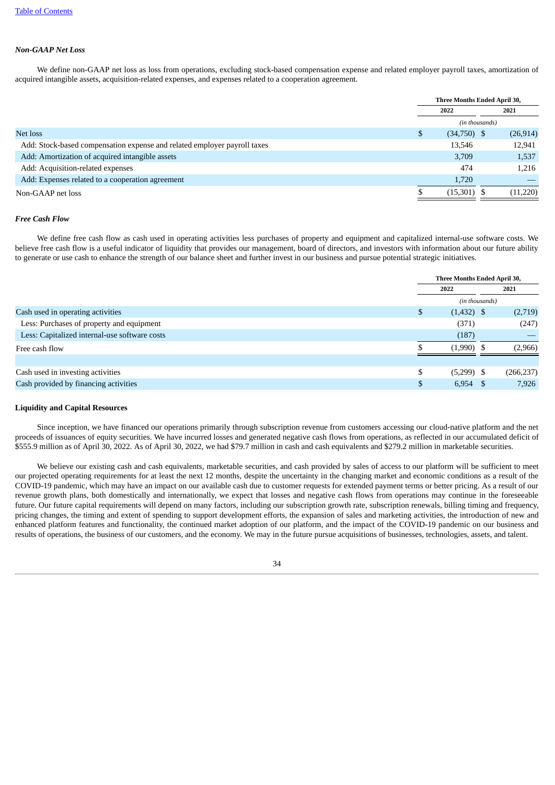# *Non-GAAP Net Loss*

We define non-GAAP net loss as loss from operations, excluding stock-based compensation expense and related employer payroll taxes, amortization of acquired intangible assets, acquisition-related expenses, and expenses related to a cooperation agreement.

|                                                                          |      | Three Months Ended April 30, |                |           |  |
|--------------------------------------------------------------------------|------|------------------------------|----------------|-----------|--|
|                                                                          | 2022 |                              | 2021           |           |  |
|                                                                          |      |                              | (in thousands) |           |  |
| Net loss                                                                 | \$   | $(34,750)$ \$                |                | (26, 914) |  |
| Add: Stock-based compensation expense and related employer payroll taxes |      | 13,546                       |                | 12,941    |  |
| Add: Amortization of acquired intangible assets                          |      | 3,709                        |                | 1,537     |  |
| Add: Acquisition-related expenses                                        |      | 474                          |                | 1,216     |  |
| Add: Expenses related to a cooperation agreement                         |      | 1,720                        |                |           |  |
| Non-GAAP net loss                                                        |      | $(15,301)$ \$                |                | (11,220)  |  |

# *Free Cash Flow*

We define free cash flow as cash used in operating activities less purchases of property and equipment and capitalized internal-use software costs. We believe free cash flow is a useful indicator of liquidity that provides our management, board of directors, and investors with information about our future ability to generate or use cash to enhance the strength of our balance sheet and further invest in our business and pursue potential strategic initiatives.

|                                               |               | Three Months Ended April 30, |            |
|-----------------------------------------------|---------------|------------------------------|------------|
|                                               | 2022          |                              | 2021       |
|                                               |               | (in thousands)               |            |
| Cash used in operating activities             | \$            | $(1,432)$ \$                 | (2,719)    |
| Less: Purchases of property and equipment     |               | (371)                        | (247)      |
| Less: Capitalized internal-use software costs |               | (187)                        |            |
| Free cash flow                                |               | $(1,990)$ \$                 | (2,966)    |
|                                               |               |                              |            |
| Cash used in investing activities             | \$            | $(5,299)$ \$                 | (266, 237) |
| Cash provided by financing activities         | <sup>\$</sup> | $6,954$ \$                   | 7,926      |

#### **Liquidity and Capital Resources**

Since inception, we have financed our operations primarily through subscription revenue from customers accessing our cloud-native platform and the net proceeds of issuances of equity securities. We have incurred losses and generated negative cash flows from operations, as reflected in our accumulated deficit of \$555.9 million as of April 30, 2022. As of April 30, 2022, we had \$79.7 million in cash and cash equivalents and \$279.2 million in marketable securities.

We believe our existing cash and cash equivalents, marketable securities, and cash provided by sales of access to our platform will be sufficient to meet our projected operating requirements for at least the next 12 months, despite the uncertainty in the changing market and economic conditions as a result of the COVID-19 pandemic, which may have an impact on our available cash due to customer requests for extended payment terms or better pricing. As a result of our revenue growth plans, both domestically and internationally, we expect that losses and negative cash flows from operations may continue in the foreseeable future. Our future capital requirements will depend on many factors, including our subscription growth rate, subscription renewals, billing timing and frequency, pricing changes, the timing and extent of spending to support development efforts, the expansion of sales and marketing activities, the introduction of new and enhanced platform features and functionality, the continued market adoption of our platform, and the impact of the COVID-19 pandemic on our business and results of operations, the business of our customers, and the economy. We may in the future pursue acquisitions of businesses, technologies, assets, and talent.

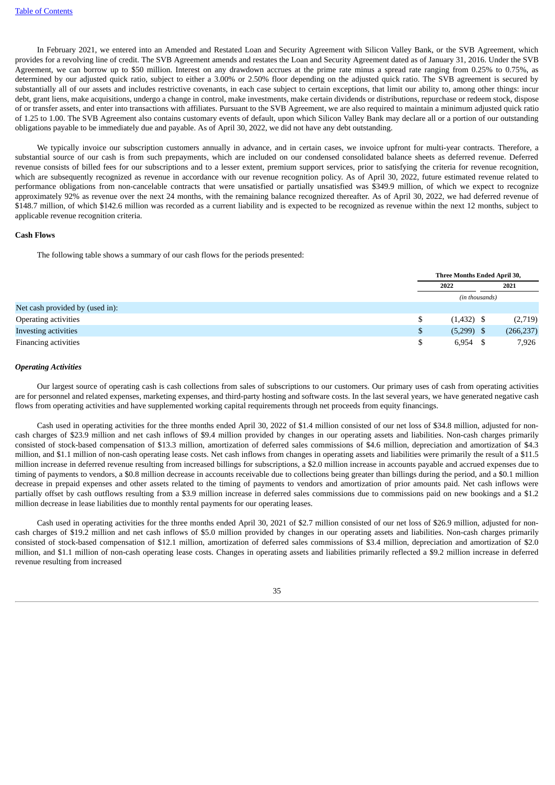In February 2021, we entered into an Amended and Restated Loan and Security Agreement with Silicon Valley Bank, or the SVB Agreement, which provides for a revolving line of credit. The SVB Agreement amends and restates the Loan and Security Agreement dated as of January 31, 2016. Under the SVB Agreement, we can borrow up to \$50 million. Interest on any drawdown accrues at the prime rate minus a spread rate ranging from 0.25% to 0.75%, as determined by our adjusted quick ratio, subject to either a 3.00% or 2.50% floor depending on the adjusted quick ratio. The SVB agreement is secured by substantially all of our assets and includes restrictive covenants, in each case subject to certain exceptions, that limit our ability to, among other things: incur debt, grant liens, make acquisitions, undergo a change in control, make investments, make certain dividends or distributions, repurchase or redeem stock, dispose of or transfer assets, and enter into transactions with affiliates. Pursuant to the SVB Agreement, we are also required to maintain a minimum adjusted quick ratio of 1.25 to 1.00. The SVB Agreement also contains customary events of default, upon which Silicon Valley Bank may declare all or a portion of our outstanding obligations payable to be immediately due and payable. As of April 30, 2022, we did not have any debt outstanding.

We typically invoice our subscription customers annually in advance, and in certain cases, we invoice upfront for multi-year contracts. Therefore, a substantial source of our cash is from such prepayments, which are included on our condensed consolidated balance sheets as deferred revenue. Deferred revenue consists of billed fees for our subscriptions and to a lesser extent, premium support services, prior to satisfying the criteria for revenue recognition, which are subsequently recognized as revenue in accordance with our revenue recognition policy. As of April 30, 2022, future estimated revenue related to performance obligations from non-cancelable contracts that were unsatisfied or partially unsatisfied was \$349.9 million, of which we expect to recognize approximately 92% as revenue over the next 24 months, with the remaining balance recognized thereafter. As of April 30, 2022, we had deferred revenue of \$148.7 million, of which \$142.6 million was recorded as a current liability and is expected to be recognized as revenue within the next 12 months, subject to applicable revenue recognition criteria.

#### **Cash Flows**

The following table shows a summary of our cash flows for the periods presented:

|                                 |              | Three Months Ended April 30, |                |            |  |  |
|---------------------------------|--------------|------------------------------|----------------|------------|--|--|
|                                 |              | 2022                         |                | 2021       |  |  |
|                                 |              |                              | (in thousands) |            |  |  |
| Net cash provided by (used in): |              |                              |                |            |  |  |
| Operating activities            | S            | $(1,432)$ \$                 |                | (2,719)    |  |  |
| Investing activities            | $\mathbb{S}$ | $(5,299)$ \$                 |                | (266, 237) |  |  |
| Financing activities            | S            | $6,954$ \$                   |                | 7,926      |  |  |

# *Operating Activities*

Our largest source of operating cash is cash collections from sales of subscriptions to our customers. Our primary uses of cash from operating activities are for personnel and related expenses, marketing expenses, and third-party hosting and software costs. In the last several years, we have generated negative cash flows from operating activities and have supplemented working capital requirements through net proceeds from equity financings.

Cash used in operating activities for the three months ended April 30, 2022 of \$1.4 million consisted of our net loss of \$34.8 million, adjusted for noncash charges of \$23.9 million and net cash inflows of \$9.4 million provided by changes in our operating assets and liabilities. Non-cash charges primarily consisted of stock-based compensation of \$13.3 million, amortization of deferred sales commissions of \$4.6 million, depreciation and amortization of \$4.3 million, and \$1.1 million of non-cash operating lease costs. Net cash inflows from changes in operating assets and liabilities were primarily the result of a \$11.5 million increase in deferred revenue resulting from increased billings for subscriptions, a \$2.0 million increase in accounts payable and accrued expenses due to timing of payments to vendors, a \$0.8 million decrease in accounts receivable due to collections being greater than billings during the period, and a \$0.1 million decrease in prepaid expenses and other assets related to the timing of payments to vendors and amortization of prior amounts paid. Net cash inflows were partially offset by cash outflows resulting from a \$3.9 million increase in deferred sales commissions due to commissions paid on new bookings and a \$1.2 million decrease in lease liabilities due to monthly rental payments for our operating leases.

Cash used in operating activities for the three months ended April 30, 2021 of \$2.7 million consisted of our net loss of \$26.9 million, adjusted for noncash charges of \$19.2 million and net cash inflows of \$5.0 million provided by changes in our operating assets and liabilities. Non-cash charges primarily consisted of stock-based compensation of \$12.1 million, amortization of deferred sales commissions of \$3.4 million, depreciation and amortization of \$2.0 million, and \$1.1 million of non-cash operating lease costs. Changes in operating assets and liabilities primarily reflected a \$9.2 million increase in deferred revenue resulting from increased

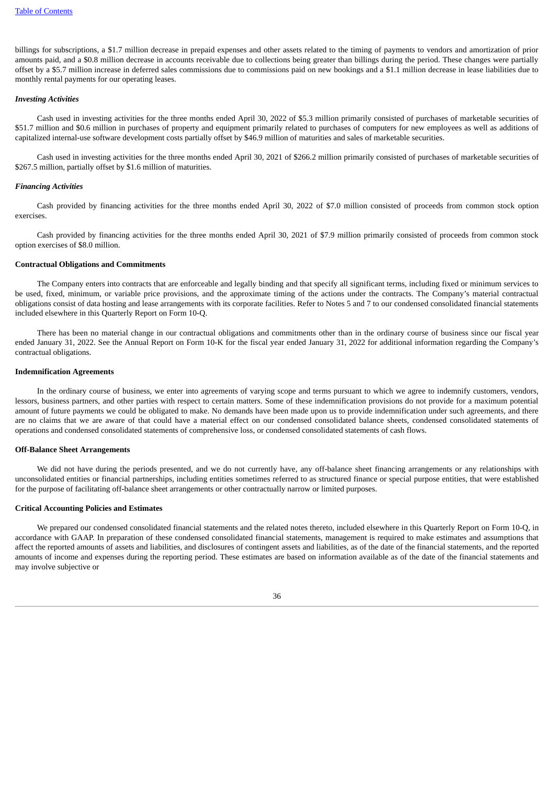billings for subscriptions, a \$1.7 million decrease in prepaid expenses and other assets related to the timing of payments to vendors and amortization of prior amounts paid, and a \$0.8 million decrease in accounts receivable due to collections being greater than billings during the period. These changes were partially offset by a \$5.7 million increase in deferred sales commissions due to commissions paid on new bookings and a \$1.1 million decrease in lease liabilities due to monthly rental payments for our operating leases.

## *Investing Activities*

Cash used in investing activities for the three months ended April 30, 2022 of \$5.3 million primarily consisted of purchases of marketable securities of \$51.7 million and \$0.6 million in purchases of property and equipment primarily related to purchases of computers for new employees as well as additions of capitalized internal-use software development costs partially offset by \$46.9 million of maturities and sales of marketable securities.

Cash used in investing activities for the three months ended April 30, 2021 of \$266.2 million primarily consisted of purchases of marketable securities of \$267.5 million, partially offset by \$1.6 million of maturities.

#### *Financing Activities*

Cash provided by financing activities for the three months ended April 30, 2022 of \$7.0 million consisted of proceeds from common stock option exercises.

Cash provided by financing activities for the three months ended April 30, 2021 of \$7.9 million primarily consisted of proceeds from common stock option exercises of \$8.0 million.

#### **Contractual Obligations and Commitments**

The Company enters into contracts that are enforceable and legally binding and that specify all significant terms, including fixed or minimum services to be used, fixed, minimum, or variable price provisions, and the approximate timing of the actions under the contracts. The Company's material contractual obligations consist of data hosting and lease arrangements with its corporate facilities. Refer to Notes 5 and 7 to our condensed consolidated financial statements included elsewhere in this Quarterly Report on Form 10-Q.

There has been no material change in our contractual obligations and commitments other than in the ordinary course of business since our fiscal year ended January 31, 2022. See the Annual Report on Form 10-K for the fiscal year ended January 31, 2022 for additional information regarding the Company's contractual obligations.

## **Indemnification Agreements**

In the ordinary course of business, we enter into agreements of varying scope and terms pursuant to which we agree to indemnify customers, vendors, lessors, business partners, and other parties with respect to certain matters. Some of these indemnification provisions do not provide for a maximum potential amount of future payments we could be obligated to make. No demands have been made upon us to provide indemnification under such agreements, and there are no claims that we are aware of that could have a material effect on our condensed consolidated balance sheets, condensed consolidated statements of operations and condensed consolidated statements of comprehensive loss, or condensed consolidated statements of cash flows.

#### **Off-Balance Sheet Arrangements**

We did not have during the periods presented, and we do not currently have, any off-balance sheet financing arrangements or any relationships with unconsolidated entities or financial partnerships, including entities sometimes referred to as structured finance or special purpose entities, that were established for the purpose of facilitating off-balance sheet arrangements or other contractually narrow or limited purposes.

# **Critical Accounting Policies and Estimates**

We prepared our condensed consolidated financial statements and the related notes thereto, included elsewhere in this Quarterly Report on Form 10-Q, in accordance with GAAP. In preparation of these condensed consolidated financial statements, management is required to make estimates and assumptions that affect the reported amounts of assets and liabilities, and disclosures of contingent assets and liabilities, as of the date of the financial statements, and the reported amounts of income and expenses during the reporting period. These estimates are based on information available as of the date of the financial statements and may involve subjective or

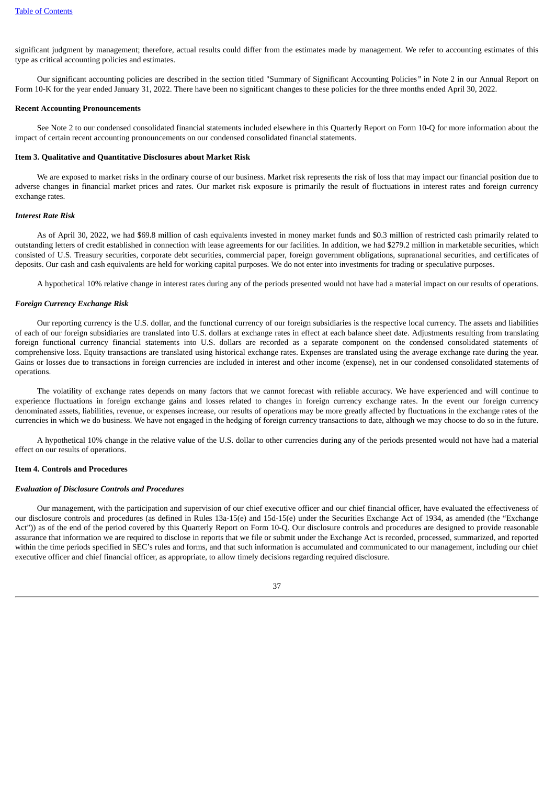significant judgment by management; therefore, actual results could differ from the estimates made by management. We refer to accounting estimates of this type as critical accounting policies and estimates.

Our significant accounting policies are described in the section titled "Summary of Significant Accounting Policies*"* in Note 2 in our Annual Report on Form 10-K for the year ended January 31, 2022. There have been no significant changes to these policies for the three months ended April 30, 2022.

#### **Recent Accounting Pronouncements**

See Note 2 to our condensed consolidated financial statements included elsewhere in this Quarterly Report on Form 10-Q for more information about the impact of certain recent accounting pronouncements on our condensed consolidated financial statements.

## **Item 3. Qualitative and Quantitative Disclosures about Market Risk**

We are exposed to market risks in the ordinary course of our business. Market risk represents the risk of loss that may impact our financial position due to adverse changes in financial market prices and rates. Our market risk exposure is primarily the result of fluctuations in interest rates and foreign currency exchange rates.

#### *Interest Rate Risk*

As of April 30, 2022, we had \$69.8 million of cash equivalents invested in money market funds and \$0.3 million of restricted cash primarily related to outstanding letters of credit established in connection with lease agreements for our facilities. In addition, we had \$279.2 million in marketable securities, which consisted of U.S. Treasury securities, corporate debt securities, commercial paper, foreign government obligations, supranational securities, and certificates of deposits. Our cash and cash equivalents are held for working capital purposes. We do not enter into investments for trading or speculative purposes.

A hypothetical 10% relative change in interest rates during any of the periods presented would not have had a material impact on our results of operations.

#### *Foreign Currency Exchange Risk*

Our reporting currency is the U.S. dollar, and the functional currency of our foreign subsidiaries is the respective local currency. The assets and liabilities of each of our foreign subsidiaries are translated into U.S. dollars at exchange rates in effect at each balance sheet date. Adjustments resulting from translating foreign functional currency financial statements into U.S. dollars are recorded as a separate component on the condensed consolidated statements of comprehensive loss. Equity transactions are translated using historical exchange rates. Expenses are translated using the average exchange rate during the year. Gains or losses due to transactions in foreign currencies are included in interest and other income (expense), net in our condensed consolidated statements of operations.

The volatility of exchange rates depends on many factors that we cannot forecast with reliable accuracy. We have experienced and will continue to experience fluctuations in foreign exchange gains and losses related to changes in foreign currency exchange rates. In the event our foreign currency denominated assets, liabilities, revenue, or expenses increase, our results of operations may be more greatly affected by fluctuations in the exchange rates of the currencies in which we do business. We have not engaged in the hedging of foreign currency transactions to date, although we may choose to do so in the future.

A hypothetical 10% change in the relative value of the U.S. dollar to other currencies during any of the periods presented would not have had a material effect on our results of operations.

## **Item 4. Controls and Procedures**

#### *Evaluation of Disclosure Controls and Procedures*

Our management, with the participation and supervision of our chief executive officer and our chief financial officer, have evaluated the effectiveness of our disclosure controls and procedures (as defined in Rules 13a-15(e) and 15d-15(e) under the Securities Exchange Act of 1934, as amended (the "Exchange Act")) as of the end of the period covered by this Quarterly Report on Form 10-Q. Our disclosure controls and procedures are designed to provide reasonable assurance that information we are required to disclose in reports that we file or submit under the Exchange Act is recorded, processed, summarized, and reported within the time periods specified in SEC's rules and forms, and that such information is accumulated and communicated to our management, including our chief executive officer and chief financial officer, as appropriate, to allow timely decisions regarding required disclosure.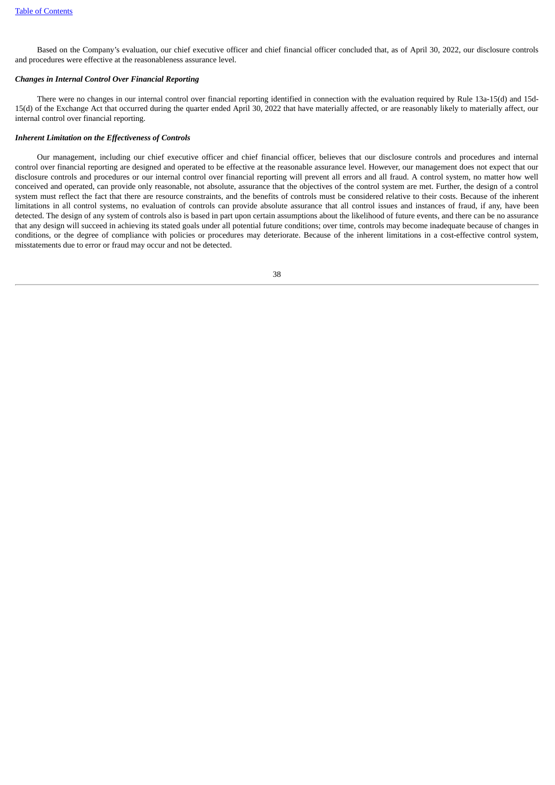Based on the Company's evaluation, our chief executive officer and chief financial officer concluded that, as of April 30, 2022, our disclosure controls and procedures were effective at the reasonableness assurance level.

## *Changes in Internal Control Over Financial Reporting*

There were no changes in our internal control over financial reporting identified in connection with the evaluation required by Rule 13a-15(d) and 15d-15(d) of the Exchange Act that occurred during the quarter ended April 30, 2022 that have materially affected, or are reasonably likely to materially affect, our internal control over financial reporting.

## *Inherent Limitation on the Effectiveness of Controls*

Our management, including our chief executive officer and chief financial officer, believes that our disclosure controls and procedures and internal control over financial reporting are designed and operated to be effective at the reasonable assurance level. However, our management does not expect that our disclosure controls and procedures or our internal control over financial reporting will prevent all errors and all fraud. A control system, no matter how well conceived and operated, can provide only reasonable, not absolute, assurance that the objectives of the control system are met. Further, the design of a control system must reflect the fact that there are resource constraints, and the benefits of controls must be considered relative to their costs. Because of the inherent limitations in all control systems, no evaluation of controls can provide absolute assurance that all control issues and instances of fraud, if any, have been detected. The design of any system of controls also is based in part upon certain assumptions about the likelihood of future events, and there can be no assurance that any design will succeed in achieving its stated goals under all potential future conditions; over time, controls may become inadequate because of changes in conditions, or the degree of compliance with policies or procedures may deteriorate. Because of the inherent limitations in a cost-effective control system, misstatements due to error or fraud may occur and not be detected.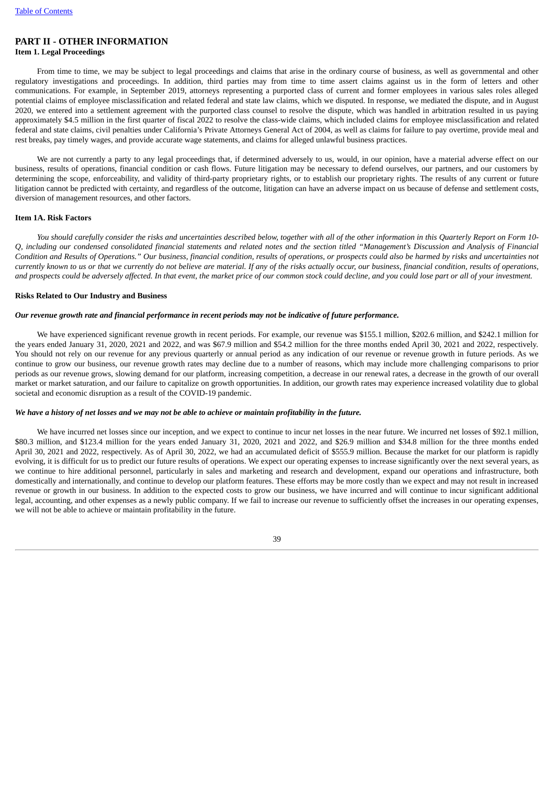# **PART II - OTHER INFORMATION**

## **Item 1. Legal Proceedings**

From time to time, we may be subject to legal proceedings and claims that arise in the ordinary course of business, as well as governmental and other regulatory investigations and proceedings. In addition, third parties may from time to time assert claims against us in the form of letters and other communications. For example, in September 2019, attorneys representing a purported class of current and former employees in various sales roles alleged potential claims of employee misclassification and related federal and state law claims, which we disputed. In response, we mediated the dispute, and in August 2020, we entered into a settlement agreement with the purported class counsel to resolve the dispute, which was handled in arbitration resulted in us paying approximately \$4.5 million in the first quarter of fiscal 2022 to resolve the class-wide claims, which included claims for employee misclassification and related federal and state claims, civil penalties under California's Private Attorneys General Act of 2004, as well as claims for failure to pay overtime, provide meal and rest breaks, pay timely wages, and provide accurate wage statements, and claims for alleged unlawful business practices.

We are not currently a party to any legal proceedings that, if determined adversely to us, would, in our opinion, have a material adverse effect on our business, results of operations, financial condition or cash flows. Future litigation may be necessary to defend ourselves, our partners, and our customers by determining the scope, enforceability, and validity of third-party proprietary rights, or to establish our proprietary rights. The results of any current or future litigation cannot be predicted with certainty, and regardless of the outcome, litigation can have an adverse impact on us because of defense and settlement costs, diversion of management resources, and other factors.

#### **Item 1A. Risk Factors**

You should carefully consider the risks and uncertainties described below, together with all of the other information in this Quarterly Report on Form 10-Q, including our condensed consolidated financial statements and related notes and the section titled "Management's Discussion and Analysis of Financial Condition and Results of Operations." Our business, financial condition, results of operations, or prospects could also be harmed by risks and uncertainties not currently known to us or that we currently do not believe are material. If any of the risks actually occur, our business, financial condition, results of operations, and prospects could be adversely affected. In that event, the market price of our common stock could decline, and you could lose part or all of your investment.

#### **Risks Related to Our Industry and Business**

#### Our revenue growth rate and financial performance in recent periods may not be indicative of future performance.

We have experienced significant revenue growth in recent periods. For example, our revenue was \$155.1 million, \$202.6 million, and \$242.1 million for the years ended January 31, 2020, 2021 and 2022, and was \$67.9 million and \$54.2 million for the three months ended April 30, 2021 and 2022, respectively. You should not rely on our revenue for any previous quarterly or annual period as any indication of our revenue or revenue growth in future periods. As we continue to grow our business, our revenue growth rates may decline due to a number of reasons, which may include more challenging comparisons to prior periods as our revenue grows, slowing demand for our platform, increasing competition, a decrease in our renewal rates, a decrease in the growth of our overall market or market saturation, and our failure to capitalize on growth opportunities. In addition, our growth rates may experience increased volatility due to global societal and economic disruption as a result of the COVID-19 pandemic.

#### We have a history of net losses and we may not be able to achieve or maintain profitability in the future.

We have incurred net losses since our inception, and we expect to continue to incur net losses in the near future. We incurred net losses of \$92.1 million, \$80.3 million, and \$123.4 million for the years ended January 31, 2020, 2021 and 2022, and \$26.9 million and \$34.8 million for the three months ended April 30, 2021 and 2022, respectively. As of April 30, 2022, we had an accumulated deficit of \$555.9 million. Because the market for our platform is rapidly evolving, it is difficult for us to predict our future results of operations. We expect our operating expenses to increase significantly over the next several years, as we continue to hire additional personnel, particularly in sales and marketing and research and development, expand our operations and infrastructure, both domestically and internationally, and continue to develop our platform features. These efforts may be more costly than we expect and may not result in increased revenue or growth in our business. In addition to the expected costs to grow our business, we have incurred and will continue to incur significant additional legal, accounting, and other expenses as a newly public company. If we fail to increase our revenue to sufficiently offset the increases in our operating expenses, we will not be able to achieve or maintain profitability in the future.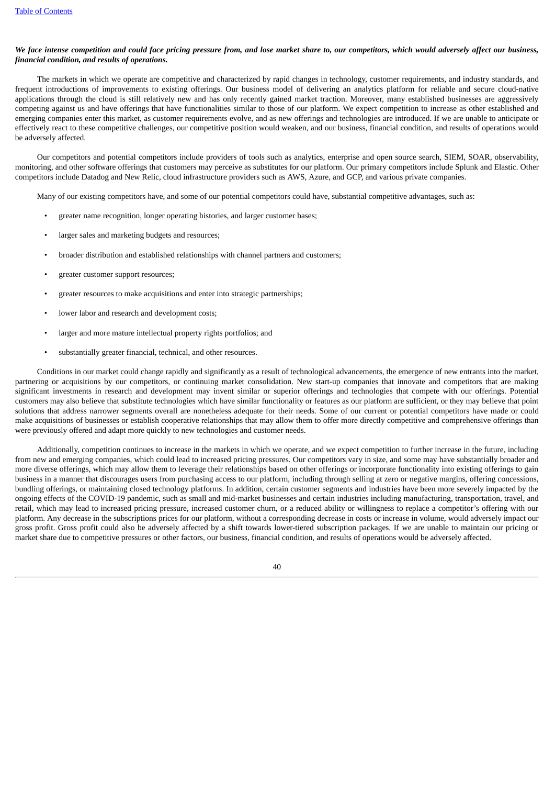# We face intense competition and could face pricing pressure from, and lose market share to, our competitors, which would adversely affect our business, *financial condition, and results of operations.*

The markets in which we operate are competitive and characterized by rapid changes in technology, customer requirements, and industry standards, and frequent introductions of improvements to existing offerings. Our business model of delivering an analytics platform for reliable and secure cloud-native applications through the cloud is still relatively new and has only recently gained market traction. Moreover, many established businesses are aggressively competing against us and have offerings that have functionalities similar to those of our platform. We expect competition to increase as other established and emerging companies enter this market, as customer requirements evolve, and as new offerings and technologies are introduced. If we are unable to anticipate or effectively react to these competitive challenges, our competitive position would weaken, and our business, financial condition, and results of operations would be adversely affected.

Our competitors and potential competitors include providers of tools such as analytics, enterprise and open source search, SIEM, SOAR, observability, monitoring, and other software offerings that customers may perceive as substitutes for our platform. Our primary competitors include Splunk and Elastic. Other competitors include Datadog and New Relic, cloud infrastructure providers such as AWS, Azure, and GCP, and various private companies.

Many of our existing competitors have, and some of our potential competitors could have, substantial competitive advantages, such as:

- greater name recognition, longer operating histories, and larger customer bases;
- larger sales and marketing budgets and resources;
- broader distribution and established relationships with channel partners and customers;
- greater customer support resources;
- greater resources to make acquisitions and enter into strategic partnerships;
- lower labor and research and development costs;
- larger and more mature intellectual property rights portfolios; and
- substantially greater financial, technical, and other resources.

Conditions in our market could change rapidly and significantly as a result of technological advancements, the emergence of new entrants into the market, partnering or acquisitions by our competitors, or continuing market consolidation. New start-up companies that innovate and competitors that are making significant investments in research and development may invent similar or superior offerings and technologies that compete with our offerings. Potential customers may also believe that substitute technologies which have similar functionality or features as our platform are sufficient, or they may believe that point solutions that address narrower segments overall are nonetheless adequate for their needs. Some of our current or potential competitors have made or could make acquisitions of businesses or establish cooperative relationships that may allow them to offer more directly competitive and comprehensive offerings than were previously offered and adapt more quickly to new technologies and customer needs.

Additionally, competition continues to increase in the markets in which we operate, and we expect competition to further increase in the future, including from new and emerging companies, which could lead to increased pricing pressures. Our competitors vary in size, and some may have substantially broader and more diverse offerings, which may allow them to leverage their relationships based on other offerings or incorporate functionality into existing offerings to gain business in a manner that discourages users from purchasing access to our platform, including through selling at zero or negative margins, offering concessions, bundling offerings, or maintaining closed technology platforms. In addition, certain customer segments and industries have been more severely impacted by the ongoing effects of the COVID-19 pandemic, such as small and mid-market businesses and certain industries including manufacturing, transportation, travel, and retail, which may lead to increased pricing pressure, increased customer churn, or a reduced ability or willingness to replace a competitor's offering with our platform. Any decrease in the subscriptions prices for our platform, without a corresponding decrease in costs or increase in volume, would adversely impact our gross profit. Gross profit could also be adversely affected by a shift towards lower-tiered subscription packages. If we are unable to maintain our pricing or market share due to competitive pressures or other factors, our business, financial condition, and results of operations would be adversely affected.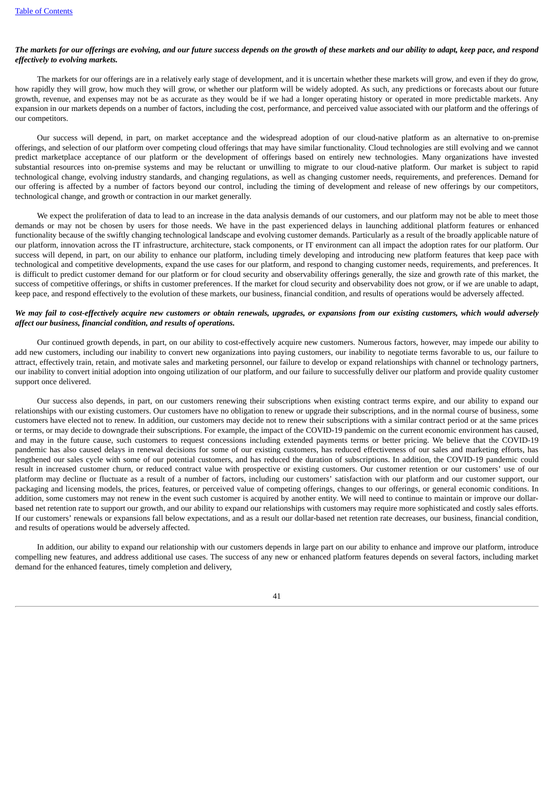## The markets for our offerings are evolving, and our future success depends on the growth of these markets and our ability to adapt, keep pace, and respond *effectively to evolving markets.*

The markets for our offerings are in a relatively early stage of development, and it is uncertain whether these markets will grow, and even if they do grow, how rapidly they will grow, how much they will grow, or whether our platform will be widely adopted. As such, any predictions or forecasts about our future growth, revenue, and expenses may not be as accurate as they would be if we had a longer operating history or operated in more predictable markets. Any expansion in our markets depends on a number of factors, including the cost, performance, and perceived value associated with our platform and the offerings of our competitors.

Our success will depend, in part, on market acceptance and the widespread adoption of our cloud-native platform as an alternative to on-premise offerings, and selection of our platform over competing cloud offerings that may have similar functionality. Cloud technologies are still evolving and we cannot predict marketplace acceptance of our platform or the development of offerings based on entirely new technologies. Many organizations have invested substantial resources into on-premise systems and may be reluctant or unwilling to migrate to our cloud-native platform. Our market is subject to rapid technological change, evolving industry standards, and changing regulations, as well as changing customer needs, requirements, and preferences. Demand for our offering is affected by a number of factors beyond our control, including the timing of development and release of new offerings by our competitors, technological change, and growth or contraction in our market generally.

We expect the proliferation of data to lead to an increase in the data analysis demands of our customers, and our platform may not be able to meet those demands or may not be chosen by users for those needs. We have in the past experienced delays in launching additional platform features or enhanced functionality because of the swiftly changing technological landscape and evolving customer demands. Particularly as a result of the broadly applicable nature of our platform, innovation across the IT infrastructure, architecture, stack components, or IT environment can all impact the adoption rates for our platform. Our success will depend, in part, on our ability to enhance our platform, including timely developing and introducing new platform features that keep pace with technological and competitive developments, expand the use cases for our platform, and respond to changing customer needs, requirements, and preferences. It is difficult to predict customer demand for our platform or for cloud security and observability offerings generally, the size and growth rate of this market, the success of competitive offerings, or shifts in customer preferences. If the market for cloud security and observability does not grow, or if we are unable to adapt, keep pace, and respond effectively to the evolution of these markets, our business, financial condition, and results of operations would be adversely affected.

## We may fail to cost-effectively acquire new customers or obtain renewals, upgrades, or expansions from our existing customers, which would adversely *affect our business, financial condition, and results of operations.*

Our continued growth depends, in part, on our ability to cost-effectively acquire new customers. Numerous factors, however, may impede our ability to add new customers, including our inability to convert new organizations into paying customers, our inability to negotiate terms favorable to us, our failure to attract, effectively train, retain, and motivate sales and marketing personnel, our failure to develop or expand relationships with channel or technology partners, our inability to convert initial adoption into ongoing utilization of our platform, and our failure to successfully deliver our platform and provide quality customer support once delivered.

Our success also depends, in part, on our customers renewing their subscriptions when existing contract terms expire, and our ability to expand our relationships with our existing customers. Our customers have no obligation to renew or upgrade their subscriptions, and in the normal course of business, some customers have elected not to renew. In addition, our customers may decide not to renew their subscriptions with a similar contract period or at the same prices or terms, or may decide to downgrade their subscriptions. For example, the impact of the COVID-19 pandemic on the current economic environment has caused, and may in the future cause, such customers to request concessions including extended payments terms or better pricing. We believe that the COVID-19 pandemic has also caused delays in renewal decisions for some of our existing customers, has reduced effectiveness of our sales and marketing efforts, has lengthened our sales cycle with some of our potential customers, and has reduced the duration of subscriptions. In addition, the COVID-19 pandemic could result in increased customer churn, or reduced contract value with prospective or existing customers. Our customer retention or our customers' use of our platform may decline or fluctuate as a result of a number of factors, including our customers' satisfaction with our platform and our customer support, our packaging and licensing models, the prices, features, or perceived value of competing offerings, changes to our offerings, or general economic conditions. In addition, some customers may not renew in the event such customer is acquired by another entity. We will need to continue to maintain or improve our dollarbased net retention rate to support our growth, and our ability to expand our relationships with customers may require more sophisticated and costly sales efforts. If our customers' renewals or expansions fall below expectations, and as a result our dollar-based net retention rate decreases, our business, financial condition, and results of operations would be adversely affected.

In addition, our ability to expand our relationship with our customers depends in large part on our ability to enhance and improve our platform, introduce compelling new features, and address additional use cases. The success of any new or enhanced platform features depends on several factors, including market demand for the enhanced features, timely completion and delivery,

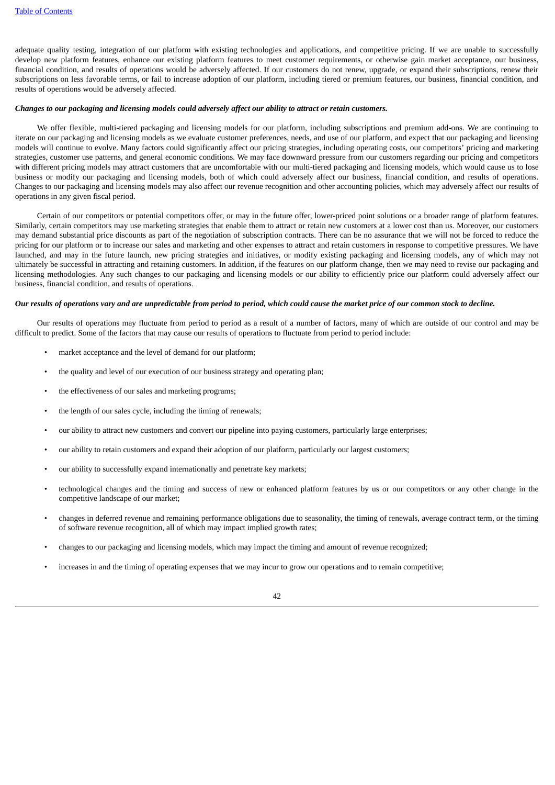adequate quality testing, integration of our platform with existing technologies and applications, and competitive pricing. If we are unable to successfully develop new platform features, enhance our existing platform features to meet customer requirements, or otherwise gain market acceptance, our business, financial condition, and results of operations would be adversely affected. If our customers do not renew, upgrade, or expand their subscriptions, renew their subscriptions on less favorable terms, or fail to increase adoption of our platform, including tiered or premium features, our business, financial condition, and results of operations would be adversely affected.

#### Changes to our packaging and licensing models could adversely affect our ability to attract or retain customers.

We offer flexible, multi-tiered packaging and licensing models for our platform, including subscriptions and premium add-ons. We are continuing to iterate on our packaging and licensing models as we evaluate customer preferences, needs, and use of our platform, and expect that our packaging and licensing models will continue to evolve. Many factors could significantly affect our pricing strategies, including operating costs, our competitors' pricing and marketing strategies, customer use patterns, and general economic conditions. We may face downward pressure from our customers regarding our pricing and competitors with different pricing models may attract customers that are uncomfortable with our multi-tiered packaging and licensing models, which would cause us to lose business or modify our packaging and licensing models, both of which could adversely affect our business, financial condition, and results of operations. Changes to our packaging and licensing models may also affect our revenue recognition and other accounting policies, which may adversely affect our results of operations in any given fiscal period.

Certain of our competitors or potential competitors offer, or may in the future offer, lower-priced point solutions or a broader range of platform features. Similarly, certain competitors may use marketing strategies that enable them to attract or retain new customers at a lower cost than us. Moreover, our customers may demand substantial price discounts as part of the negotiation of subscription contracts. There can be no assurance that we will not be forced to reduce the pricing for our platform or to increase our sales and marketing and other expenses to attract and retain customers in response to competitive pressures. We have launched, and may in the future launch, new pricing strategies and initiatives, or modify existing packaging and licensing models, any of which may not ultimately be successful in attracting and retaining customers. In addition, if the features on our platform change, then we may need to revise our packaging and licensing methodologies. Any such changes to our packaging and licensing models or our ability to efficiently price our platform could adversely affect our business, financial condition, and results of operations.

## Our results of operations vary and are unpredictable from period to period, which could cause the market price of our common stock to decline.

Our results of operations may fluctuate from period to period as a result of a number of factors, many of which are outside of our control and may be difficult to predict. Some of the factors that may cause our results of operations to fluctuate from period to period include:

- market acceptance and the level of demand for our platform;
- the quality and level of our execution of our business strategy and operating plan;
- the effectiveness of our sales and marketing programs;
- the length of our sales cycle, including the timing of renewals;
- our ability to attract new customers and convert our pipeline into paying customers, particularly large enterprises;
- our ability to retain customers and expand their adoption of our platform, particularly our largest customers;
- our ability to successfully expand internationally and penetrate key markets;
- technological changes and the timing and success of new or enhanced platform features by us or our competitors or any other change in the competitive landscape of our market;
- changes in deferred revenue and remaining performance obligations due to seasonality, the timing of renewals, average contract term, or the timing of software revenue recognition, all of which may impact implied growth rates;
- changes to our packaging and licensing models, which may impact the timing and amount of revenue recognized;
- increases in and the timing of operating expenses that we may incur to grow our operations and to remain competitive;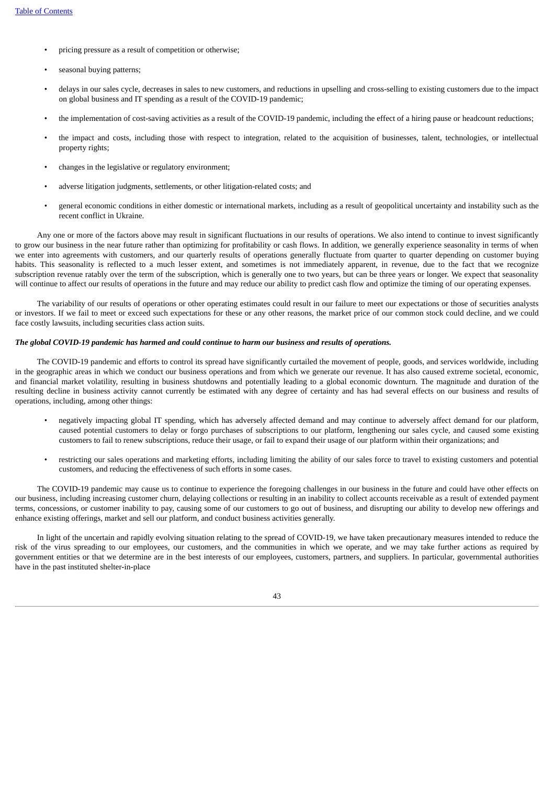- pricing pressure as a result of competition or otherwise;
- seasonal buying patterns;
- delays in our sales cycle, decreases in sales to new customers, and reductions in upselling and cross-selling to existing customers due to the impact on global business and IT spending as a result of the COVID-19 pandemic;
- the implementation of cost-saving activities as a result of the COVID-19 pandemic, including the effect of a hiring pause or headcount reductions;
- the impact and costs, including those with respect to integration, related to the acquisition of businesses, talent, technologies, or intellectual property rights;
- changes in the legislative or regulatory environment;
- adverse litigation judgments, settlements, or other litigation-related costs; and
- general economic conditions in either domestic or international markets, including as a result of geopolitical uncertainty and instability such as the recent conflict in Ukraine.

Any one or more of the factors above may result in significant fluctuations in our results of operations. We also intend to continue to invest significantly to grow our business in the near future rather than optimizing for profitability or cash flows. In addition, we generally experience seasonality in terms of when we enter into agreements with customers, and our quarterly results of operations generally fluctuate from quarter to quarter depending on customer buying habits. This seasonality is reflected to a much lesser extent, and sometimes is not immediately apparent, in revenue, due to the fact that we recognize subscription revenue ratably over the term of the subscription, which is generally one to two years, but can be three years or longer. We expect that seasonality will continue to affect our results of operations in the future and may reduce our ability to predict cash flow and optimize the timing of our operating expenses.

The variability of our results of operations or other operating estimates could result in our failure to meet our expectations or those of securities analysts or investors. If we fail to meet or exceed such expectations for these or any other reasons, the market price of our common stock could decline, and we could face costly lawsuits, including securities class action suits.

## The global COVID-19 pandemic has harmed and could continue to harm our business and results of operations.

The COVID-19 pandemic and efforts to control its spread have significantly curtailed the movement of people, goods, and services worldwide, including in the geographic areas in which we conduct our business operations and from which we generate our revenue. It has also caused extreme societal, economic, and financial market volatility, resulting in business shutdowns and potentially leading to a global economic downturn. The magnitude and duration of the resulting decline in business activity cannot currently be estimated with any degree of certainty and has had several effects on our business and results of operations, including, among other things:

- negatively impacting global IT spending, which has adversely affected demand and may continue to adversely affect demand for our platform, caused potential customers to delay or forgo purchases of subscriptions to our platform, lengthening our sales cycle, and caused some existing customers to fail to renew subscriptions, reduce their usage, or fail to expand their usage of our platform within their organizations; and
- restricting our sales operations and marketing efforts, including limiting the ability of our sales force to travel to existing customers and potential customers, and reducing the effectiveness of such efforts in some cases.

The COVID-19 pandemic may cause us to continue to experience the foregoing challenges in our business in the future and could have other effects on our business, including increasing customer churn, delaying collections or resulting in an inability to collect accounts receivable as a result of extended payment terms, concessions, or customer inability to pay, causing some of our customers to go out of business, and disrupting our ability to develop new offerings and enhance existing offerings, market and sell our platform, and conduct business activities generally.

In light of the uncertain and rapidly evolving situation relating to the spread of COVID-19, we have taken precautionary measures intended to reduce the risk of the virus spreading to our employees, our customers, and the communities in which we operate, and we may take further actions as required by government entities or that we determine are in the best interests of our employees, customers, partners, and suppliers. In particular, governmental authorities have in the past instituted shelter-in-place

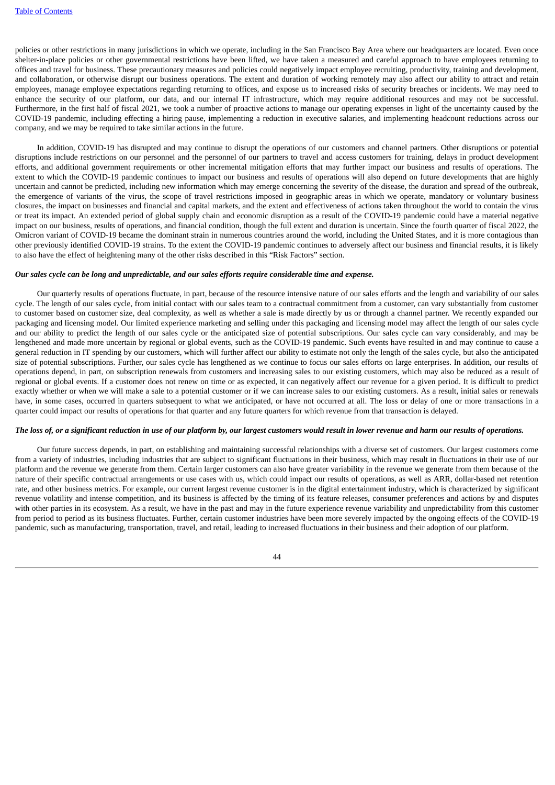policies or other restrictions in many jurisdictions in which we operate, including in the San Francisco Bay Area where our headquarters are located. Even once shelter-in-place policies or other governmental restrictions have been lifted, we have taken a measured and careful approach to have employees returning to offices and travel for business. These precautionary measures and policies could negatively impact employee recruiting, productivity, training and development, and collaboration, or otherwise disrupt our business operations. The extent and duration of working remotely may also affect our ability to attract and retain employees, manage employee expectations regarding returning to offices, and expose us to increased risks of security breaches or incidents. We may need to enhance the security of our platform, our data, and our internal IT infrastructure, which may require additional resources and may not be successful. Furthermore, in the first half of fiscal 2021, we took a number of proactive actions to manage our operating expenses in light of the uncertainty caused by the COVID-19 pandemic, including effecting a hiring pause, implementing a reduction in executive salaries, and implementing headcount reductions across our company, and we may be required to take similar actions in the future.

In addition, COVID-19 has disrupted and may continue to disrupt the operations of our customers and channel partners. Other disruptions or potential disruptions include restrictions on our personnel and the personnel of our partners to travel and access customers for training, delays in product development efforts, and additional government requirements or other incremental mitigation efforts that may further impact our business and results of operations. The extent to which the COVID-19 pandemic continues to impact our business and results of operations will also depend on future developments that are highly uncertain and cannot be predicted, including new information which may emerge concerning the severity of the disease, the duration and spread of the outbreak, the emergence of variants of the virus, the scope of travel restrictions imposed in geographic areas in which we operate, mandatory or voluntary business closures, the impact on businesses and financial and capital markets, and the extent and effectiveness of actions taken throughout the world to contain the virus or treat its impact. An extended period of global supply chain and economic disruption as a result of the COVID-19 pandemic could have a material negative impact on our business, results of operations, and financial condition, though the full extent and duration is uncertain. Since the fourth quarter of fiscal 2022, the Omicron variant of COVID-19 became the dominant strain in numerous countries around the world, including the United States, and it is more contagious than other previously identified COVID-19 strains. To the extent the COVID-19 pandemic continues to adversely affect our business and financial results, it is likely to also have the effect of heightening many of the other risks described in this "Risk Factors" section.

#### Our sales cycle can be long and unpredictable, and our sales efforts require considerable time and expense.

Our quarterly results of operations fluctuate, in part, because of the resource intensive nature of our sales efforts and the length and variability of our sales cycle. The length of our sales cycle, from initial contact with our sales team to a contractual commitment from a customer, can vary substantially from customer to customer based on customer size, deal complexity, as well as whether a sale is made directly by us or through a channel partner. We recently expanded our packaging and licensing model. Our limited experience marketing and selling under this packaging and licensing model may affect the length of our sales cycle and our ability to predict the length of our sales cycle or the anticipated size of potential subscriptions. Our sales cycle can vary considerably, and may be lengthened and made more uncertain by regional or global events, such as the COVID-19 pandemic. Such events have resulted in and may continue to cause a general reduction in IT spending by our customers, which will further affect our ability to estimate not only the length of the sales cycle, but also the anticipated size of potential subscriptions. Further, our sales cycle has lengthened as we continue to focus our sales efforts on large enterprises. In addition, our results of operations depend, in part, on subscription renewals from customers and increasing sales to our existing customers, which may also be reduced as a result of regional or global events. If a customer does not renew on time or as expected, it can negatively affect our revenue for a given period. It is difficult to predict exactly whether or when we will make a sale to a potential customer or if we can increase sales to our existing customers. As a result, initial sales or renewals have, in some cases, occurred in quarters subsequent to what we anticipated, or have not occurred at all. The loss or delay of one or more transactions in a quarter could impact our results of operations for that quarter and any future quarters for which revenue from that transaction is delayed.

#### The loss of, or a significant reduction in use of our platform by, our largest customers would result in lower revenue and harm our results of operations.

Our future success depends, in part, on establishing and maintaining successful relationships with a diverse set of customers. Our largest customers come from a variety of industries, including industries that are subject to significant fluctuations in their business, which may result in fluctuations in their use of our platform and the revenue we generate from them. Certain larger customers can also have greater variability in the revenue we generate from them because of the nature of their specific contractual arrangements or use cases with us, which could impact our results of operations, as well as ARR, dollar-based net retention rate, and other business metrics. For example, our current largest revenue customer is in the digital entertainment industry, which is characterized by significant revenue volatility and intense competition, and its business is affected by the timing of its feature releases, consumer preferences and actions by and disputes with other parties in its ecosystem. As a result, we have in the past and may in the future experience revenue variability and unpredictability from this customer from period to period as its business fluctuates. Further, certain customer industries have been more severely impacted by the ongoing effects of the COVID-19 pandemic, such as manufacturing, transportation, travel, and retail, leading to increased fluctuations in their business and their adoption of our platform.

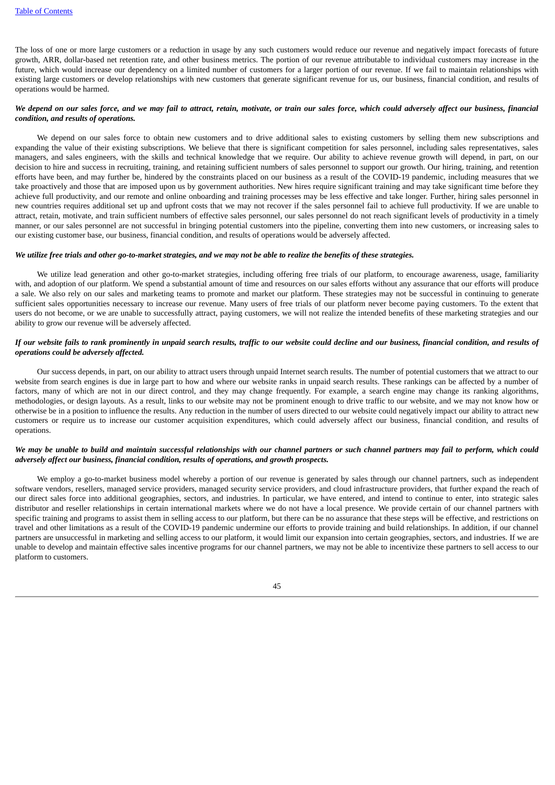The loss of one or more large customers or a reduction in usage by any such customers would reduce our revenue and negatively impact forecasts of future growth, ARR, dollar-based net retention rate, and other business metrics. The portion of our revenue attributable to individual customers may increase in the future, which would increase our dependency on a limited number of customers for a larger portion of our revenue. If we fail to maintain relationships with existing large customers or develop relationships with new customers that generate significant revenue for us, our business, financial condition, and results of operations would be harmed.

## We depend on our sales force, and we may fail to attract, retain, motivate, or train our sales force, which could adversely affect our business, financial *condition, and results of operations.*

We depend on our sales force to obtain new customers and to drive additional sales to existing customers by selling them new subscriptions and expanding the value of their existing subscriptions. We believe that there is significant competition for sales personnel, including sales representatives, sales managers, and sales engineers, with the skills and technical knowledge that we require. Our ability to achieve revenue growth will depend, in part, on our decision to hire and success in recruiting, training, and retaining sufficient numbers of sales personnel to support our growth. Our hiring, training, and retention efforts have been, and may further be, hindered by the constraints placed on our business as a result of the COVID-19 pandemic, including measures that we take proactively and those that are imposed upon us by government authorities. New hires require significant training and may take significant time before they achieve full productivity, and our remote and online onboarding and training processes may be less effective and take longer. Further, hiring sales personnel in new countries requires additional set up and upfront costs that we may not recover if the sales personnel fail to achieve full productivity. If we are unable to attract, retain, motivate, and train sufficient numbers of effective sales personnel, our sales personnel do not reach significant levels of productivity in a timely manner, or our sales personnel are not successful in bringing potential customers into the pipeline, converting them into new customers, or increasing sales to our existing customer base, our business, financial condition, and results of operations would be adversely affected.

#### We utilize free trials and other go-to-market strategies, and we may not be able to realize the benefits of these strategies.

We utilize lead generation and other go-to-market strategies, including offering free trials of our platform, to encourage awareness, usage, familiarity with, and adoption of our platform. We spend a substantial amount of time and resources on our sales efforts without any assurance that our efforts will produce a sale. We also rely on our sales and marketing teams to promote and market our platform. These strategies may not be successful in continuing to generate sufficient sales opportunities necessary to increase our revenue. Many users of free trials of our platform never become paying customers. To the extent that users do not become, or we are unable to successfully attract, paying customers, we will not realize the intended benefits of these marketing strategies and our ability to grow our revenue will be adversely affected.

# If our website fails to rank prominently in unpaid search results, traffic to our website could decline and our business, financial condition, and results of *operations could be adversely affected.*

Our success depends, in part, on our ability to attract users through unpaid Internet search results. The number of potential customers that we attract to our website from search engines is due in large part to how and where our website ranks in unpaid search results. These rankings can be affected by a number of factors, many of which are not in our direct control, and they may change frequently. For example, a search engine may change its ranking algorithms, methodologies, or design layouts. As a result, links to our website may not be prominent enough to drive traffic to our website, and we may not know how or otherwise be in a position to influence the results. Any reduction in the number of users directed to our website could negatively impact our ability to attract new customers or require us to increase our customer acquisition expenditures, which could adversely affect our business, financial condition, and results of operations.

## We may be unable to build and maintain successful relationships with our channel partners or such channel partners may fail to perform, which could *adversely affect our business, financial condition, results of operations, and growth prospects.*

We employ a go-to-market business model whereby a portion of our revenue is generated by sales through our channel partners, such as independent software vendors, resellers, managed service providers, managed security service providers, and cloud infrastructure providers, that further expand the reach of our direct sales force into additional geographies, sectors, and industries. In particular, we have entered, and intend to continue to enter, into strategic sales distributor and reseller relationships in certain international markets where we do not have a local presence. We provide certain of our channel partners with specific training and programs to assist them in selling access to our platform, but there can be no assurance that these steps will be effective, and restrictions on travel and other limitations as a result of the COVID-19 pandemic undermine our efforts to provide training and build relationships. In addition, if our channel partners are unsuccessful in marketing and selling access to our platform, it would limit our expansion into certain geographies, sectors, and industries. If we are unable to develop and maintain effective sales incentive programs for our channel partners, we may not be able to incentivize these partners to sell access to our platform to customers.

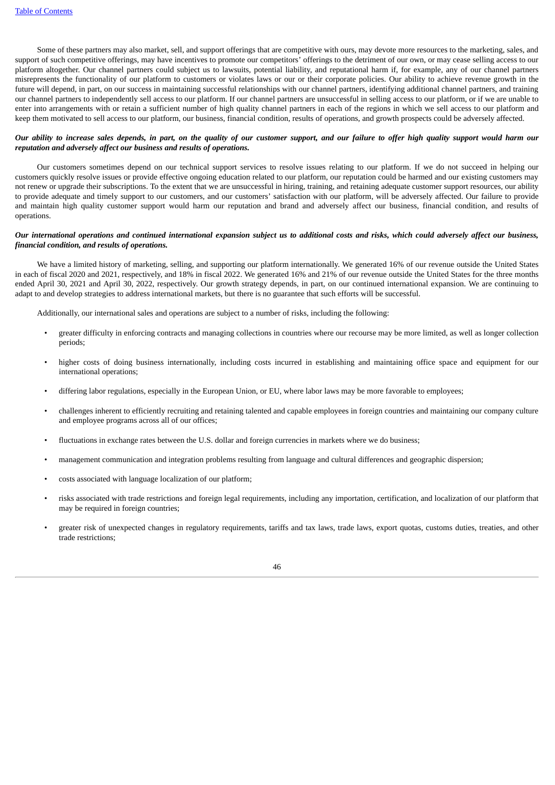Some of these partners may also market, sell, and support offerings that are competitive with ours, may devote more resources to the marketing, sales, and support of such competitive offerings, may have incentives to promote our competitors' offerings to the detriment of our own, or may cease selling access to our platform altogether. Our channel partners could subject us to lawsuits, potential liability, and reputational harm if, for example, any of our channel partners misrepresents the functionality of our platform to customers or violates laws or our or their corporate policies. Our ability to achieve revenue growth in the future will depend, in part, on our success in maintaining successful relationships with our channel partners, identifying additional channel partners, and training our channel partners to independently sell access to our platform. If our channel partners are unsuccessful in selling access to our platform, or if we are unable to enter into arrangements with or retain a sufficient number of high quality channel partners in each of the regions in which we sell access to our platform and keep them motivated to sell access to our platform, our business, financial condition, results of operations, and growth prospects could be adversely affected.

## Our ability to increase sales depends, in part, on the quality of our customer support, and our failure to offer high quality support would harm our *reputation and adversely affect our business and results of operations.*

Our customers sometimes depend on our technical support services to resolve issues relating to our platform. If we do not succeed in helping our customers quickly resolve issues or provide effective ongoing education related to our platform, our reputation could be harmed and our existing customers may not renew or upgrade their subscriptions. To the extent that we are unsuccessful in hiring, training, and retaining adequate customer support resources, our ability to provide adequate and timely support to our customers, and our customers' satisfaction with our platform, will be adversely affected. Our failure to provide and maintain high quality customer support would harm our reputation and brand and adversely affect our business, financial condition, and results of operations.

## Our international operations and continued international expansion subject us to additional costs and risks, which could adversely affect our business, *financial condition, and results of operations.*

We have a limited history of marketing, selling, and supporting our platform internationally. We generated 16% of our revenue outside the United States in each of fiscal 2020 and 2021, respectively, and 18% in fiscal 2022. We generated 16% and 21% of our revenue outside the United States for the three months ended April 30, 2021 and April 30, 2022, respectively. Our growth strategy depends, in part, on our continued international expansion. We are continuing to adapt to and develop strategies to address international markets, but there is no guarantee that such efforts will be successful.

Additionally, our international sales and operations are subject to a number of risks, including the following:

- greater difficulty in enforcing contracts and managing collections in countries where our recourse may be more limited, as well as longer collection periods;
- higher costs of doing business internationally, including costs incurred in establishing and maintaining office space and equipment for our international operations;
- differing labor regulations, especially in the European Union, or EU, where labor laws may be more favorable to employees;
- challenges inherent to efficiently recruiting and retaining talented and capable employees in foreign countries and maintaining our company culture and employee programs across all of our offices;
- fluctuations in exchange rates between the U.S. dollar and foreign currencies in markets where we do business;
- management communication and integration problems resulting from language and cultural differences and geographic dispersion;
- costs associated with language localization of our platform;
- risks associated with trade restrictions and foreign legal requirements, including any importation, certification, and localization of our platform that may be required in foreign countries;
- greater risk of unexpected changes in regulatory requirements, tariffs and tax laws, trade laws, export quotas, customs duties, treaties, and other trade restrictions;

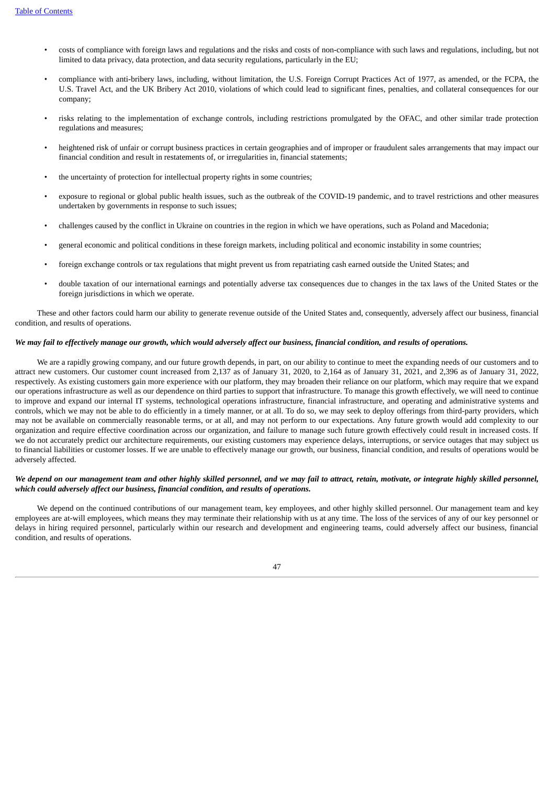- costs of compliance with foreign laws and regulations and the risks and costs of non-compliance with such laws and regulations, including, but not limited to data privacy, data protection, and data security regulations, particularly in the EU;
- compliance with anti-bribery laws, including, without limitation, the U.S. Foreign Corrupt Practices Act of 1977, as amended, or the FCPA, the U.S. Travel Act, and the UK Bribery Act 2010, violations of which could lead to significant fines, penalties, and collateral consequences for our company;
- risks relating to the implementation of exchange controls, including restrictions promulgated by the OFAC, and other similar trade protection regulations and measures;
- heightened risk of unfair or corrupt business practices in certain geographies and of improper or fraudulent sales arrangements that may impact our financial condition and result in restatements of, or irregularities in, financial statements;
- the uncertainty of protection for intellectual property rights in some countries;
- exposure to regional or global public health issues, such as the outbreak of the COVID-19 pandemic, and to travel restrictions and other measures undertaken by governments in response to such issues;
- challenges caused by the conflict in Ukraine on countries in the region in which we have operations, such as Poland and Macedonia;
- general economic and political conditions in these foreign markets, including political and economic instability in some countries;
- foreign exchange controls or tax regulations that might prevent us from repatriating cash earned outside the United States; and
- double taxation of our international earnings and potentially adverse tax consequences due to changes in the tax laws of the United States or the foreign jurisdictions in which we operate.

These and other factors could harm our ability to generate revenue outside of the United States and, consequently, adversely affect our business, financial condition, and results of operations.

# We may fail to effectively manage our growth, which would adversely affect our business, financial condition, and results of operations.

We are a rapidly growing company, and our future growth depends, in part, on our ability to continue to meet the expanding needs of our customers and to attract new customers. Our customer count increased from 2,137 as of January 31, 2020, to 2,164 as of January 31, 2021, and 2,396 as of January 31, 2022, respectively. As existing customers gain more experience with our platform, they may broaden their reliance on our platform, which may require that we expand our operations infrastructure as well as our dependence on third parties to support that infrastructure. To manage this growth effectively, we will need to continue to improve and expand our internal IT systems, technological operations infrastructure, financial infrastructure, and operating and administrative systems and controls, which we may not be able to do efficiently in a timely manner, or at all. To do so, we may seek to deploy offerings from third-party providers, which may not be available on commercially reasonable terms, or at all, and may not perform to our expectations. Any future growth would add complexity to our organization and require effective coordination across our organization, and failure to manage such future growth effectively could result in increased costs. If we do not accurately predict our architecture requirements, our existing customers may experience delays, interruptions, or service outages that may subject us to financial liabilities or customer losses. If we are unable to effectively manage our growth, our business, financial condition, and results of operations would be adversely affected.

## We depend on our management team and other highly skilled personnel, and we may fail to attract, retain, motivate, or integrate highly skilled personnel, *which could adversely affect our business, financial condition, and results of operations.*

We depend on the continued contributions of our management team, key employees, and other highly skilled personnel. Our management team and key employees are at-will employees, which means they may terminate their relationship with us at any time. The loss of the services of any of our key personnel or delays in hiring required personnel, particularly within our research and development and engineering teams, could adversely affect our business, financial condition, and results of operations.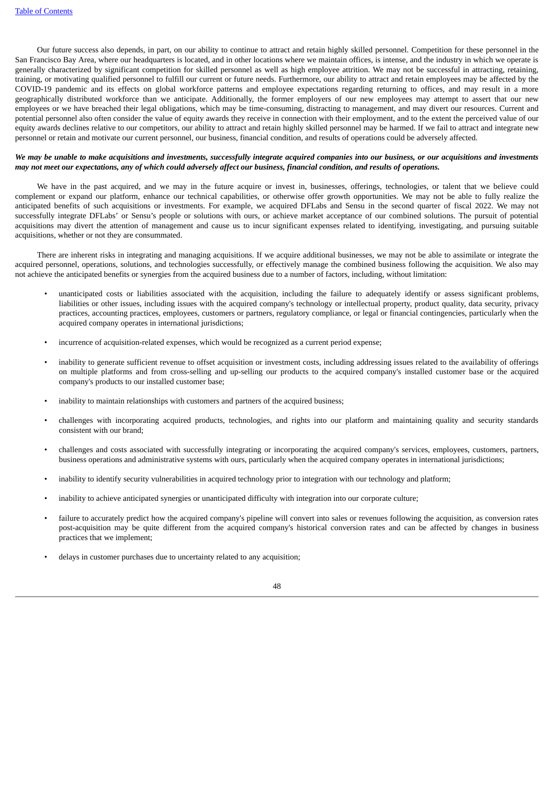Our future success also depends, in part, on our ability to continue to attract and retain highly skilled personnel. Competition for these personnel in the San Francisco Bay Area, where our headquarters is located, and in other locations where we maintain offices, is intense, and the industry in which we operate is generally characterized by significant competition for skilled personnel as well as high employee attrition. We may not be successful in attracting, retaining, training, or motivating qualified personnel to fulfill our current or future needs. Furthermore, our ability to attract and retain employees may be affected by the COVID-19 pandemic and its effects on global workforce patterns and employee expectations regarding returning to offices, and may result in a more geographically distributed workforce than we anticipate. Additionally, the former employers of our new employees may attempt to assert that our new employees or we have breached their legal obligations, which may be time-consuming, distracting to management, and may divert our resources. Current and potential personnel also often consider the value of equity awards they receive in connection with their employment, and to the extent the perceived value of our equity awards declines relative to our competitors, our ability to attract and retain highly skilled personnel may be harmed. If we fail to attract and integrate new personnel or retain and motivate our current personnel, our business, financial condition, and results of operations could be adversely affected.

## We may be unable to make acquisitions and investments, successfully integrate acquired companies into our business, or our acquisitions and investments may not meet our expectations, any of which could adversely affect our business, financial condition, and results of operations.

We have in the past acquired, and we may in the future acquire or invest in, businesses, offerings, technologies, or talent that we believe could complement or expand our platform, enhance our technical capabilities, or otherwise offer growth opportunities. We may not be able to fully realize the anticipated benefits of such acquisitions or investments. For example, we acquired DFLabs and Sensu in the second quarter of fiscal 2022. We may not successfully integrate DFLabs' or Sensu's people or solutions with ours, or achieve market acceptance of our combined solutions. The pursuit of potential acquisitions may divert the attention of management and cause us to incur significant expenses related to identifying, investigating, and pursuing suitable acquisitions, whether or not they are consummated.

There are inherent risks in integrating and managing acquisitions. If we acquire additional businesses, we may not be able to assimilate or integrate the acquired personnel, operations, solutions, and technologies successfully, or effectively manage the combined business following the acquisition. We also may not achieve the anticipated benefits or synergies from the acquired business due to a number of factors, including, without limitation:

- unanticipated costs or liabilities associated with the acquisition, including the failure to adequately identify or assess significant problems, liabilities or other issues, including issues with the acquired company's technology or intellectual property, product quality, data security, privacy practices, accounting practices, employees, customers or partners, regulatory compliance, or legal or financial contingencies, particularly when the acquired company operates in international jurisdictions;
- incurrence of acquisition-related expenses, which would be recognized as a current period expense;
- inability to generate sufficient revenue to offset acquisition or investment costs, including addressing issues related to the availability of offerings on multiple platforms and from cross-selling and up-selling our products to the acquired company's installed customer base or the acquired company's products to our installed customer base;
- inability to maintain relationships with customers and partners of the acquired business;
- challenges with incorporating acquired products, technologies, and rights into our platform and maintaining quality and security standards consistent with our brand;
- challenges and costs associated with successfully integrating or incorporating the acquired company's services, employees, customers, partners, business operations and administrative systems with ours, particularly when the acquired company operates in international jurisdictions;
- inability to identify security vulnerabilities in acquired technology prior to integration with our technology and platform;
- inability to achieve anticipated synergies or unanticipated difficulty with integration into our corporate culture;
- failure to accurately predict how the acquired company's pipeline will convert into sales or revenues following the acquisition, as conversion rates post-acquisition may be quite different from the acquired company's historical conversion rates and can be affected by changes in business practices that we implement;
- delays in customer purchases due to uncertainty related to any acquisition;

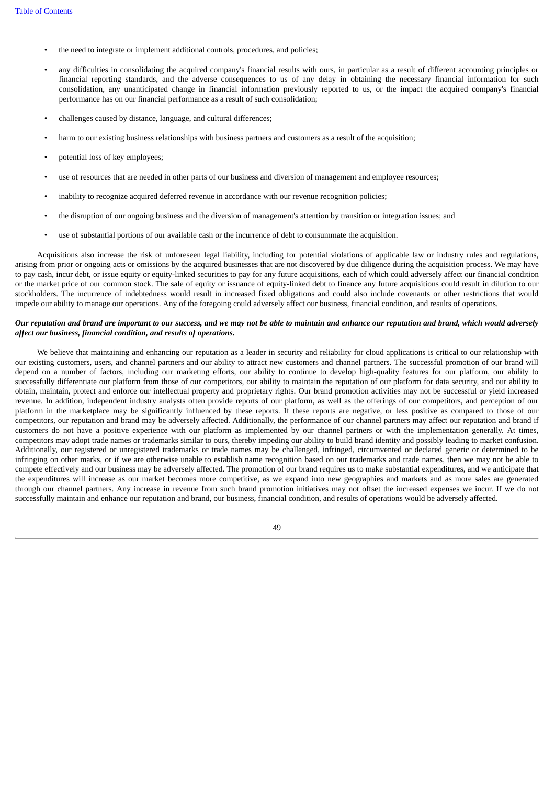- the need to integrate or implement additional controls, procedures, and policies;
- any difficulties in consolidating the acquired company's financial results with ours, in particular as a result of different accounting principles or financial reporting standards, and the adverse consequences to us of any delay in obtaining the necessary financial information for such consolidation, any unanticipated change in financial information previously reported to us, or the impact the acquired company's financial performance has on our financial performance as a result of such consolidation;
- challenges caused by distance, language, and cultural differences;
- harm to our existing business relationships with business partners and customers as a result of the acquisition;
- potential loss of key employees;
- use of resources that are needed in other parts of our business and diversion of management and employee resources;
- inability to recognize acquired deferred revenue in accordance with our revenue recognition policies;
- the disruption of our ongoing business and the diversion of management's attention by transition or integration issues; and
- use of substantial portions of our available cash or the incurrence of debt to consummate the acquisition.

Acquisitions also increase the risk of unforeseen legal liability, including for potential violations of applicable law or industry rules and regulations, arising from prior or ongoing acts or omissions by the acquired businesses that are not discovered by due diligence during the acquisition process. We may have to pay cash, incur debt, or issue equity or equity-linked securities to pay for any future acquisitions, each of which could adversely affect our financial condition or the market price of our common stock. The sale of equity or issuance of equity-linked debt to finance any future acquisitions could result in dilution to our stockholders. The incurrence of indebtedness would result in increased fixed obligations and could also include covenants or other restrictions that would impede our ability to manage our operations. Any of the foregoing could adversely affect our business, financial condition, and results of operations.

## Our reputation and brand are important to our success, and we may not be able to maintain and enhance our reputation and brand, which would adversely *affect our business, financial condition, and results of operations.*

We believe that maintaining and enhancing our reputation as a leader in security and reliability for cloud applications is critical to our relationship with our existing customers, users, and channel partners and our ability to attract new customers and channel partners. The successful promotion of our brand will depend on a number of factors, including our marketing efforts, our ability to continue to develop high-quality features for our platform, our ability to successfully differentiate our platform from those of our competitors, our ability to maintain the reputation of our platform for data security, and our ability to obtain, maintain, protect and enforce our intellectual property and proprietary rights. Our brand promotion activities may not be successful or yield increased revenue. In addition, independent industry analysts often provide reports of our platform, as well as the offerings of our competitors, and perception of our platform in the marketplace may be significantly influenced by these reports. If these reports are negative, or less positive as compared to those of our competitors, our reputation and brand may be adversely affected. Additionally, the performance of our channel partners may affect our reputation and brand if customers do not have a positive experience with our platform as implemented by our channel partners or with the implementation generally. At times, competitors may adopt trade names or trademarks similar to ours, thereby impeding our ability to build brand identity and possibly leading to market confusion. Additionally, our registered or unregistered trademarks or trade names may be challenged, infringed, circumvented or declared generic or determined to be infringing on other marks, or if we are otherwise unable to establish name recognition based on our trademarks and trade names, then we may not be able to compete effectively and our business may be adversely affected. The promotion of our brand requires us to make substantial expenditures, and we anticipate that the expenditures will increase as our market becomes more competitive, as we expand into new geographies and markets and as more sales are generated through our channel partners. Any increase in revenue from such brand promotion initiatives may not offset the increased expenses we incur. If we do not successfully maintain and enhance our reputation and brand, our business, financial condition, and results of operations would be adversely affected.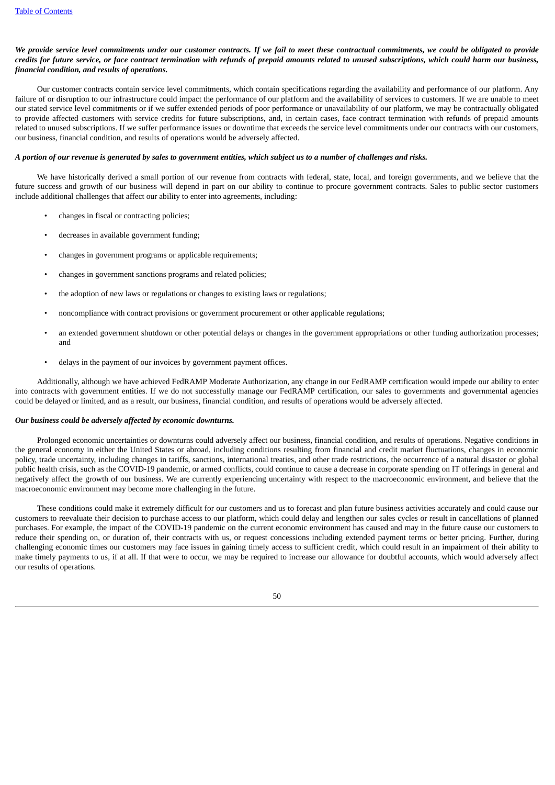## We provide service level commitments under our customer contracts. If we fail to meet these contractual commitments, we could be obligated to provide credits for future service, or face contract termination with refunds of prepaid amounts related to unused subscriptions, which could harm our business, *financial condition, and results of operations.*

Our customer contracts contain service level commitments, which contain specifications regarding the availability and performance of our platform. Any failure of or disruption to our infrastructure could impact the performance of our platform and the availability of services to customers. If we are unable to meet our stated service level commitments or if we suffer extended periods of poor performance or unavailability of our platform, we may be contractually obligated to provide affected customers with service credits for future subscriptions, and, in certain cases, face contract termination with refunds of prepaid amounts related to unused subscriptions. If we suffer performance issues or downtime that exceeds the service level commitments under our contracts with our customers, our business, financial condition, and results of operations would be adversely affected.

## A portion of our revenue is generated by sales to government entities, which subject us to a number of challenges and risks.

We have historically derived a small portion of our revenue from contracts with federal, state, local, and foreign governments, and we believe that the future success and growth of our business will depend in part on our ability to continue to procure government contracts. Sales to public sector customers include additional challenges that affect our ability to enter into agreements, including:

- changes in fiscal or contracting policies;
- decreases in available government funding;
- changes in government programs or applicable requirements;
- changes in government sanctions programs and related policies;
- the adoption of new laws or regulations or changes to existing laws or regulations;
- noncompliance with contract provisions or government procurement or other applicable regulations;
- an extended government shutdown or other potential delays or changes in the government appropriations or other funding authorization processes; and
- delays in the payment of our invoices by government payment offices.

Additionally, although we have achieved FedRAMP Moderate Authorization, any change in our FedRAMP certification would impede our ability to enter into contracts with government entities. If we do not successfully manage our FedRAMP certification, our sales to governments and governmental agencies could be delayed or limited, and as a result, our business, financial condition, and results of operations would be adversely affected.

#### *Our business could be adversely affected by economic downturns.*

Prolonged economic uncertainties or downturns could adversely affect our business, financial condition, and results of operations. Negative conditions in the general economy in either the United States or abroad, including conditions resulting from financial and credit market fluctuations, changes in economic policy, trade uncertainty, including changes in tariffs, sanctions, international treaties, and other trade restrictions, the occurrence of a natural disaster or global public health crisis, such as the COVID-19 pandemic, or armed conflicts, could continue to cause a decrease in corporate spending on IT offerings in general and negatively affect the growth of our business. We are currently experiencing uncertainty with respect to the macroeconomic environment, and believe that the macroeconomic environment may become more challenging in the future.

These conditions could make it extremely difficult for our customers and us to forecast and plan future business activities accurately and could cause our customers to reevaluate their decision to purchase access to our platform, which could delay and lengthen our sales cycles or result in cancellations of planned purchases. For example, the impact of the COVID-19 pandemic on the current economic environment has caused and may in the future cause our customers to reduce their spending on, or duration of, their contracts with us, or request concessions including extended payment terms or better pricing. Further, during challenging economic times our customers may face issues in gaining timely access to sufficient credit, which could result in an impairment of their ability to make timely payments to us, if at all. If that were to occur, we may be required to increase our allowance for doubtful accounts, which would adversely affect our results of operations.

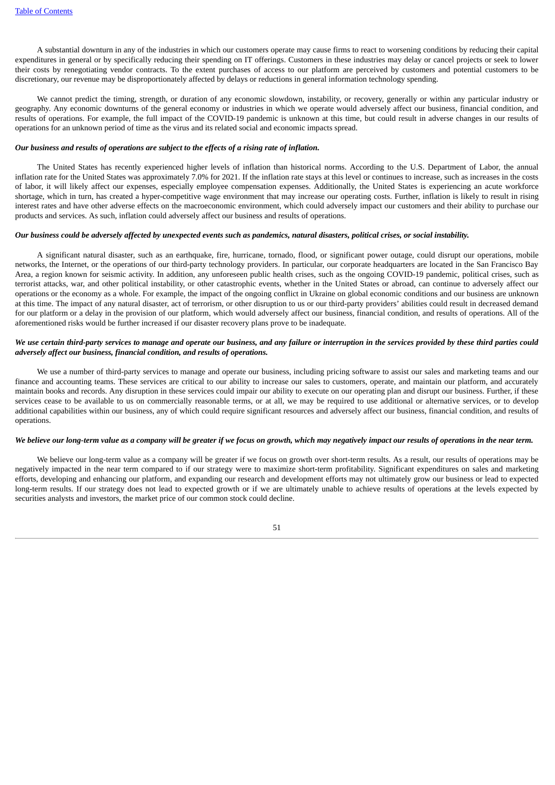A substantial downturn in any of the industries in which our customers operate may cause firms to react to worsening conditions by reducing their capital expenditures in general or by specifically reducing their spending on IT offerings. Customers in these industries may delay or cancel projects or seek to lower their costs by renegotiating vendor contracts. To the extent purchases of access to our platform are perceived by customers and potential customers to be discretionary, our revenue may be disproportionately affected by delays or reductions in general information technology spending.

We cannot predict the timing, strength, or duration of any economic slowdown, instability, or recovery, generally or within any particular industry or geography. Any economic downturns of the general economy or industries in which we operate would adversely affect our business, financial condition, and results of operations. For example, the full impact of the COVID-19 pandemic is unknown at this time, but could result in adverse changes in our results of operations for an unknown period of time as the virus and its related social and economic impacts spread.

#### *Our business and results of operations are subject to the effects of a rising rate of inflation.*

The United States has recently experienced higher levels of inflation than historical norms. According to the U.S. Department of Labor, the annual inflation rate for the United States was approximately 7.0% for 2021. If the inflation rate stays at this level or continues to increase, such as increases in the costs of labor, it will likely affect our expenses, especially employee compensation expenses. Additionally, the United States is experiencing an acute workforce shortage, which in turn, has created a hyper-competitive wage environment that may increase our operating costs. Further, inflation is likely to result in rising interest rates and have other adverse effects on the macroeconomic environment, which could adversely impact our customers and their ability to purchase our products and services. As such, inflation could adversely affect our business and results of operations.

#### Our business could be adversely affected by unexpected events such as pandemics, natural disasters, political crises, or social instability.

A significant natural disaster, such as an earthquake, fire, hurricane, tornado, flood, or significant power outage, could disrupt our operations, mobile networks, the Internet, or the operations of our third-party technology providers. In particular, our corporate headquarters are located in the San Francisco Bay Area, a region known for seismic activity. In addition, any unforeseen public health crises, such as the ongoing COVID-19 pandemic, political crises, such as terrorist attacks, war, and other political instability, or other catastrophic events, whether in the United States or abroad, can continue to adversely affect our operations or the economy as a whole. For example, the impact of the ongoing conflict in Ukraine on global economic conditions and our business are unknown at this time. The impact of any natural disaster, act of terrorism, or other disruption to us or our third-party providers' abilities could result in decreased demand for our platform or a delay in the provision of our platform, which would adversely affect our business, financial condition, and results of operations. All of the aforementioned risks would be further increased if our disaster recovery plans prove to be inadequate.

# We use certain third-party services to manage and operate our business, and any failure or interruption in the services provided by these third parties could *adversely affect our business, financial condition, and results of operations.*

We use a number of third-party services to manage and operate our business, including pricing software to assist our sales and marketing teams and our finance and accounting teams. These services are critical to our ability to increase our sales to customers, operate, and maintain our platform, and accurately maintain books and records. Any disruption in these services could impair our ability to execute on our operating plan and disrupt our business. Further, if these services cease to be available to us on commercially reasonable terms, or at all, we may be required to use additional or alternative services, or to develop additional capabilities within our business, any of which could require significant resources and adversely affect our business, financial condition, and results of operations.

## We believe our long-term value as a company will be areater if we focus on arowth, which may negatively impact our results of operations in the near term.

We believe our long-term value as a company will be greater if we focus on growth over short-term results. As a result, our results of operations may be negatively impacted in the near term compared to if our strategy were to maximize short-term profitability. Significant expenditures on sales and marketing efforts, developing and enhancing our platform, and expanding our research and development efforts may not ultimately grow our business or lead to expected long-term results. If our strategy does not lead to expected growth or if we are ultimately unable to achieve results of operations at the levels expected by securities analysts and investors, the market price of our common stock could decline.

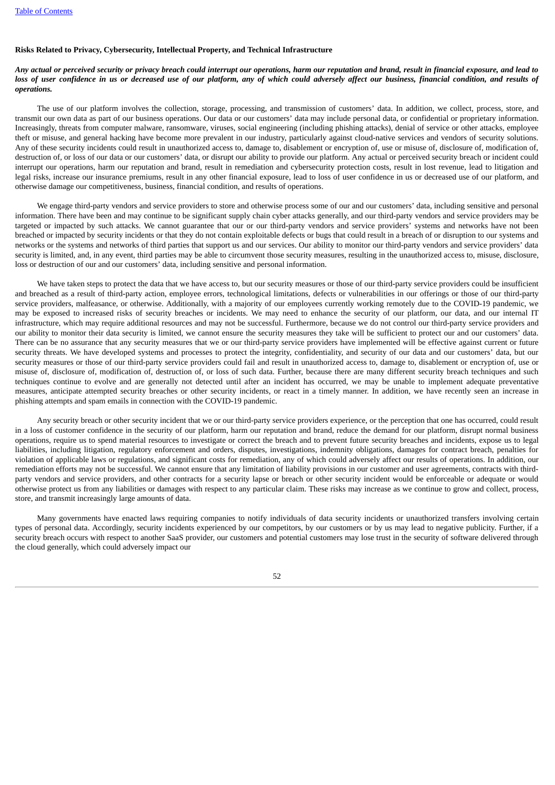## **Risks Related to Privacy, Cybersecurity, Intellectual Property, and Technical Infrastructure**

## Any actual or perceived security or privacy breach could interrupt our operations, harm our reputation and brand, result in financial exposure, and lead to loss of user confidence in us or decreased use of our platform, any of which could adversely affect our business, financial condition, and results of *operations.*

The use of our platform involves the collection, storage, processing, and transmission of customers' data. In addition, we collect, process, store, and transmit our own data as part of our business operations. Our data or our customers' data may include personal data, or confidential or proprietary information. Increasingly, threats from computer malware, ransomware, viruses, social engineering (including phishing attacks), denial of service or other attacks, employee theft or misuse, and general hacking have become more prevalent in our industry, particularly against cloud-native services and vendors of security solutions. Any of these security incidents could result in unauthorized access to, damage to, disablement or encryption of, use or misuse of, disclosure of, modification of, destruction of, or loss of our data or our customers' data, or disrupt our ability to provide our platform. Any actual or perceived security breach or incident could interrupt our operations, harm our reputation and brand, result in remediation and cybersecurity protection costs, result in lost revenue, lead to litigation and legal risks, increase our insurance premiums, result in any other financial exposure, lead to loss of user confidence in us or decreased use of our platform, and otherwise damage our competitiveness, business, financial condition, and results of operations.

We engage third-party vendors and service providers to store and otherwise process some of our and our customers' data, including sensitive and personal information. There have been and may continue to be significant supply chain cyber attacks generally, and our third-party vendors and service providers may be targeted or impacted by such attacks. We cannot guarantee that our or our third-party vendors and service providers' systems and networks have not been breached or impacted by security incidents or that they do not contain exploitable defects or bugs that could result in a breach of or disruption to our systems and networks or the systems and networks of third parties that support us and our services. Our ability to monitor our third-party vendors and service providers' data security is limited, and, in any event, third parties may be able to circumvent those security measures, resulting in the unauthorized access to, misuse, disclosure, loss or destruction of our and our customers' data, including sensitive and personal information.

We have taken steps to protect the data that we have access to, but our security measures or those of our third-party service providers could be insufficient and breached as a result of third-party action, employee errors, technological limitations, defects or vulnerabilities in our offerings or those of our third-party service providers, malfeasance, or otherwise. Additionally, with a majority of our employees currently working remotely due to the COVID-19 pandemic, we may be exposed to increased risks of security breaches or incidents. We may need to enhance the security of our platform, our data, and our internal IT infrastructure, which may require additional resources and may not be successful. Furthermore, because we do not control our third-party service providers and our ability to monitor their data security is limited, we cannot ensure the security measures they take will be sufficient to protect our and our customers' data. There can be no assurance that any security measures that we or our third-party service providers have implemented will be effective against current or future security threats. We have developed systems and processes to protect the integrity, confidentiality, and security of our data and our customers' data, but our security measures or those of our third-party service providers could fail and result in unauthorized access to, damage to, disablement or encryption of, use or misuse of, disclosure of, modification of, destruction of, or loss of such data. Further, because there are many different security breach techniques and such techniques continue to evolve and are generally not detected until after an incident has occurred, we may be unable to implement adequate preventative measures, anticipate attempted security breaches or other security incidents, or react in a timely manner. In addition, we have recently seen an increase in phishing attempts and spam emails in connection with the COVID-19 pandemic.

Any security breach or other security incident that we or our third-party service providers experience, or the perception that one has occurred, could result in a loss of customer confidence in the security of our platform, harm our reputation and brand, reduce the demand for our platform, disrupt normal business operations, require us to spend material resources to investigate or correct the breach and to prevent future security breaches and incidents, expose us to legal liabilities, including litigation, regulatory enforcement and orders, disputes, investigations, indemnity obligations, damages for contract breach, penalties for violation of applicable laws or regulations, and significant costs for remediation, any of which could adversely affect our results of operations. In addition, our remediation efforts may not be successful. We cannot ensure that any limitation of liability provisions in our customer and user agreements, contracts with thirdparty vendors and service providers, and other contracts for a security lapse or breach or other security incident would be enforceable or adequate or would otherwise protect us from any liabilities or damages with respect to any particular claim. These risks may increase as we continue to grow and collect, process, store, and transmit increasingly large amounts of data.

Many governments have enacted laws requiring companies to notify individuals of data security incidents or unauthorized transfers involving certain types of personal data. Accordingly, security incidents experienced by our competitors, by our customers or by us may lead to negative publicity. Further, if a security breach occurs with respect to another SaaS provider, our customers and potential customers may lose trust in the security of software delivered through the cloud generally, which could adversely impact our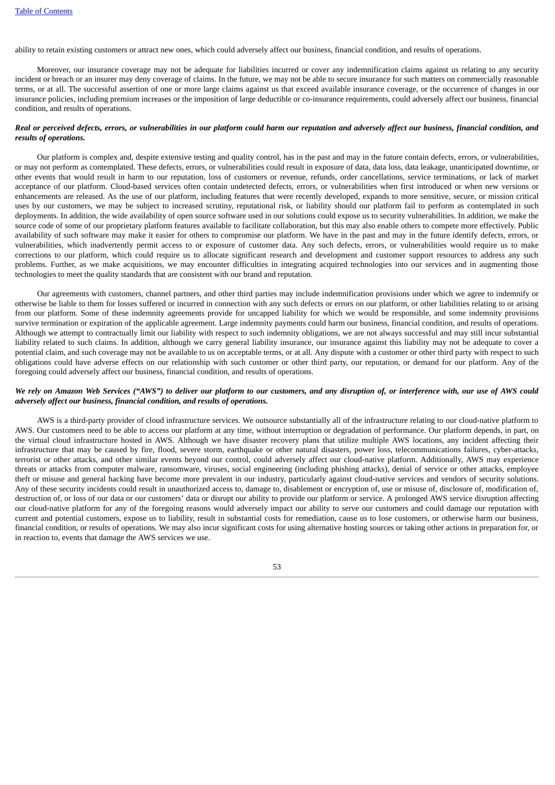ability to retain existing customers or attract new ones, which could adversely affect our business, financial condition, and results of operations.

Moreover, our insurance coverage may not be adequate for liabilities incurred or cover any indemnification claims against us relating to any security incident or breach or an insurer may deny coverage of claims. In the future, we may not be able to secure insurance for such matters on commercially reasonable terms, or at all. The successful assertion of one or more large claims against us that exceed available insurance coverage, or the occurrence of changes in our insurance policies, including premium increases or the imposition of large deductible or co-insurance requirements, could adversely affect our business, financial condition, and results of operations.

# Real or perceived defects, errors, or vulnerabilities in our platform could harm our reputation and adversely affect our business, financial condition, and *results of operations.*

Our platform is complex and, despite extensive testing and quality control, has in the past and may in the future contain defects, errors, or vulnerabilities, or may not perform as contemplated. These defects, errors, or vulnerabilities could result in exposure of data, data loss, data leakage, unanticipated downtime, or other events that would result in harm to our reputation, loss of customers or revenue, refunds, order cancellations, service terminations, or lack of market acceptance of our platform. Cloud-based services often contain undetected defects, errors, or vulnerabilities when first introduced or when new versions or enhancements are released. As the use of our platform, including features that were recently developed, expands to more sensitive, secure, or mission critical uses by our customers, we may be subject to increased scrutiny, reputational risk, or liability should our platform fail to perform as contemplated in such deployments. In addition, the wide availability of open source software used in our solutions could expose us to security vulnerabilities. In addition, we make the source code of some of our proprietary platform features available to facilitate collaboration, but this may also enable others to compete more effectively. Public availability of such software may make it easier for others to compromise our platform. We have in the past and may in the future identify defects, errors, or vulnerabilities, which inadvertently permit access to or exposure of customer data. Any such defects, errors, or vulnerabilities would require us to make corrections to our platform, which could require us to allocate significant research and development and customer support resources to address any such problems. Further, as we make acquisitions, we may encounter difficulties in integrating acquired technologies into our services and in augmenting those technologies to meet the quality standards that are consistent with our brand and reputation.

Our agreements with customers, channel partners, and other third parties may include indemnification provisions under which we agree to indemnify or otherwise be liable to them for losses suffered or incurred in connection with any such defects or errors on our platform, or other liabilities relating to or arising from our platform. Some of these indemnity agreements provide for uncapped liability for which we would be responsible, and some indemnity provisions survive termination or expiration of the applicable agreement. Large indemnity payments could harm our business, financial condition, and results of operations. Although we attempt to contractually limit our liability with respect to such indemnity obligations, we are not always successful and may still incur substantial liability related to such claims. In addition, although we carry general liability insurance, our insurance against this liability may not be adequate to cover a potential claim, and such coverage may not be available to us on acceptable terms, or at all. Any dispute with a customer or other third party with respect to such obligations could have adverse effects on our relationship with such customer or other third party, our reputation, or demand for our platform. Any of the foregoing could adversely affect our business, financial condition, and results of operations.

# We rely on Amazon Web Services ("AWS") to deliver our platform to our customers, and any disruption of, or interference with, our use of AWS could *adversely affect our business, financial condition, and results of operations.*

AWS is a third-party provider of cloud infrastructure services. We outsource substantially all of the infrastructure relating to our cloud-native platform to AWS. Our customers need to be able to access our platform at any time, without interruption or degradation of performance. Our platform depends, in part, on the virtual cloud infrastructure hosted in AWS. Although we have disaster recovery plans that utilize multiple AWS locations, any incident affecting their infrastructure that may be caused by fire, flood, severe storm, earthquake or other natural disasters, power loss, telecommunications failures, cyber-attacks, terrorist or other attacks, and other similar events beyond our control, could adversely affect our cloud-native platform. Additionally, AWS may experience threats or attacks from computer malware, ransomware, viruses, social engineering (including phishing attacks), denial of service or other attacks, employee theft or misuse and general hacking have become more prevalent in our industry, particularly against cloud-native services and vendors of security solutions. Any of these security incidents could result in unauthorized access to, damage to, disablement or encryption of, use or misuse of, disclosure of, modification of, destruction of, or loss of our data or our customers' data or disrupt our ability to provide our platform or service. A prolonged AWS service disruption affecting our cloud-native platform for any of the foregoing reasons would adversely impact our ability to serve our customers and could damage our reputation with current and potential customers, expose us to liability, result in substantial costs for remediation, cause us to lose customers, or otherwise harm our business, financial condition, or results of operations. We may also incur significant costs for using alternative hosting sources or taking other actions in preparation for, or in reaction to, events that damage the AWS services we use.

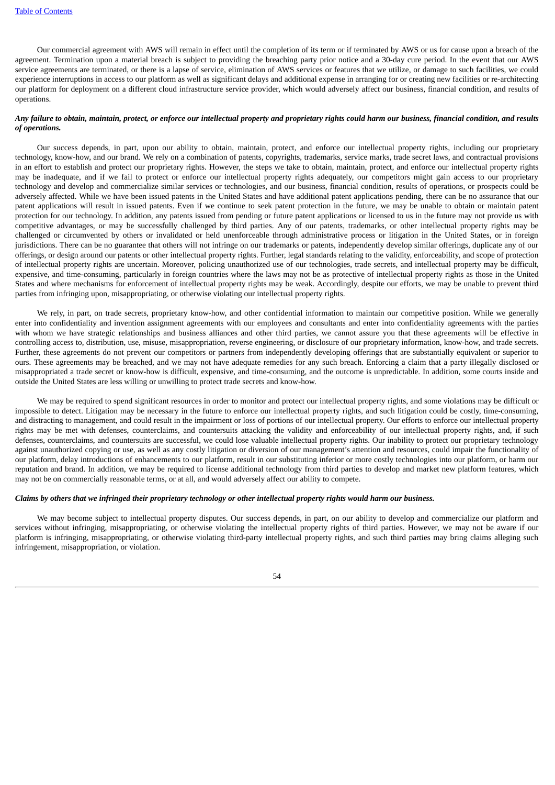Our commercial agreement with AWS will remain in effect until the completion of its term or if terminated by AWS or us for cause upon a breach of the agreement. Termination upon a material breach is subject to providing the breaching party prior notice and a 30-day cure period. In the event that our AWS service agreements are terminated, or there is a lapse of service, elimination of AWS services or features that we utilize, or damage to such facilities, we could experience interruptions in access to our platform as well as significant delays and additional expense in arranging for or creating new facilities or re-architecting our platform for deployment on a different cloud infrastructure service provider, which would adversely affect our business, financial condition, and results of operations.

## Any failure to obtain, maintain, protect, or enforce our intellectual property and proprietary rights could harm our business, financial condition, and results *of operations.*

Our success depends, in part, upon our ability to obtain, maintain, protect, and enforce our intellectual property rights, including our proprietary technology, know-how, and our brand. We rely on a combination of patents, copyrights, trademarks, service marks, trade secret laws, and contractual provisions in an effort to establish and protect our proprietary rights. However, the steps we take to obtain, maintain, protect, and enforce our intellectual property rights may be inadequate, and if we fail to protect or enforce our intellectual property rights adequately, our competitors might gain access to our proprietary technology and develop and commercialize similar services or technologies, and our business, financial condition, results of operations, or prospects could be adversely affected. While we have been issued patents in the United States and have additional patent applications pending, there can be no assurance that our patent applications will result in issued patents. Even if we continue to seek patent protection in the future, we may be unable to obtain or maintain patent protection for our technology. In addition, any patents issued from pending or future patent applications or licensed to us in the future may not provide us with competitive advantages, or may be successfully challenged by third parties. Any of our patents, trademarks, or other intellectual property rights may be challenged or circumvented by others or invalidated or held unenforceable through administrative process or litigation in the United States, or in foreign jurisdictions. There can be no guarantee that others will not infringe on our trademarks or patents, independently develop similar offerings, duplicate any of our offerings, or design around our patents or other intellectual property rights. Further, legal standards relating to the validity, enforceability, and scope of protection of intellectual property rights are uncertain. Moreover, policing unauthorized use of our technologies, trade secrets, and intellectual property may be difficult, expensive, and time-consuming, particularly in foreign countries where the laws may not be as protective of intellectual property rights as those in the United States and where mechanisms for enforcement of intellectual property rights may be weak. Accordingly, despite our efforts, we may be unable to prevent third parties from infringing upon, misappropriating, or otherwise violating our intellectual property rights.

We rely, in part, on trade secrets, proprietary know-how, and other confidential information to maintain our competitive position. While we generally enter into confidentiality and invention assignment agreements with our employees and consultants and enter into confidentiality agreements with the parties with whom we have strategic relationships and business alliances and other third parties, we cannot assure you that these agreements will be effective in controlling access to, distribution, use, misuse, misappropriation, reverse engineering, or disclosure of our proprietary information, know-how, and trade secrets. Further, these agreements do not prevent our competitors or partners from independently developing offerings that are substantially equivalent or superior to ours. These agreements may be breached, and we may not have adequate remedies for any such breach. Enforcing a claim that a party illegally disclosed or misappropriated a trade secret or know-how is difficult, expensive, and time-consuming, and the outcome is unpredictable. In addition, some courts inside and outside the United States are less willing or unwilling to protect trade secrets and know-how.

We may be required to spend significant resources in order to monitor and protect our intellectual property rights, and some violations may be difficult or impossible to detect. Litigation may be necessary in the future to enforce our intellectual property rights, and such litigation could be costly, time-consuming, and distracting to management, and could result in the impairment or loss of portions of our intellectual property. Our efforts to enforce our intellectual property rights may be met with defenses, counterclaims, and countersuits attacking the validity and enforceability of our intellectual property rights, and, if such defenses, counterclaims, and countersuits are successful, we could lose valuable intellectual property rights. Our inability to protect our proprietary technology against unauthorized copying or use, as well as any costly litigation or diversion of our management's attention and resources, could impair the functionality of our platform, delay introductions of enhancements to our platform, result in our substituting inferior or more costly technologies into our platform, or harm our reputation and brand. In addition, we may be required to license additional technology from third parties to develop and market new platform features, which may not be on commercially reasonable terms, or at all, and would adversely affect our ability to compete.

## Claims by others that we infringed their proprietary technology or other intellectual property rights would harm our business.

We may become subject to intellectual property disputes. Our success depends, in part, on our ability to develop and commercialize our platform and services without infringing, misappropriating, or otherwise violating the intellectual property rights of third parties. However, we may not be aware if our platform is infringing, misappropriating, or otherwise violating third-party intellectual property rights, and such third parties may bring claims alleging such infringement, misappropriation, or violation.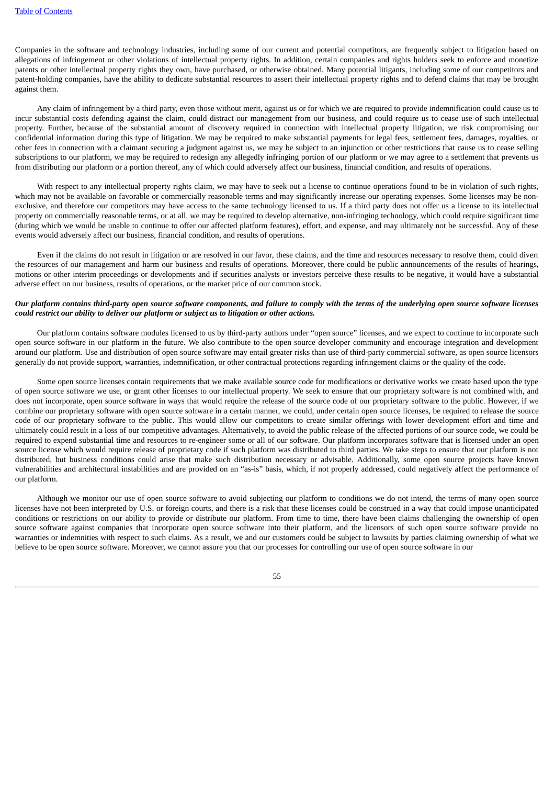Companies in the software and technology industries, including some of our current and potential competitors, are frequently subject to litigation based on allegations of infringement or other violations of intellectual property rights. In addition, certain companies and rights holders seek to enforce and monetize patents or other intellectual property rights they own, have purchased, or otherwise obtained. Many potential litigants, including some of our competitors and patent-holding companies, have the ability to dedicate substantial resources to assert their intellectual property rights and to defend claims that may be brought against them.

Any claim of infringement by a third party, even those without merit, against us or for which we are required to provide indemnification could cause us to incur substantial costs defending against the claim, could distract our management from our business, and could require us to cease use of such intellectual property. Further, because of the substantial amount of discovery required in connection with intellectual property litigation, we risk compromising our confidential information during this type of litigation. We may be required to make substantial payments for legal fees, settlement fees, damages, royalties, or other fees in connection with a claimant securing a judgment against us, we may be subject to an injunction or other restrictions that cause us to cease selling subscriptions to our platform, we may be required to redesign any allegedly infringing portion of our platform or we may agree to a settlement that prevents us from distributing our platform or a portion thereof, any of which could adversely affect our business, financial condition, and results of operations.

With respect to any intellectual property rights claim, we may have to seek out a license to continue operations found to be in violation of such rights, which may not be available on favorable or commercially reasonable terms and may significantly increase our operating expenses. Some licenses may be nonexclusive, and therefore our competitors may have access to the same technology licensed to us. If a third party does not offer us a license to its intellectual property on commercially reasonable terms, or at all, we may be required to develop alternative, non-infringing technology, which could require significant time (during which we would be unable to continue to offer our affected platform features), effort, and expense, and may ultimately not be successful. Any of these events would adversely affect our business, financial condition, and results of operations.

Even if the claims do not result in litigation or are resolved in our favor, these claims, and the time and resources necessary to resolve them, could divert the resources of our management and harm our business and results of operations. Moreover, there could be public announcements of the results of hearings, motions or other interim proceedings or developments and if securities analysts or investors perceive these results to be negative, it would have a substantial adverse effect on our business, results of operations, or the market price of our common stock.

## Our platform contains third-party open source software components, and failure to comply with the terms of the underlying open source software licenses *could restrict our ability to deliver our platform or subject us to litigation or other actions.*

Our platform contains software modules licensed to us by third-party authors under "open source" licenses, and we expect to continue to incorporate such open source software in our platform in the future. We also contribute to the open source developer community and encourage integration and development around our platform. Use and distribution of open source software may entail greater risks than use of third-party commercial software, as open source licensors generally do not provide support, warranties, indemnification, or other contractual protections regarding infringement claims or the quality of the code.

Some open source licenses contain requirements that we make available source code for modifications or derivative works we create based upon the type of open source software we use, or grant other licenses to our intellectual property. We seek to ensure that our proprietary software is not combined with, and does not incorporate, open source software in ways that would require the release of the source code of our proprietary software to the public. However, if we combine our proprietary software with open source software in a certain manner, we could, under certain open source licenses, be required to release the source code of our proprietary software to the public. This would allow our competitors to create similar offerings with lower development effort and time and ultimately could result in a loss of our competitive advantages. Alternatively, to avoid the public release of the affected portions of our source code, we could be required to expend substantial time and resources to re-engineer some or all of our software. Our platform incorporates software that is licensed under an open source license which would require release of proprietary code if such platform was distributed to third parties. We take steps to ensure that our platform is not distributed, but business conditions could arise that make such distribution necessary or advisable. Additionally, some open source projects have known vulnerabilities and architectural instabilities and are provided on an "as-is" basis, which, if not properly addressed, could negatively affect the performance of our platform.

Although we monitor our use of open source software to avoid subjecting our platform to conditions we do not intend, the terms of many open source licenses have not been interpreted by U.S. or foreign courts, and there is a risk that these licenses could be construed in a way that could impose unanticipated conditions or restrictions on our ability to provide or distribute our platform. From time to time, there have been claims challenging the ownership of open source software against companies that incorporate open source software into their platform, and the licensors of such open source software provide no warranties or indemnities with respect to such claims. As a result, we and our customers could be subject to lawsuits by parties claiming ownership of what we believe to be open source software. Moreover, we cannot assure you that our processes for controlling our use of open source software in our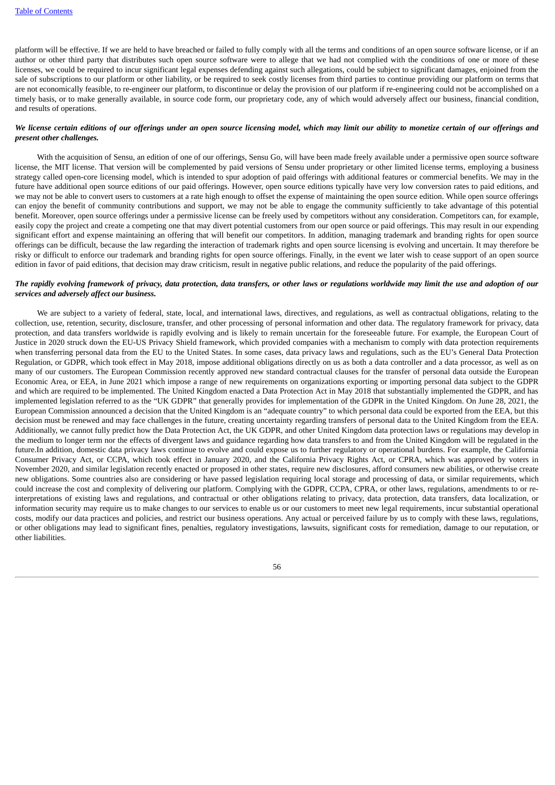platform will be effective. If we are held to have breached or failed to fully comply with all the terms and conditions of an open source software license, or if an author or other third party that distributes such open source software were to allege that we had not complied with the conditions of one or more of these licenses, we could be required to incur significant legal expenses defending against such allegations, could be subject to significant damages, enjoined from the sale of subscriptions to our platform or other liability, or be required to seek costly licenses from third parties to continue providing our platform on terms that are not economically feasible, to re-engineer our platform, to discontinue or delay the provision of our platform if re-engineering could not be accomplished on a timely basis, or to make generally available, in source code form, our proprietary code, any of which would adversely affect our business, financial condition, and results of operations.

# We license certain editions of our offerings under an open source licensing model, which may limit our ability to monetize certain of our offerings and *present other challenges.*

With the acquisition of Sensu, an edition of one of our offerings, Sensu Go, will have been made freely available under a permissive open source software license, the MIT license. That version will be complemented by paid versions of Sensu under proprietary or other limited license terms, employing a business strategy called open-core licensing model, which is intended to spur adoption of paid offerings with additional features or commercial benefits. We may in the future have additional open source editions of our paid offerings. However, open source editions typically have very low conversion rates to paid editions, and we may not be able to convert users to customers at a rate high enough to offset the expense of maintaining the open source edition. While open source offerings can enjoy the benefit of community contributions and support, we may not be able to engage the community sufficiently to take advantage of this potential benefit. Moreover, open source offerings under a permissive license can be freely used by competitors without any consideration. Competitors can, for example, easily copy the project and create a competing one that may divert potential customers from our open source or paid offerings. This may result in our expending significant effort and expense maintaining an offering that will benefit our competitors. In addition, managing trademark and branding rights for open source offerings can be difficult, because the law regarding the interaction of trademark rights and open source licensing is evolving and uncertain. It may therefore be risky or difficult to enforce our trademark and branding rights for open source offerings. Finally, in the event we later wish to cease support of an open source edition in favor of paid editions, that decision may draw criticism, result in negative public relations, and reduce the popularity of the paid offerings.

## The rapidly evolving framework of privacy, data protection, data transfers, or other laws or regulations worldwide may limit the use and adoption of our *services and adversely affect our business.*

We are subject to a variety of federal, state, local, and international laws, directives, and regulations, as well as contractual obligations, relating to the collection, use, retention, security, disclosure, transfer, and other processing of personal information and other data. The regulatory framework for privacy, data protection, and data transfers worldwide is rapidly evolving and is likely to remain uncertain for the foreseeable future. For example, the European Court of Justice in 2020 struck down the EU-US Privacy Shield framework, which provided companies with a mechanism to comply with data protection requirements when transferring personal data from the EU to the United States. In some cases, data privacy laws and regulations, such as the EU's General Data Protection Regulation, or GDPR, which took effect in May 2018, impose additional obligations directly on us as both a data controller and a data processor, as well as on many of our customers. The European Commission recently approved new standard contractual clauses for the transfer of personal data outside the European Economic Area, or EEA, in June 2021 which impose a range of new requirements on organizations exporting or importing personal data subject to the GDPR and which are required to be implemented. The United Kingdom enacted a Data Protection Act in May 2018 that substantially implemented the GDPR, and has implemented legislation referred to as the "UK GDPR" that generally provides for implementation of the GDPR in the United Kingdom. On June 28, 2021, the European Commission announced a decision that the United Kingdom is an "adequate country" to which personal data could be exported from the EEA, but this decision must be renewed and may face challenges in the future, creating uncertainty regarding transfers of personal data to the United Kingdom from the EEA. Additionally, we cannot fully predict how the Data Protection Act, the UK GDPR, and other United Kingdom data protection laws or regulations may develop in the medium to longer term nor the effects of divergent laws and guidance regarding how data transfers to and from the United Kingdom will be regulated in the future.In addition, domestic data privacy laws continue to evolve and could expose us to further regulatory or operational burdens. For example, the California Consumer Privacy Act, or CCPA, which took effect in January 2020, and the California Privacy Rights Act, or CPRA, which was approved by voters in November 2020, and similar legislation recently enacted or proposed in other states, require new disclosures, afford consumers new abilities, or otherwise create new obligations. Some countries also are considering or have passed legislation requiring local storage and processing of data, or similar requirements, which could increase the cost and complexity of delivering our platform. Complying with the GDPR, CCPA, CPRA, or other laws, regulations, amendments to or reinterpretations of existing laws and regulations, and contractual or other obligations relating to privacy, data protection, data transfers, data localization, or information security may require us to make changes to our services to enable us or our customers to meet new legal requirements, incur substantial operational costs, modify our data practices and policies, and restrict our business operations. Any actual or perceived failure by us to comply with these laws, regulations, or other obligations may lead to significant fines, penalties, regulatory investigations, lawsuits, significant costs for remediation, damage to our reputation, or other liabilities.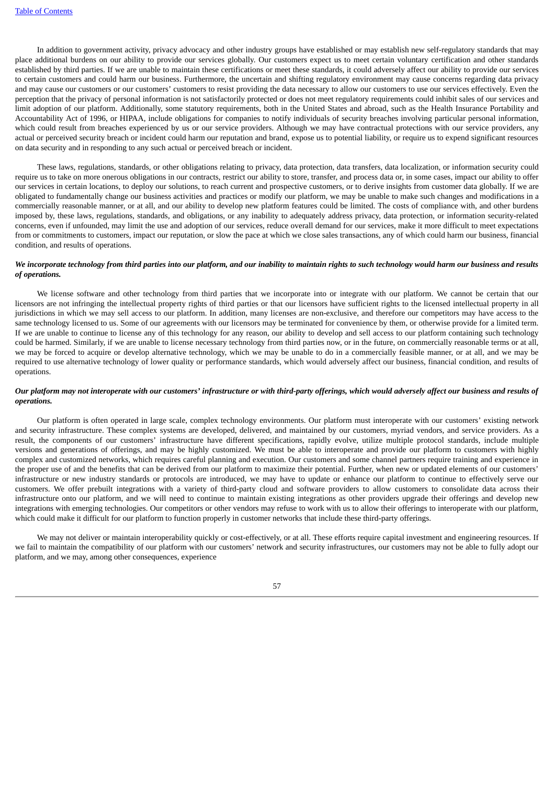In addition to government activity, privacy advocacy and other industry groups have established or may establish new self-regulatory standards that may place additional burdens on our ability to provide our services globally. Our customers expect us to meet certain voluntary certification and other standards established by third parties. If we are unable to maintain these certifications or meet these standards, it could adversely affect our ability to provide our services to certain customers and could harm our business. Furthermore, the uncertain and shifting regulatory environment may cause concerns regarding data privacy and may cause our customers or our customers' customers to resist providing the data necessary to allow our customers to use our services effectively. Even the perception that the privacy of personal information is not satisfactorily protected or does not meet regulatory requirements could inhibit sales of our services and limit adoption of our platform. Additionally, some statutory requirements, both in the United States and abroad, such as the Health Insurance Portability and Accountability Act of 1996, or HIPAA, include obligations for companies to notify individuals of security breaches involving particular personal information, which could result from breaches experienced by us or our service providers. Although we may have contractual protections with our service providers, any actual or perceived security breach or incident could harm our reputation and brand, expose us to potential liability, or require us to expend significant resources on data security and in responding to any such actual or perceived breach or incident.

These laws, regulations, standards, or other obligations relating to privacy, data protection, data transfers, data localization, or information security could require us to take on more onerous obligations in our contracts, restrict our ability to store, transfer, and process data or, in some cases, impact our ability to offer our services in certain locations, to deploy our solutions, to reach current and prospective customers, or to derive insights from customer data globally. If we are obligated to fundamentally change our business activities and practices or modify our platform, we may be unable to make such changes and modifications in a commercially reasonable manner, or at all, and our ability to develop new platform features could be limited. The costs of compliance with, and other burdens imposed by, these laws, regulations, standards, and obligations, or any inability to adequately address privacy, data protection, or information security-related concerns, even if unfounded, may limit the use and adoption of our services, reduce overall demand for our services, make it more difficult to meet expectations from or commitments to customers, impact our reputation, or slow the pace at which we close sales transactions, any of which could harm our business, financial condition, and results of operations.

## We incorporate technoloay from third parties into our platform, and our inability to maintain rights to such technoloay would harm our business and results *of operations.*

We license software and other technology from third parties that we incorporate into or integrate with our platform. We cannot be certain that our licensors are not infringing the intellectual property rights of third parties or that our licensors have sufficient rights to the licensed intellectual property in all jurisdictions in which we may sell access to our platform. In addition, many licenses are non-exclusive, and therefore our competitors may have access to the same technology licensed to us. Some of our agreements with our licensors may be terminated for convenience by them, or otherwise provide for a limited term. If we are unable to continue to license any of this technology for any reason, our ability to develop and sell access to our platform containing such technology could be harmed. Similarly, if we are unable to license necessary technology from third parties now, or in the future, on commercially reasonable terms or at all, we may be forced to acquire or develop alternative technology, which we may be unable to do in a commercially feasible manner, or at all, and we may be required to use alternative technology of lower quality or performance standards, which would adversely affect our business, financial condition, and results of operations.

## Our platform may not interoperate with our customers' infrastructure or with third-party offerings, which would adversely affect our business and results of *operations.*

Our platform is often operated in large scale, complex technology environments. Our platform must interoperate with our customers' existing network and security infrastructure. These complex systems are developed, delivered, and maintained by our customers, myriad vendors, and service providers. As a result, the components of our customers' infrastructure have different specifications, rapidly evolve, utilize multiple protocol standards, include multiple versions and generations of offerings, and may be highly customized. We must be able to interoperate and provide our platform to customers with highly complex and customized networks, which requires careful planning and execution. Our customers and some channel partners require training and experience in the proper use of and the benefits that can be derived from our platform to maximize their potential. Further, when new or updated elements of our customers' infrastructure or new industry standards or protocols are introduced, we may have to update or enhance our platform to continue to effectively serve our customers. We offer prebuilt integrations with a variety of third-party cloud and software providers to allow customers to consolidate data across their infrastructure onto our platform, and we will need to continue to maintain existing integrations as other providers upgrade their offerings and develop new integrations with emerging technologies. Our competitors or other vendors may refuse to work with us to allow their offerings to interoperate with our platform, which could make it difficult for our platform to function properly in customer networks that include these third-party offerings.

We may not deliver or maintain interoperability quickly or cost-effectively, or at all. These efforts require capital investment and engineering resources. If we fail to maintain the compatibility of our platform with our customers' network and security infrastructures, our customers may not be able to fully adopt our platform, and we may, among other consequences, experience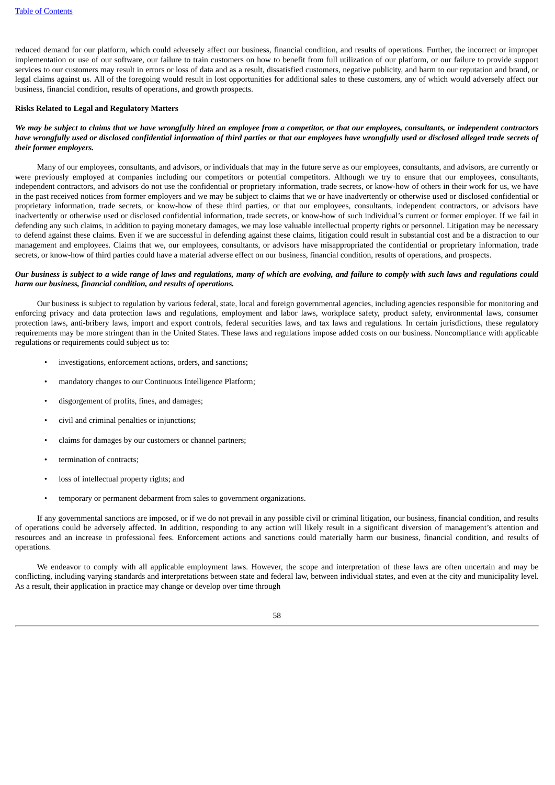reduced demand for our platform, which could adversely affect our business, financial condition, and results of operations. Further, the incorrect or improper implementation or use of our software, our failure to train customers on how to benefit from full utilization of our platform, or our failure to provide support services to our customers may result in errors or loss of data and as a result, dissatisfied customers, negative publicity, and harm to our reputation and brand, or legal claims against us. All of the foregoing would result in lost opportunities for additional sales to these customers, any of which would adversely affect our business, financial condition, results of operations, and growth prospects.

#### **Risks Related to Legal and Regulatory Matters**

## We may be subject to claims that we have wrongfully hired an employee from a competitor, or that our employees, consultants, or independent contractors have wrongfully used or disclosed confidential information of third parties or that our employees have wrongfully used or disclosed alleged trade secrets of *their former employers.*

Many of our employees, consultants, and advisors, or individuals that may in the future serve as our employees, consultants, and advisors, are currently or were previously employed at companies including our competitors or potential competitors. Although we try to ensure that our employees, consultants, independent contractors, and advisors do not use the confidential or proprietary information, trade secrets, or know-how of others in their work for us, we have in the past received notices from former employers and we may be subject to claims that we or have inadvertently or otherwise used or disclosed confidential or proprietary information, trade secrets, or know-how of these third parties, or that our employees, consultants, independent contractors, or advisors have inadvertently or otherwise used or disclosed confidential information, trade secrets, or know-how of such individual's current or former employer. If we fail in defending any such claims, in addition to paying monetary damages, we may lose valuable intellectual property rights or personnel. Litigation may be necessary to defend against these claims. Even if we are successful in defending against these claims, litigation could result in substantial cost and be a distraction to our management and employees. Claims that we, our employees, consultants, or advisors have misappropriated the confidential or proprietary information, trade secrets, or know-how of third parties could have a material adverse effect on our business, financial condition, results of operations, and prospects.

## Our business is subject to a wide range of laws and regulations, many of which are evolving, and failure to comply with such laws and regulations could *harm our business, financial condition, and results of operations.*

Our business is subject to regulation by various federal, state, local and foreign governmental agencies, including agencies responsible for monitoring and enforcing privacy and data protection laws and regulations, employment and labor laws, workplace safety, product safety, environmental laws, consumer protection laws, anti-bribery laws, import and export controls, federal securities laws, and tax laws and regulations. In certain jurisdictions, these regulatory requirements may be more stringent than in the United States. These laws and regulations impose added costs on our business. Noncompliance with applicable regulations or requirements could subject us to:

- investigations, enforcement actions, orders, and sanctions;
- mandatory changes to our Continuous Intelligence Platform;
- disgorgement of profits, fines, and damages;
- civil and criminal penalties or injunctions;
- claims for damages by our customers or channel partners;
- termination of contracts;
- loss of intellectual property rights; and
- temporary or permanent debarment from sales to government organizations.

If any governmental sanctions are imposed, or if we do not prevail in any possible civil or criminal litigation, our business, financial condition, and results of operations could be adversely affected. In addition, responding to any action will likely result in a significant diversion of management's attention and resources and an increase in professional fees. Enforcement actions and sanctions could materially harm our business, financial condition, and results of operations.

We endeavor to comply with all applicable employment laws. However, the scope and interpretation of these laws are often uncertain and may be conflicting, including varying standards and interpretations between state and federal law, between individual states, and even at the city and municipality level. As a result, their application in practice may change or develop over time through

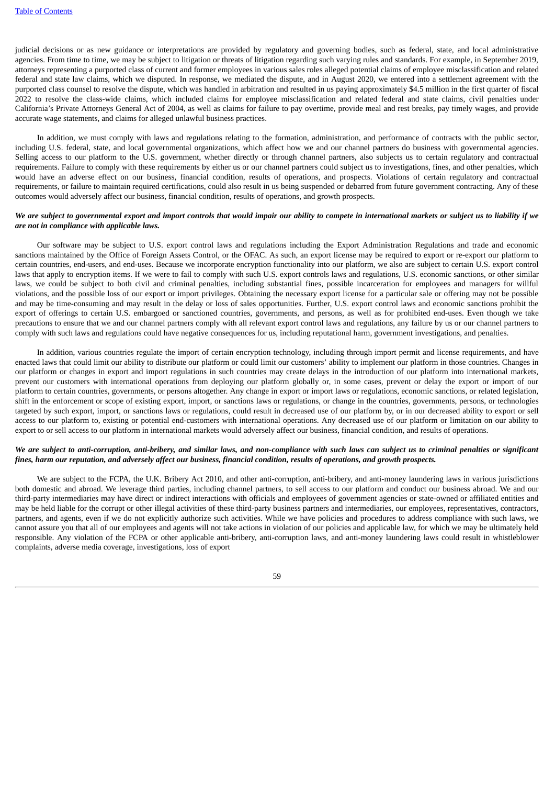judicial decisions or as new guidance or interpretations are provided by regulatory and governing bodies, such as federal, state, and local administrative agencies. From time to time, we may be subject to litigation or threats of litigation regarding such varying rules and standards. For example, in September 2019, attorneys representing a purported class of current and former employees in various sales roles alleged potential claims of employee misclassification and related federal and state law claims, which we disputed. In response, we mediated the dispute, and in August 2020, we entered into a settlement agreement with the purported class counsel to resolve the dispute, which was handled in arbitration and resulted in us paying approximately \$4.5 million in the first quarter of fiscal 2022 to resolve the class-wide claims, which included claims for employee misclassification and related federal and state claims, civil penalties under California's Private Attorneys General Act of 2004, as well as claims for failure to pay overtime, provide meal and rest breaks, pay timely wages, and provide accurate wage statements, and claims for alleged unlawful business practices.

In addition, we must comply with laws and regulations relating to the formation, administration, and performance of contracts with the public sector, including U.S. federal, state, and local governmental organizations, which affect how we and our channel partners do business with governmental agencies. Selling access to our platform to the U.S. government, whether directly or through channel partners, also subjects us to certain regulatory and contractual requirements. Failure to comply with these requirements by either us or our channel partners could subject us to investigations, fines, and other penalties, which would have an adverse effect on our business, financial condition, results of operations, and prospects. Violations of certain regulatory and contractual requirements, or failure to maintain required certifications, could also result in us being suspended or debarred from future government contracting. Any of these outcomes would adversely affect our business, financial condition, results of operations, and growth prospects.

#### We are subject to governmental export and import controls that would impair our ability to compete in international markets or subject us to liability if we *are not in compliance with applicable laws.*

Our software may be subject to U.S. export control laws and regulations including the Export Administration Regulations and trade and economic sanctions maintained by the Office of Foreign Assets Control, or the OFAC. As such, an export license may be required to export or re-export our platform to certain countries, end-users, and end-uses. Because we incorporate encryption functionality into our platform, we also are subject to certain U.S. export control laws that apply to encryption items. If we were to fail to comply with such U.S. export controls laws and regulations, U.S. economic sanctions, or other similar laws, we could be subject to both civil and criminal penalties, including substantial fines, possible incarceration for employees and managers for willful violations, and the possible loss of our export or import privileges. Obtaining the necessary export license for a particular sale or offering may not be possible and may be time-consuming and may result in the delay or loss of sales opportunities. Further, U.S. export control laws and economic sanctions prohibit the export of offerings to certain U.S. embargoed or sanctioned countries, governments, and persons, as well as for prohibited end-uses. Even though we take precautions to ensure that we and our channel partners comply with all relevant export control laws and regulations, any failure by us or our channel partners to comply with such laws and regulations could have negative consequences for us, including reputational harm, government investigations, and penalties.

In addition, various countries regulate the import of certain encryption technology, including through import permit and license requirements, and have enacted laws that could limit our ability to distribute our platform or could limit our customers' ability to implement our platform in those countries. Changes in our platform or changes in export and import regulations in such countries may create delays in the introduction of our platform into international markets, prevent our customers with international operations from deploying our platform globally or, in some cases, prevent or delay the export or import of our platform to certain countries, governments, or persons altogether. Any change in export or import laws or regulations, economic sanctions, or related legislation, shift in the enforcement or scope of existing export, import, or sanctions laws or regulations, or change in the countries, governments, persons, or technologies targeted by such export, import, or sanctions laws or regulations, could result in decreased use of our platform by, or in our decreased ability to export or sell access to our platform to, existing or potential end-customers with international operations. Any decreased use of our platform or limitation on our ability to export to or sell access to our platform in international markets would adversely affect our business, financial condition, and results of operations.

## We are subject to anti-corruption, anti-bribery, and similar laws, and non-compliance with such laws can subject us to criminal penalties or significant fines, harm our reputation, and adversely affect our business, financial condition, results of operations, and growth prospects.

We are subject to the FCPA, the U.K. Bribery Act 2010, and other anti-corruption, anti-bribery, and anti-money laundering laws in various jurisdictions both domestic and abroad. We leverage third parties, including channel partners, to sell access to our platform and conduct our business abroad. We and our third-party intermediaries may have direct or indirect interactions with officials and employees of government agencies or state-owned or affiliated entities and may be held liable for the corrupt or other illegal activities of these third-party business partners and intermediaries, our employees, representatives, contractors, partners, and agents, even if we do not explicitly authorize such activities. While we have policies and procedures to address compliance with such laws, we cannot assure you that all of our employees and agents will not take actions in violation of our policies and applicable law, for which we may be ultimately held responsible. Any violation of the FCPA or other applicable anti-bribery, anti-corruption laws, and anti-money laundering laws could result in whistleblower complaints, adverse media coverage, investigations, loss of export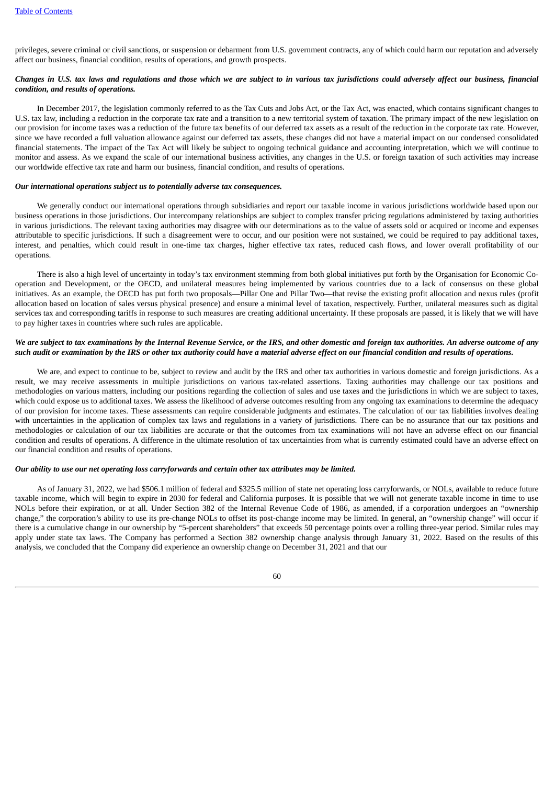privileges, severe criminal or civil sanctions, or suspension or debarment from U.S. government contracts, any of which could harm our reputation and adversely affect our business, financial condition, results of operations, and growth prospects.

# Changes in U.S. tax laws and regulations and those which we are subject to in various tax jurisdictions could adversely affect our business, financial *condition, and results of operations.*

In December 2017, the legislation commonly referred to as the Tax Cuts and Jobs Act, or the Tax Act, was enacted, which contains significant changes to U.S. tax law, including a reduction in the corporate tax rate and a transition to a new territorial system of taxation. The primary impact of the new legislation on our provision for income taxes was a reduction of the future tax benefits of our deferred tax assets as a result of the reduction in the corporate tax rate. However, since we have recorded a full valuation allowance against our deferred tax assets, these changes did not have a material impact on our condensed consolidated financial statements. The impact of the Tax Act will likely be subject to ongoing technical guidance and accounting interpretation, which we will continue to monitor and assess. As we expand the scale of our international business activities, any changes in the U.S. or foreign taxation of such activities may increase our worldwide effective tax rate and harm our business, financial condition, and results of operations.

#### *Our international operations subject us to potentially adverse tax consequences.*

We generally conduct our international operations through subsidiaries and report our taxable income in various jurisdictions worldwide based upon our business operations in those jurisdictions. Our intercompany relationships are subject to complex transfer pricing regulations administered by taxing authorities in various jurisdictions. The relevant taxing authorities may disagree with our determinations as to the value of assets sold or acquired or income and expenses attributable to specific jurisdictions. If such a disagreement were to occur, and our position were not sustained, we could be required to pay additional taxes, interest, and penalties, which could result in one-time tax charges, higher effective tax rates, reduced cash flows, and lower overall profitability of our operations.

There is also a high level of uncertainty in today's tax environment stemming from both global initiatives put forth by the Organisation for Economic Cooperation and Development, or the OECD, and unilateral measures being implemented by various countries due to a lack of consensus on these global initiatives. As an example, the OECD has put forth two proposals—Pillar One and Pillar Two—that revise the existing profit allocation and nexus rules (profit allocation based on location of sales versus physical presence) and ensure a minimal level of taxation, respectively. Further, unilateral measures such as digital services tax and corresponding tariffs in response to such measures are creating additional uncertainty. If these proposals are passed, it is likely that we will have to pay higher taxes in countries where such rules are applicable.

## We are subject to tax examinations by the Internal Revenue Service, or the IRS, and other domestic and foreign tax authorities. An adverse outcome of any such audit or examination by the IRS or other tax authority could have a material adverse effect on our financial condition and results of operations.

We are, and expect to continue to be, subject to review and audit by the IRS and other tax authorities in various domestic and foreign jurisdictions. As a result, we may receive assessments in multiple jurisdictions on various tax-related assertions. Taxing authorities may challenge our tax positions and methodologies on various matters, including our positions regarding the collection of sales and use taxes and the jurisdictions in which we are subject to taxes, which could expose us to additional taxes. We assess the likelihood of adverse outcomes resulting from any ongoing tax examinations to determine the adequacy of our provision for income taxes. These assessments can require considerable judgments and estimates. The calculation of our tax liabilities involves dealing with uncertainties in the application of complex tax laws and regulations in a variety of jurisdictions. There can be no assurance that our tax positions and methodologies or calculation of our tax liabilities are accurate or that the outcomes from tax examinations will not have an adverse effect on our financial condition and results of operations. A difference in the ultimate resolution of tax uncertainties from what is currently estimated could have an adverse effect on our financial condition and results of operations.

#### *Our ability to use our net operating loss carryforwards and certain other tax attributes may be limited.*

As of January 31, 2022, we had \$506.1 million of federal and \$325.5 million of state net operating loss carryforwards, or NOLs, available to reduce future taxable income, which will begin to expire in 2030 for federal and California purposes. It is possible that we will not generate taxable income in time to use NOLs before their expiration, or at all. Under Section 382 of the Internal Revenue Code of 1986, as amended, if a corporation undergoes an "ownership change," the corporation's ability to use its pre-change NOLs to offset its post-change income may be limited. In general, an "ownership change" will occur if there is a cumulative change in our ownership by "5-percent shareholders" that exceeds 50 percentage points over a rolling three-year period. Similar rules may apply under state tax laws. The Company has performed a Section 382 ownership change analysis through January 31, 2022. Based on the results of this analysis, we concluded that the Company did experience an ownership change on December 31, 2021 and that our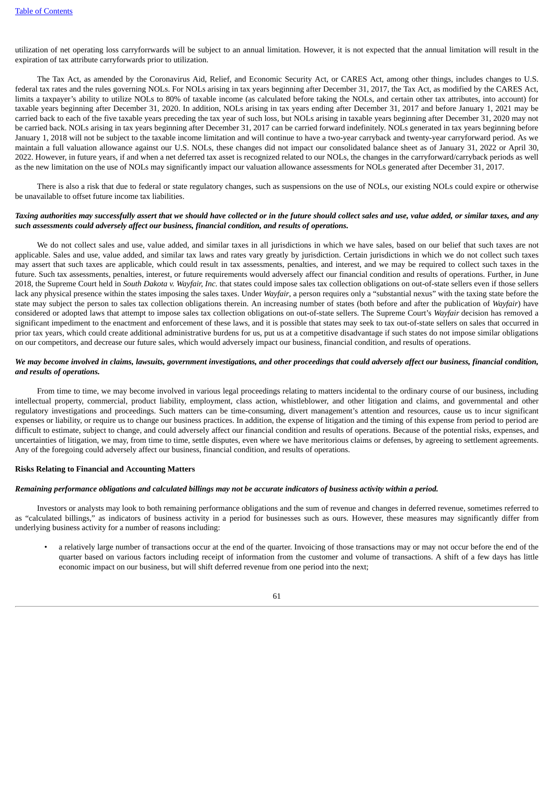utilization of net operating loss carryforrwards will be subject to an annual limitation. However, it is not expected that the annual limitation will result in the expiration of tax attribute carryforwards prior to utilization.

The Tax Act, as amended by the Coronavirus Aid, Relief, and Economic Security Act, or CARES Act, among other things, includes changes to U.S. federal tax rates and the rules governing NOLs. For NOLs arising in tax years beginning after December 31, 2017, the Tax Act, as modified by the CARES Act, limits a taxpayer's ability to utilize NOLs to 80% of taxable income (as calculated before taking the NOLs, and certain other tax attributes, into account) for taxable years beginning after December 31, 2020. In addition, NOLs arising in tax years ending after December 31, 2017 and before January 1, 2021 may be carried back to each of the five taxable years preceding the tax year of such loss, but NOLs arising in taxable years beginning after December 31, 2020 may not be carried back. NOLs arising in tax years beginning after December 31, 2017 can be carried forward indefinitely. NOLs generated in tax years beginning before January 1, 2018 will not be subject to the taxable income limitation and will continue to have a two-year carryback and twenty-year carryforward period. As we maintain a full valuation allowance against our U.S. NOLs, these changes did not impact our consolidated balance sheet as of January 31, 2022 or April 30, 2022. However, in future years, if and when a net deferred tax asset is recognized related to our NOLs, the changes in the carryforward/carryback periods as well as the new limitation on the use of NOLs may significantly impact our valuation allowance assessments for NOLs generated after December 31, 2017.

There is also a risk that due to federal or state regulatory changes, such as suspensions on the use of NOLs, our existing NOLs could expire or otherwise be unavailable to offset future income tax liabilities.

#### Taxing authorities may successfully assert that we should have collected or in the future should collect sales and use, value added, or similar taxes, and any *such assessments could adversely affect our business, financial condition, and results of operations.*

We do not collect sales and use, value added, and similar taxes in all jurisdictions in which we have sales, based on our belief that such taxes are not applicable. Sales and use, value added, and similar tax laws and rates vary greatly by jurisdiction. Certain jurisdictions in which we do not collect such taxes may assert that such taxes are applicable, which could result in tax assessments, penalties, and interest, and we may be required to collect such taxes in the future. Such tax assessments, penalties, interest, or future requirements would adversely affect our financial condition and results of operations. Further, in June 2018, the Supreme Court held in *South Dakota v. Wayfair, Inc.* that states could impose sales tax collection obligations on out-of-state sellers even if those sellers lack any physical presence within the states imposing the sales taxes. Under *Wayfair*, a person requires only a "substantial nexus" with the taxing state before the state may subject the person to sales tax collection obligations therein. An increasing number of states (both before and after the publication of *Wayfair*) have considered or adopted laws that attempt to impose sales tax collection obligations on out-of-state sellers. The Supreme Court's *Wayfair* decision has removed a significant impediment to the enactment and enforcement of these laws, and it is possible that states may seek to tax out-of-state sellers on sales that occurred in prior tax years, which could create additional administrative burdens for us, put us at a competitive disadvantage if such states do not impose similar obligations on our competitors, and decrease our future sales, which would adversely impact our business, financial condition, and results of operations.

# We may become involved in claims, lawsuits, government investigations, and other proceedings that could adversely affect our business, financial condition, *and results of operations.*

From time to time, we may become involved in various legal proceedings relating to matters incidental to the ordinary course of our business, including intellectual property, commercial, product liability, employment, class action, whistleblower, and other litigation and claims, and governmental and other regulatory investigations and proceedings. Such matters can be time-consuming, divert management's attention and resources, cause us to incur significant expenses or liability, or require us to change our business practices. In addition, the expense of litigation and the timing of this expense from period to period are difficult to estimate, subject to change, and could adversely affect our financial condition and results of operations. Because of the potential risks, expenses, and uncertainties of litigation, we may, from time to time, settle disputes, even where we have meritorious claims or defenses, by agreeing to settlement agreements. Any of the foregoing could adversely affect our business, financial condition, and results of operations.

#### **Risks Relating to Financial and Accounting Matters**

#### Remaining performance obligations and calculated billings may not be accurate indicators of business activity within a period.

Investors or analysts may look to both remaining performance obligations and the sum of revenue and changes in deferred revenue, sometimes referred to as "calculated billings," as indicators of business activity in a period for businesses such as ours. However, these measures may significantly differ from underlying business activity for a number of reasons including:

• a relatively large number of transactions occur at the end of the quarter. Invoicing of those transactions may or may not occur before the end of the quarter based on various factors including receipt of information from the customer and volume of transactions. A shift of a few days has little economic impact on our business, but will shift deferred revenue from one period into the next;

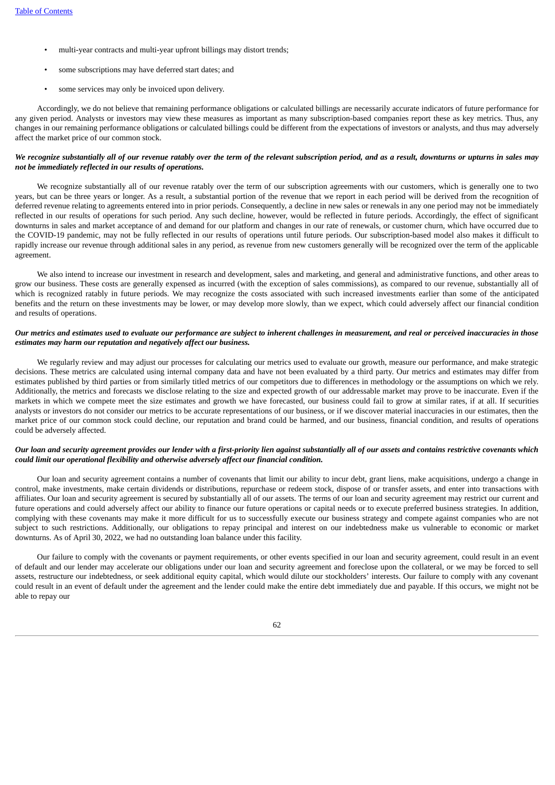- multi-year contracts and multi-year upfront billings may distort trends;
- some subscriptions may have deferred start dates; and
- some services may only be invoiced upon delivery.

Accordingly, we do not believe that remaining performance obligations or calculated billings are necessarily accurate indicators of future performance for any given period. Analysts or investors may view these measures as important as many subscription-based companies report these as key metrics. Thus, any changes in our remaining performance obligations or calculated billings could be different from the expectations of investors or analysts, and thus may adversely affect the market price of our common stock.

## We recognize substantially all of our revenue ratably over the term of the relevant subscription period, and as a result, downturns or upturns in sales may *not be immediately reflected in our results of operations.*

We recognize substantially all of our revenue ratably over the term of our subscription agreements with our customers, which is generally one to two years, but can be three years or longer. As a result, a substantial portion of the revenue that we report in each period will be derived from the recognition of deferred revenue relating to agreements entered into in prior periods. Consequently, a decline in new sales or renewals in any one period may not be immediately reflected in our results of operations for such period. Any such decline, however, would be reflected in future periods. Accordingly, the effect of significant downturns in sales and market acceptance of and demand for our platform and changes in our rate of renewals, or customer churn, which have occurred due to the COVID-19 pandemic, may not be fully reflected in our results of operations until future periods. Our subscription-based model also makes it difficult to rapidly increase our revenue through additional sales in any period, as revenue from new customers generally will be recognized over the term of the applicable agreement.

We also intend to increase our investment in research and development, sales and marketing, and general and administrative functions, and other areas to grow our business. These costs are generally expensed as incurred (with the exception of sales commissions), as compared to our revenue, substantially all of which is recognized ratably in future periods. We may recognize the costs associated with such increased investments earlier than some of the anticipated benefits and the return on these investments may be lower, or may develop more slowly, than we expect, which could adversely affect our financial condition and results of operations.

# Our metrics and estimates used to evaluate our performance are subject to inherent challenges in measurement, and real or perceived inaccuracies in those *estimates may harm our reputation and negatively affect our business.*

We regularly review and may adjust our processes for calculating our metrics used to evaluate our growth, measure our performance, and make strategic decisions. These metrics are calculated using internal company data and have not been evaluated by a third party. Our metrics and estimates may differ from estimates published by third parties or from similarly titled metrics of our competitors due to differences in methodology or the assumptions on which we rely. Additionally, the metrics and forecasts we disclose relating to the size and expected growth of our addressable market may prove to be inaccurate. Even if the markets in which we compete meet the size estimates and growth we have forecasted, our business could fail to grow at similar rates, if at all. If securities analysts or investors do not consider our metrics to be accurate representations of our business, or if we discover material inaccuracies in our estimates, then the market price of our common stock could decline, our reputation and brand could be harmed, and our business, financial condition, and results of operations could be adversely affected.

## Our loan and security agreement provides our lender with a first-priority lien against substantially all of our assets and contains restrictive covenants which *could limit our operational flexibility and otherwise adversely affect our financial condition.*

Our loan and security agreement contains a number of covenants that limit our ability to incur debt, grant liens, make acquisitions, undergo a change in control, make investments, make certain dividends or distributions, repurchase or redeem stock, dispose of or transfer assets, and enter into transactions with affiliates. Our loan and security agreement is secured by substantially all of our assets. The terms of our loan and security agreement may restrict our current and future operations and could adversely affect our ability to finance our future operations or capital needs or to execute preferred business strategies. In addition, complying with these covenants may make it more difficult for us to successfully execute our business strategy and compete against companies who are not subject to such restrictions. Additionally, our obligations to repay principal and interest on our indebtedness make us vulnerable to economic or market downturns. As of April 30, 2022, we had no outstanding loan balance under this facility.

Our failure to comply with the covenants or payment requirements, or other events specified in our loan and security agreement, could result in an event of default and our lender may accelerate our obligations under our loan and security agreement and foreclose upon the collateral, or we may be forced to sell assets, restructure our indebtedness, or seek additional equity capital, which would dilute our stockholders' interests. Our failure to comply with any covenant could result in an event of default under the agreement and the lender could make the entire debt immediately due and payable. If this occurs, we might not be able to repay our

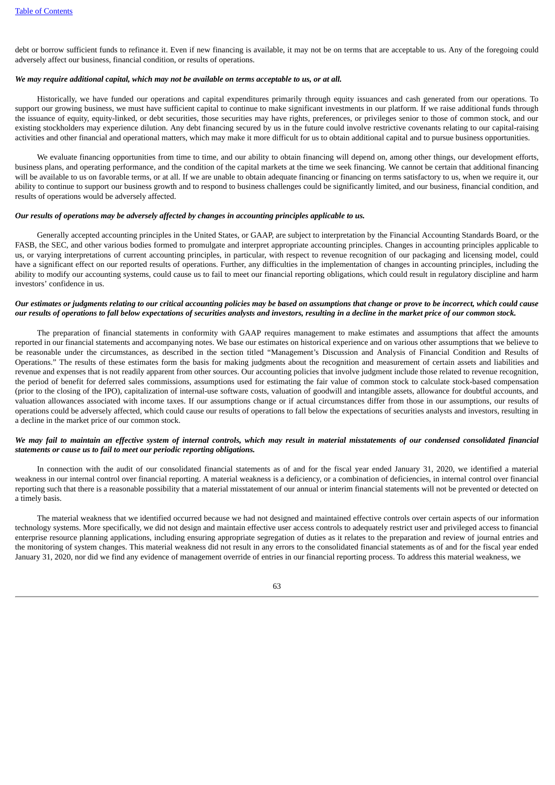debt or borrow sufficient funds to refinance it. Even if new financing is available, it may not be on terms that are acceptable to us. Any of the foregoing could adversely affect our business, financial condition, or results of operations.

## We may require additional capital, which may not be available on terms acceptable to us, or at all.

Historically, we have funded our operations and capital expenditures primarily through equity issuances and cash generated from our operations. To support our growing business, we must have sufficient capital to continue to make significant investments in our platform. If we raise additional funds through the issuance of equity, equity-linked, or debt securities, those securities may have rights, preferences, or privileges senior to those of common stock, and our existing stockholders may experience dilution. Any debt financing secured by us in the future could involve restrictive covenants relating to our capital-raising activities and other financial and operational matters, which may make it more difficult for us to obtain additional capital and to pursue business opportunities.

We evaluate financing opportunities from time to time, and our ability to obtain financing will depend on, among other things, our development efforts, business plans, and operating performance, and the condition of the capital markets at the time we seek financing. We cannot be certain that additional financing will be available to us on favorable terms, or at all. If we are unable to obtain adequate financing or financing on terms satisfactory to us, when we require it, our ability to continue to support our business growth and to respond to business challenges could be significantly limited, and our business, financial condition, and results of operations would be adversely affected.

#### *Our results of operations may be adversely affected by changes in accounting principles applicable to us.*

Generally accepted accounting principles in the United States, or GAAP, are subject to interpretation by the Financial Accounting Standards Board, or the FASB, the SEC, and other various bodies formed to promulgate and interpret appropriate accounting principles. Changes in accounting principles applicable to us, or varying interpretations of current accounting principles, in particular, with respect to revenue recognition of our packaging and licensing model, could have a significant effect on our reported results of operations. Further, any difficulties in the implementation of changes in accounting principles, including the ability to modify our accounting systems, could cause us to fail to meet our financial reporting obligations, which could result in regulatory discipline and harm investors' confidence in us.

## Our estimates or judaments relating to our critical accounting policies may be based on assumptions that change or prove to be incorrect, which could cause our results of operations to fall below expectations of securities analysts and investors, resulting in a decline in the market price of our common stock.

The preparation of financial statements in conformity with GAAP requires management to make estimates and assumptions that affect the amounts reported in our financial statements and accompanying notes. We base our estimates on historical experience and on various other assumptions that we believe to be reasonable under the circumstances, as described in the section titled "Management's Discussion and Analysis of Financial Condition and Results of Operations." The results of these estimates form the basis for making judgments about the recognition and measurement of certain assets and liabilities and revenue and expenses that is not readily apparent from other sources. Our accounting policies that involve judgment include those related to revenue recognition, the period of benefit for deferred sales commissions, assumptions used for estimating the fair value of common stock to calculate stock-based compensation (prior to the closing of the IPO), capitalization of internal-use software costs, valuation of goodwill and intangible assets, allowance for doubtful accounts, and valuation allowances associated with income taxes. If our assumptions change or if actual circumstances differ from those in our assumptions, our results of operations could be adversely affected, which could cause our results of operations to fall below the expectations of securities analysts and investors, resulting in a decline in the market price of our common stock.

## We may fail to maintain an effective system of internal controls, which may result in material misstatements of our condensed consolidated financial *statements or cause us to fail to meet our periodic reporting obligations.*

In connection with the audit of our consolidated financial statements as of and for the fiscal year ended January 31, 2020, we identified a material weakness in our internal control over financial reporting. A material weakness is a deficiency, or a combination of deficiencies, in internal control over financial reporting such that there is a reasonable possibility that a material misstatement of our annual or interim financial statements will not be prevented or detected on a timely basis.

The material weakness that we identified occurred because we had not designed and maintained effective controls over certain aspects of our information technology systems. More specifically, we did not design and maintain effective user access controls to adequately restrict user and privileged access to financial enterprise resource planning applications, including ensuring appropriate segregation of duties as it relates to the preparation and review of journal entries and the monitoring of system changes. This material weakness did not result in any errors to the consolidated financial statements as of and for the fiscal year ended January 31, 2020, nor did we find any evidence of management override of entries in our financial reporting process. To address this material weakness, we

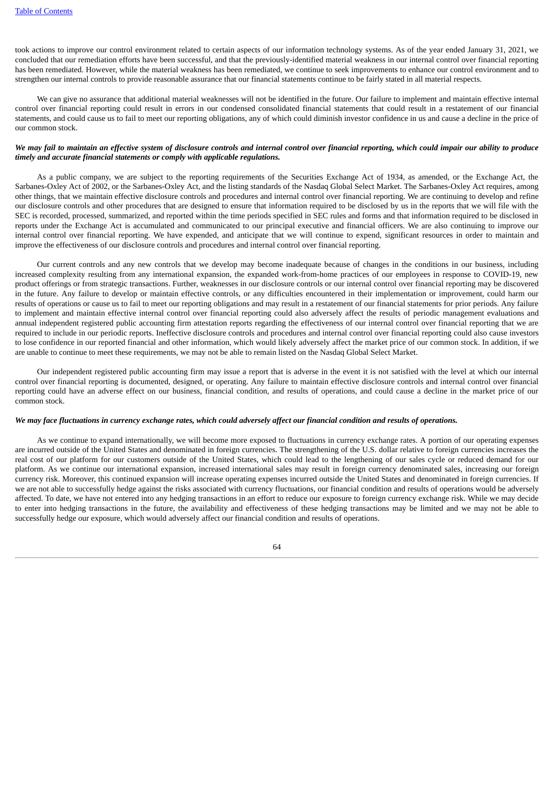took actions to improve our control environment related to certain aspects of our information technology systems. As of the year ended January 31, 2021, we concluded that our remediation efforts have been successful, and that the previously-identified material weakness in our internal control over financial reporting has been remediated. However, while the material weakness has been remediated, we continue to seek improvements to enhance our control environment and to strengthen our internal controls to provide reasonable assurance that our financial statements continue to be fairly stated in all material respects.

We can give no assurance that additional material weaknesses will not be identified in the future. Our failure to implement and maintain effective internal control over financial reporting could result in errors in our condensed consolidated financial statements that could result in a restatement of our financial statements, and could cause us to fail to meet our reporting obligations, any of which could diminish investor confidence in us and cause a decline in the price of our common stock.

# We may fail to maintain an effective system of disclosure controls and internal control over financial reporting, which could impair our ability to produce *timely and accurate financial statements or comply with applicable regulations.*

As a public company, we are subject to the reporting requirements of the Securities Exchange Act of 1934, as amended, or the Exchange Act, the Sarbanes-Oxley Act of 2002, or the Sarbanes-Oxley Act, and the listing standards of the Nasdaq Global Select Market. The Sarbanes-Oxley Act requires, among other things, that we maintain effective disclosure controls and procedures and internal control over financial reporting. We are continuing to develop and refine our disclosure controls and other procedures that are designed to ensure that information required to be disclosed by us in the reports that we will file with the SEC is recorded, processed, summarized, and reported within the time periods specified in SEC rules and forms and that information required to be disclosed in reports under the Exchange Act is accumulated and communicated to our principal executive and financial officers. We are also continuing to improve our internal control over financial reporting. We have expended, and anticipate that we will continue to expend, significant resources in order to maintain and improve the effectiveness of our disclosure controls and procedures and internal control over financial reporting.

Our current controls and any new controls that we develop may become inadequate because of changes in the conditions in our business, including increased complexity resulting from any international expansion, the expanded work-from-home practices of our employees in response to COVID-19, new product offerings or from strategic transactions. Further, weaknesses in our disclosure controls or our internal control over financial reporting may be discovered in the future. Any failure to develop or maintain effective controls, or any difficulties encountered in their implementation or improvement, could harm our results of operations or cause us to fail to meet our reporting obligations and may result in a restatement of our financial statements for prior periods. Any failure to implement and maintain effective internal control over financial reporting could also adversely affect the results of periodic management evaluations and annual independent registered public accounting firm attestation reports regarding the effectiveness of our internal control over financial reporting that we are required to include in our periodic reports. Ineffective disclosure controls and procedures and internal control over financial reporting could also cause investors to lose confidence in our reported financial and other information, which would likely adversely affect the market price of our common stock. In addition, if we are unable to continue to meet these requirements, we may not be able to remain listed on the Nasdaq Global Select Market.

Our independent registered public accounting firm may issue a report that is adverse in the event it is not satisfied with the level at which our internal control over financial reporting is documented, designed, or operating. Any failure to maintain effective disclosure controls and internal control over financial reporting could have an adverse effect on our business, financial condition, and results of operations, and could cause a decline in the market price of our common stock.

#### We may face fluctuations in currency exchange rates, which could adversely affect our financial condition and results of operations.

As we continue to expand internationally, we will become more exposed to fluctuations in currency exchange rates. A portion of our operating expenses are incurred outside of the United States and denominated in foreign currencies. The strengthening of the U.S. dollar relative to foreign currencies increases the real cost of our platform for our customers outside of the United States, which could lead to the lengthening of our sales cycle or reduced demand for our platform. As we continue our international expansion, increased international sales may result in foreign currency denominated sales, increasing our foreign currency risk. Moreover, this continued expansion will increase operating expenses incurred outside the United States and denominated in foreign currencies. If we are not able to successfully hedge against the risks associated with currency fluctuations, our financial condition and results of operations would be adversely affected. To date, we have not entered into any hedging transactions in an effort to reduce our exposure to foreign currency exchange risk. While we may decide to enter into hedging transactions in the future, the availability and effectiveness of these hedging transactions may be limited and we may not be able to successfully hedge our exposure, which would adversely affect our financial condition and results of operations.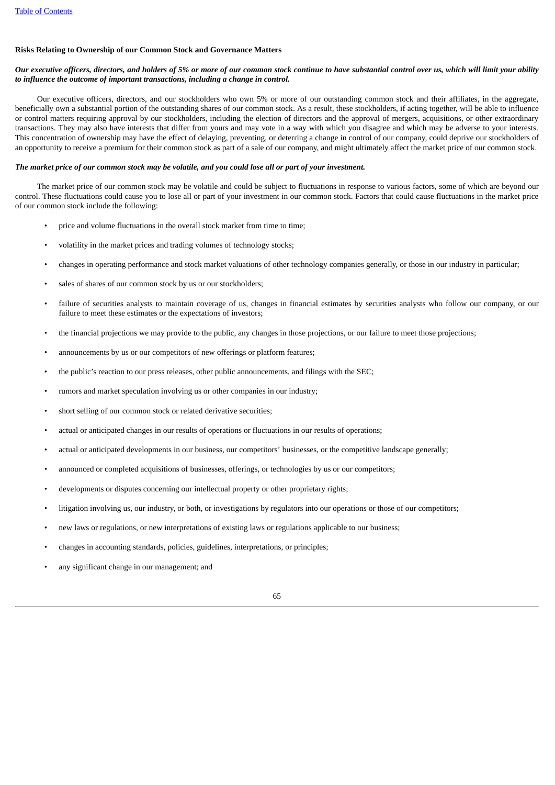## **Risks Relating to Ownership of our Common Stock and Governance Matters**

## Our executive officers, directors, and holders of 5% or more of our common stock continue to have substantial control over us, which will limit vour ability *to influence the outcome of important transactions, including a change in control.*

Our executive officers, directors, and our stockholders who own 5% or more of our outstanding common stock and their affiliates, in the aggregate, beneficially own a substantial portion of the outstanding shares of our common stock. As a result, these stockholders, if acting together, will be able to influence or control matters requiring approval by our stockholders, including the election of directors and the approval of mergers, acquisitions, or other extraordinary transactions. They may also have interests that differ from yours and may vote in a way with which you disagree and which may be adverse to your interests. This concentration of ownership may have the effect of delaying, preventing, or deterring a change in control of our company, could deprive our stockholders of an opportunity to receive a premium for their common stock as part of a sale of our company, and might ultimately affect the market price of our common stock.

## The market price of our common stock may be volatile, and you could lose all or part of your investment.

The market price of our common stock may be volatile and could be subject to fluctuations in response to various factors, some of which are beyond our control. These fluctuations could cause you to lose all or part of your investment in our common stock. Factors that could cause fluctuations in the market price of our common stock include the following:

- price and volume fluctuations in the overall stock market from time to time;
- volatility in the market prices and trading volumes of technology stocks;
- changes in operating performance and stock market valuations of other technology companies generally, or those in our industry in particular;
- sales of shares of our common stock by us or our stockholders;
- failure of securities analysts to maintain coverage of us, changes in financial estimates by securities analysts who follow our company, or our failure to meet these estimates or the expectations of investors;
- the financial projections we may provide to the public, any changes in those projections, or our failure to meet those projections;
- announcements by us or our competitors of new offerings or platform features;
- the public's reaction to our press releases, other public announcements, and filings with the SEC;
- rumors and market speculation involving us or other companies in our industry;
- short selling of our common stock or related derivative securities;
- actual or anticipated changes in our results of operations or fluctuations in our results of operations;
- actual or anticipated developments in our business, our competitors' businesses, or the competitive landscape generally;
- announced or completed acquisitions of businesses, offerings, or technologies by us or our competitors;
- developments or disputes concerning our intellectual property or other proprietary rights;
- litigation involving us, our industry, or both, or investigations by regulators into our operations or those of our competitors;
- new laws or regulations, or new interpretations of existing laws or regulations applicable to our business;
- changes in accounting standards, policies, guidelines, interpretations, or principles;
- any significant change in our management; and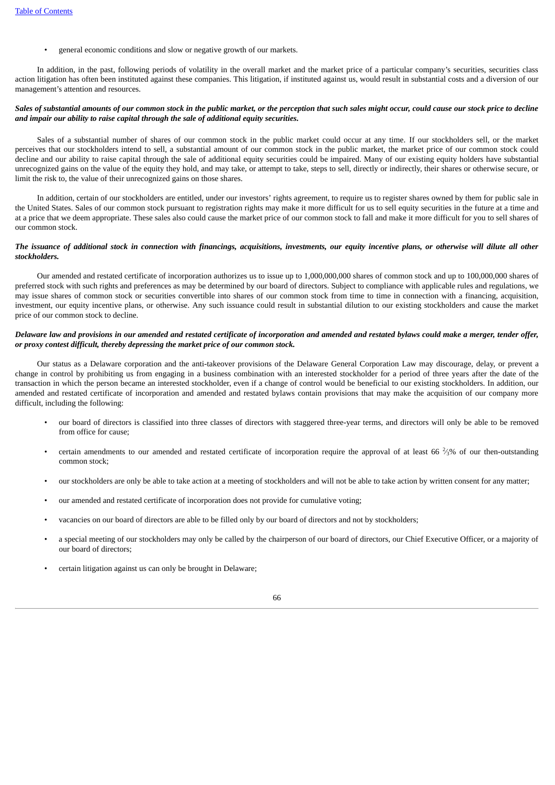• general economic conditions and slow or negative growth of our markets.

In addition, in the past, following periods of volatility in the overall market and the market price of a particular company's securities, securities class action litigation has often been instituted against these companies. This litigation, if instituted against us, would result in substantial costs and a diversion of our management's attention and resources.

## Sales of substantial amounts of our common stock in the public market, or the perception that such sales might occur, could cause our stock price to decline *and impair our ability to raise capital through the sale of additional equity securities.*

Sales of a substantial number of shares of our common stock in the public market could occur at any time. If our stockholders sell, or the market perceives that our stockholders intend to sell, a substantial amount of our common stock in the public market, the market price of our common stock could decline and our ability to raise capital through the sale of additional equity securities could be impaired. Many of our existing equity holders have substantial unrecognized gains on the value of the equity they hold, and may take, or attempt to take, steps to sell, directly or indirectly, their shares or otherwise secure, or limit the risk to, the value of their unrecognized gains on those shares.

In addition, certain of our stockholders are entitled, under our investors' rights agreement, to require us to register shares owned by them for public sale in the United States. Sales of our common stock pursuant to registration rights may make it more difficult for us to sell equity securities in the future at a time and at a price that we deem appropriate. These sales also could cause the market price of our common stock to fall and make it more difficult for you to sell shares of our common stock.

## The issuance of additional stock in connection with financings, acquisitions, investments, our equity incentive plans, or otherwise will dilute all other *stockholders.*

Our amended and restated certificate of incorporation authorizes us to issue up to 1,000,000,000 shares of common stock and up to 100,000,000 shares of preferred stock with such rights and preferences as may be determined by our board of directors. Subject to compliance with applicable rules and regulations, we may issue shares of common stock or securities convertible into shares of our common stock from time to time in connection with a financing, acquisition, investment, our equity incentive plans, or otherwise. Any such issuance could result in substantial dilution to our existing stockholders and cause the market price of our common stock to decline.

# Delaware law and provisions in our amended and restated certificate of incorporation and amended and restated bylaws could make a merger, tender offer, *or proxy contest difficult, thereby depressing the market price of our common stock.*

Our status as a Delaware corporation and the anti-takeover provisions of the Delaware General Corporation Law may discourage, delay, or prevent a change in control by prohibiting us from engaging in a business combination with an interested stockholder for a period of three years after the date of the transaction in which the person became an interested stockholder, even if a change of control would be beneficial to our existing stockholders. In addition, our amended and restated certificate of incorporation and amended and restated bylaws contain provisions that may make the acquisition of our company more difficult, including the following:

- our board of directors is classified into three classes of directors with staggered three-year terms, and directors will only be able to be removed from office for cause;
- certain amendments to our amended and restated certificate of incorporation require the approval of at least 66  $\frac{2}{3}$ % of our then-outstanding common stock;
- our stockholders are only be able to take action at a meeting of stockholders and will not be able to take action by written consent for any matter;
- our amended and restated certificate of incorporation does not provide for cumulative voting;
- vacancies on our board of directors are able to be filled only by our board of directors and not by stockholders;
- a special meeting of our stockholders may only be called by the chairperson of our board of directors, our Chief Executive Officer, or a majority of our board of directors;
- certain litigation against us can only be brought in Delaware;

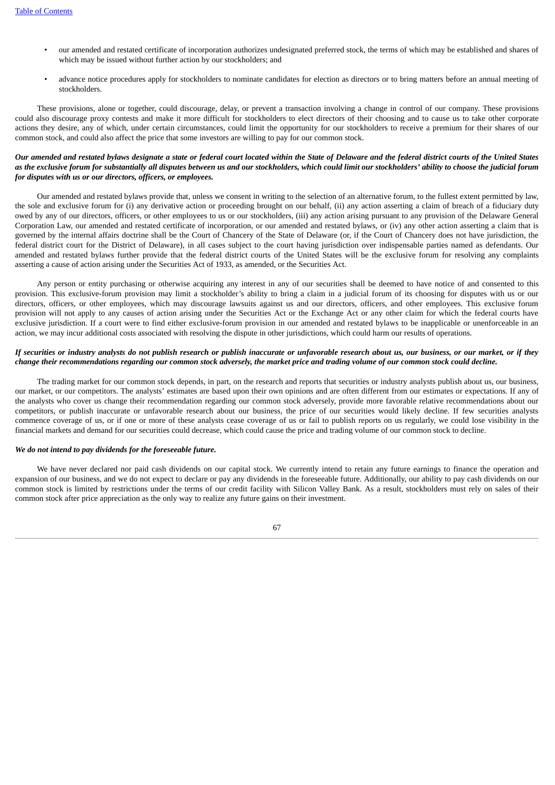- our amended and restated certificate of incorporation authorizes undesignated preferred stock, the terms of which may be established and shares of which may be issued without further action by our stockholders; and
- advance notice procedures apply for stockholders to nominate candidates for election as directors or to bring matters before an annual meeting of stockholders.

These provisions, alone or together, could discourage, delay, or prevent a transaction involving a change in control of our company. These provisions could also discourage proxy contests and make it more difficult for stockholders to elect directors of their choosing and to cause us to take other corporate actions they desire, any of which, under certain circumstances, could limit the opportunity for our stockholders to receive a premium for their shares of our common stock, and could also affect the price that some investors are willing to pay for our common stock.

# Our amended and restated bylaws designate a state or federal court located within the State of Delaware and the federal district courts of the United States as the exclusive forum for substantially all disputes between us and our stockholders, which could limit our stockholders' ability to choose the judicial forum *for disputes with us or our directors, officers, or employees.*

Our amended and restated bylaws provide that, unless we consent in writing to the selection of an alternative forum, to the fullest extent permitted by law, the sole and exclusive forum for (i) any derivative action or proceeding brought on our behalf, (ii) any action asserting a claim of breach of a fiduciary duty owed by any of our directors, officers, or other employees to us or our stockholders, (iii) any action arising pursuant to any provision of the Delaware General Corporation Law, our amended and restated certificate of incorporation, or our amended and restated bylaws, or (iv) any other action asserting a claim that is governed by the internal affairs doctrine shall be the Court of Chancery of the State of Delaware (or, if the Court of Chancery does not have jurisdiction, the federal district court for the District of Delaware), in all cases subject to the court having jurisdiction over indispensable parties named as defendants. Our amended and restated bylaws further provide that the federal district courts of the United States will be the exclusive forum for resolving any complaints asserting a cause of action arising under the Securities Act of 1933, as amended, or the Securities Act.

Any person or entity purchasing or otherwise acquiring any interest in any of our securities shall be deemed to have notice of and consented to this provision. This exclusive-forum provision may limit a stockholder's ability to bring a claim in a judicial forum of its choosing for disputes with us or our directors, officers, or other employees, which may discourage lawsuits against us and our directors, officers, and other employees. This exclusive forum provision will not apply to any causes of action arising under the Securities Act or the Exchange Act or any other claim for which the federal courts have exclusive jurisdiction. If a court were to find either exclusive-forum provision in our amended and restated bylaws to be inapplicable or unenforceable in an action, we may incur additional costs associated with resolving the dispute in other jurisdictions, which could harm our results of operations.

## If securities or industry analysts do not publish research or publish inaccurate or unfavorable research about us, our business, or our market, or if they change their recommendations regarding our common stock adversely, the market price and trading volume of our common stock could decline.

The trading market for our common stock depends, in part, on the research and reports that securities or industry analysts publish about us, our business, our market, or our competitors. The analysts' estimates are based upon their own opinions and are often different from our estimates or expectations. If any of the analysts who cover us change their recommendation regarding our common stock adversely, provide more favorable relative recommendations about our competitors, or publish inaccurate or unfavorable research about our business, the price of our securities would likely decline. If few securities analysts commence coverage of us, or if one or more of these analysts cease coverage of us or fail to publish reports on us regularly, we could lose visibility in the financial markets and demand for our securities could decrease, which could cause the price and trading volume of our common stock to decline.

## *We do not intend to pay dividends for the foreseeable future.*

We have never declared nor paid cash dividends on our capital stock. We currently intend to retain any future earnings to finance the operation and expansion of our business, and we do not expect to declare or pay any dividends in the foreseeable future. Additionally, our ability to pay cash dividends on our common stock is limited by restrictions under the terms of our credit facility with Silicon Valley Bank. As a result, stockholders must rely on sales of their common stock after price appreciation as the only way to realize any future gains on their investment.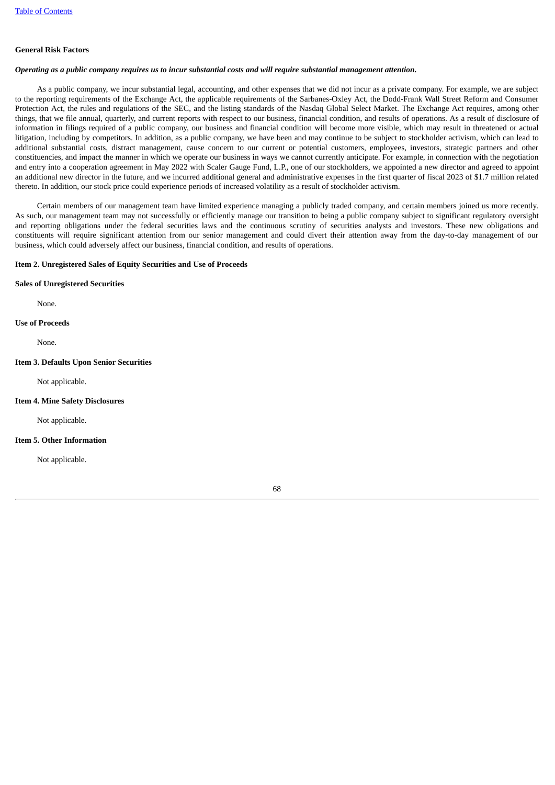## **General Risk Factors**

## Operatina as a public company requires us to incur substantial costs and will require substantial management attention.

As a public company, we incur substantial legal, accounting, and other expenses that we did not incur as a private company. For example, we are subject to the reporting requirements of the Exchange Act, the applicable requirements of the Sarbanes-Oxley Act, the Dodd-Frank Wall Street Reform and Consumer Protection Act, the rules and regulations of the SEC, and the listing standards of the Nasdaq Global Select Market. The Exchange Act requires, among other things, that we file annual, quarterly, and current reports with respect to our business, financial condition, and results of operations. As a result of disclosure of information in filings required of a public company, our business and financial condition will become more visible, which may result in threatened or actual litigation, including by competitors. In addition, as a public company, we have been and may continue to be subject to stockholder activism, which can lead to additional substantial costs, distract management, cause concern to our current or potential customers, employees, investors, strategic partners and other constituencies, and impact the manner in which we operate our business in ways we cannot currently anticipate. For example, in connection with the negotiation and entry into a cooperation agreement in May 2022 with Scaler Gauge Fund, L.P., one of our stockholders, we appointed a new director and agreed to appoint an additional new director in the future, and we incurred additional general and administrative expenses in the first quarter of fiscal 2023 of \$1.7 million related thereto. In addition, our stock price could experience periods of increased volatility as a result of stockholder activism.

Certain members of our management team have limited experience managing a publicly traded company, and certain members joined us more recently. As such, our management team may not successfully or efficiently manage our transition to being a public company subject to significant regulatory oversight and reporting obligations under the federal securities laws and the continuous scrutiny of securities analysts and investors. These new obligations and constituents will require significant attention from our senior management and could divert their attention away from the day-to-day management of our business, which could adversely affect our business, financial condition, and results of operations.

#### **Item 2. Unregistered Sales of Equity Securities and Use of Proceeds**

**Sales of Unregistered Securities**

None.

## **Use of Proceeds**

None.

# **Item 3. Defaults Upon Senior Securities**

Not applicable.

## **Item 4. Mine Safety Disclosures**

Not applicable.

## **Item 5. Other Information**

Not applicable.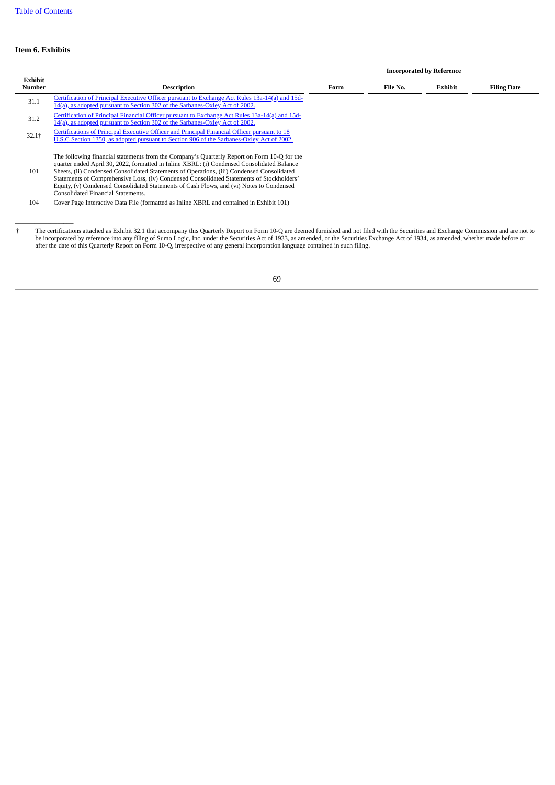# **Item 6. Exhibits**

 $\_$ 

|                   |                                                                                                                                                                                                                                                                                                                                                                                                                                                                                                                        |      | <b>Incorporated by Reference</b> |         |                    |
|-------------------|------------------------------------------------------------------------------------------------------------------------------------------------------------------------------------------------------------------------------------------------------------------------------------------------------------------------------------------------------------------------------------------------------------------------------------------------------------------------------------------------------------------------|------|----------------------------------|---------|--------------------|
| Exhibit<br>Number | <b>Description</b>                                                                                                                                                                                                                                                                                                                                                                                                                                                                                                     | Form | File No.                         | Exhibit | <b>Filing Date</b> |
| 31.1              | Certification of Principal Executive Officer pursuant to Exchange Act Rules 13a-14(a) and 15d-<br>14(a), as adopted pursuant to Section 302 of the Sarbanes-Oxley Act of 2002.                                                                                                                                                                                                                                                                                                                                         |      |                                  |         |                    |
| 31.2              | Certification of Principal Financial Officer pursuant to Exchange Act Rules 13a-14(a) and 15d-<br>14(a), as adopted pursuant to Section 302 of the Sarbanes-Oxley Act of 2002.                                                                                                                                                                                                                                                                                                                                         |      |                                  |         |                    |
| $32.1 +$          | <u>Certifications of Principal Executive Officer and Principal Financial Officer pursuant to 18</u><br>U.S.C Section 1350, as adopted pursuant to Section 906 of the Sarbanes-Oxley Act of 2002.                                                                                                                                                                                                                                                                                                                       |      |                                  |         |                    |
| 101               | The following financial statements from the Company's Quarterly Report on Form 10-Q for the<br>quarter ended April 30, 2022, formatted in Inline XBRL: (i) Condensed Consolidated Balance<br>Sheets, (ii) Condensed Consolidated Statements of Operations, (iii) Condensed Consolidated<br>Statements of Comprehensive Loss, (iv) Condensed Consolidated Statements of Stockholders'<br>Equity, (v) Condensed Consolidated Statements of Cash Flows, and (vi) Notes to Condensed<br>Consolidated Financial Statements. |      |                                  |         |                    |
| 104               | Cover Page Interactive Data File (formatted as Inline XBRL and contained in Exhibit 101)                                                                                                                                                                                                                                                                                                                                                                                                                               |      |                                  |         |                    |
|                   |                                                                                                                                                                                                                                                                                                                                                                                                                                                                                                                        |      |                                  |         |                    |

the certifications attached as Exhibit 32.1 that accompany this Quarterly Report on Form 10-Q are deemed furnished and not filed with the Securities and Exchange Commission and are not to be incorporated by reference into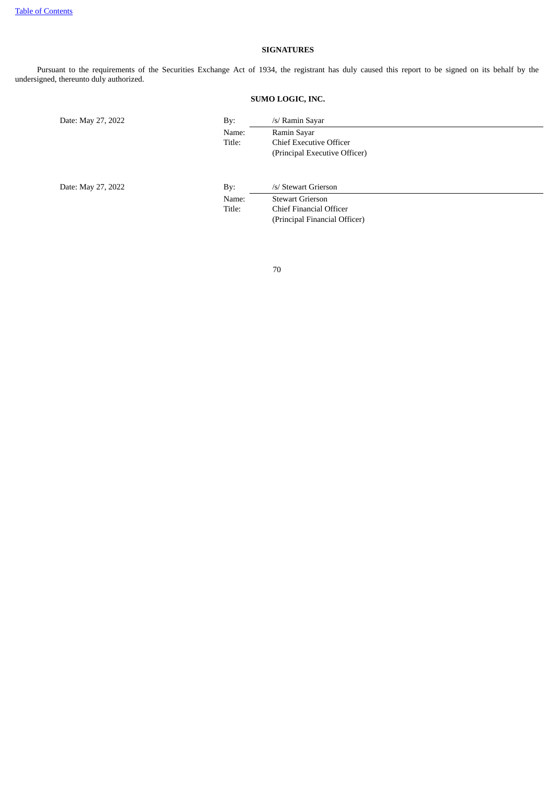# **SIGNATURES**

Pursuant to the requirements of the Securities Exchange Act of 1934, the registrant has duly caused this report to be signed on its behalf by the undersigned, thereunto duly authorized.

# **SUMO LOGIC, INC.**

| Date: May 27, 2022 | By:    | /s/ Ramin Sayar                |
|--------------------|--------|--------------------------------|
|                    | Name:  | Ramin Sayar                    |
|                    | Title: | <b>Chief Executive Officer</b> |
|                    |        | (Principal Executive Officer)  |
| Date: May 27, 2022 | By:    | /s/ Stewart Grierson           |
|                    | Name:  | <b>Stewart Grierson</b>        |
|                    | Title: | Chief Financial Officer        |
|                    |        | (Principal Financial Officer)  |
|                    |        |                                |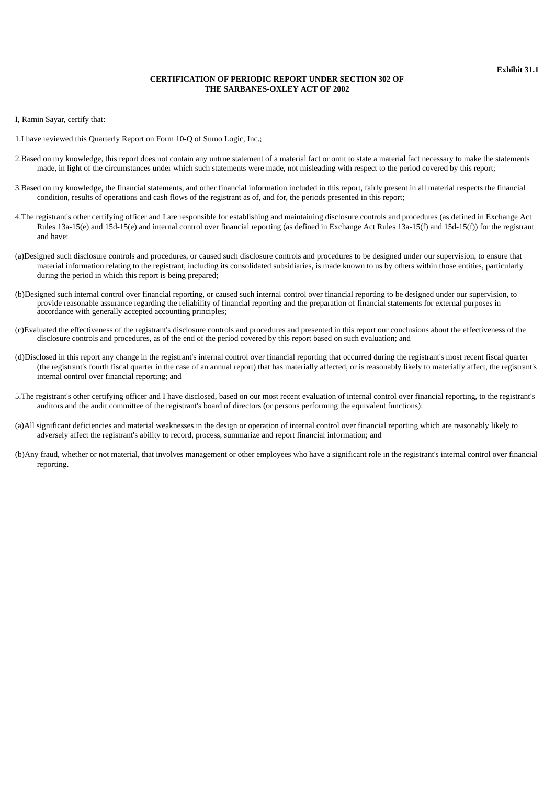# **Exhibit 31.1**

# **CERTIFICATION OF PERIODIC REPORT UNDER SECTION 302 OF THE SARBANES-OXLEY ACT OF 2002**

<span id="page-71-0"></span>I, Ramin Sayar, certify that:

- 1.I have reviewed this Quarterly Report on Form 10-Q of Sumo Logic, Inc.;
- 2.Based on my knowledge, this report does not contain any untrue statement of a material fact or omit to state a material fact necessary to make the statements made, in light of the circumstances under which such statements were made, not misleading with respect to the period covered by this report;
- 3.Based on my knowledge, the financial statements, and other financial information included in this report, fairly present in all material respects the financial condition, results of operations and cash flows of the registrant as of, and for, the periods presented in this report;
- 4.The registrant's other certifying officer and I are responsible for establishing and maintaining disclosure controls and procedures (as defined in Exchange Act Rules 13a-15(e) and 15d-15(e) and internal control over financial reporting (as defined in Exchange Act Rules 13a-15(f) and 15d-15(f)) for the registrant and have:
- (a)Designed such disclosure controls and procedures, or caused such disclosure controls and procedures to be designed under our supervision, to ensure that material information relating to the registrant, including its consolidated subsidiaries, is made known to us by others within those entities, particularly during the period in which this report is being prepared;
- (b)Designed such internal control over financial reporting, or caused such internal control over financial reporting to be designed under our supervision, to provide reasonable assurance regarding the reliability of financial reporting and the preparation of financial statements for external purposes in accordance with generally accepted accounting principles;
- (c)Evaluated the effectiveness of the registrant's disclosure controls and procedures and presented in this report our conclusions about the effectiveness of the disclosure controls and procedures, as of the end of the period covered by this report based on such evaluation; and
- (d)Disclosed in this report any change in the registrant's internal control over financial reporting that occurred during the registrant's most recent fiscal quarter (the registrant's fourth fiscal quarter in the case of an annual report) that has materially affected, or is reasonably likely to materially affect, the registrant's internal control over financial reporting; and
- 5.The registrant's other certifying officer and I have disclosed, based on our most recent evaluation of internal control over financial reporting, to the registrant's auditors and the audit committee of the registrant's board of directors (or persons performing the equivalent functions):
- (a)All significant deficiencies and material weaknesses in the design or operation of internal control over financial reporting which are reasonably likely to adversely affect the registrant's ability to record, process, summarize and report financial information; and
- (b)Any fraud, whether or not material, that involves management or other employees who have a significant role in the registrant's internal control over financial reporting.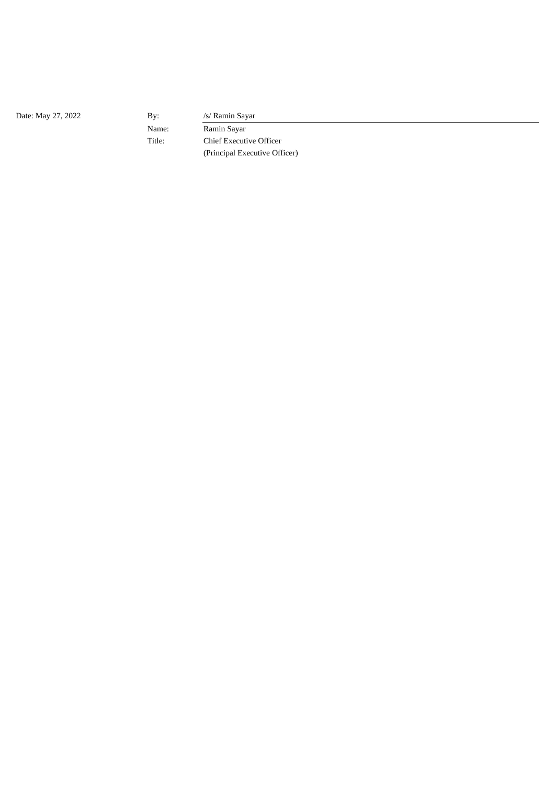Date: May 27, 2022

By:  $/$ N a m

**Title** 

### s/ Ramin Sayar

e: Ramin Sayar e: Chief Executive Officer (Principal Executive Officer)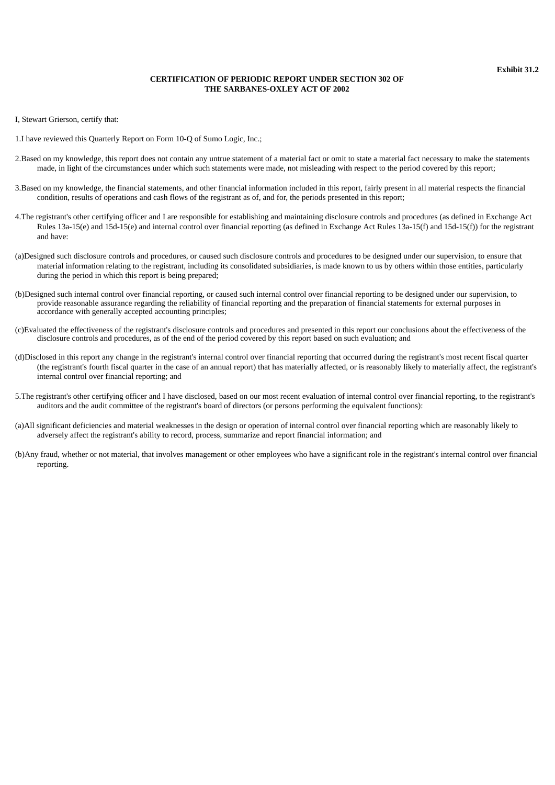# **Exhibit 31.2**

### **CERTIFICATION OF PERIODIC REPORT UNDER SECTION 302 OF THE SARBANES-OXLEY ACT OF 2002**

I, Stewart Grierson, certify that:

1.I have reviewed this Quarterly Report on Form 10-Q of Sumo Logic, Inc.;

- 2.Based on my knowledge, this report does not contain any untrue statement of a material fact or omit to state a material fact necessary to make the statements made, in light of the circumstances under which such statements were made, not misleading with respect to the period covered by this report;
- 3.Based on my knowledge, the financial statements, and other financial information included in this report, fairly present in all material respects the financial condition, results of operations and cash flows of the registrant as of, and for, the periods presented in this report;
- 4.The registrant's other certifying officer and I are responsible for establishing and maintaining disclosure controls and procedures (as defined in Exchange Act Rules 13a-15(e) and 15d-15(e) and internal control over financial reporting (as defined in Exchange Act Rules 13a-15(f) and 15d-15(f)) for the registrant and have:
- (a)Designed such disclosure controls and procedures, or caused such disclosure controls and procedures to be designed under our supervision, to ensure that material information relating to the registrant, including its consolidated subsidiaries, is made known to us by others within those entities, particularly during the period in which this report is being prepared;
- (b)Designed such internal control over financial reporting, or caused such internal control over financial reporting to be designed under our supervision, to provide reasonable assurance regarding the reliability of financial reporting and the preparation of financial statements for external purposes in accordance with generally accepted accounting principles;
- (c)Evaluated the effectiveness of the registrant's disclosure controls and procedures and presented in this report our conclusions about the effectiveness of the disclosure controls and procedures, as of the end of the period covered by this report based on such evaluation; and
- (d)Disclosed in this report any change in the registrant's internal control over financial reporting that occurred during the registrant's most recent fiscal quarter (the registrant's fourth fiscal quarter in the case of an annual report) that has materially affected, or is reasonably likely to materially affect, the registrant's internal control over financial reporting; and
- 5.The registrant's other certifying officer and I have disclosed, based on our most recent evaluation of internal control over financial reporting, to the registrant's auditors and the audit committee of the registrant's board of directors (or persons performing the equivalent functions):
- (a)All significant deficiencies and material weaknesses in the design or operation of internal control over financial reporting which are reasonably likely to adversely affect the registrant's ability to record, process, summarize and report financial information; and
- (b)Any fraud, whether or not material, that involves management or other employees who have a significant role in the registrant's internal control over financial reporting.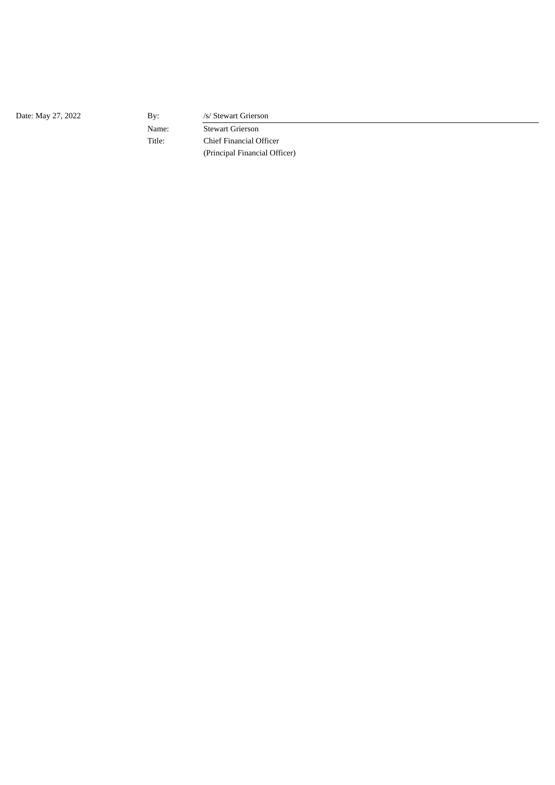Date: May 27, 2022

By:  $/$ N a m

**Title** 

#### s/ Stewart Grierson

e: Stewart Grierson e: Chief Financial Officer (Principal Financial Officer)